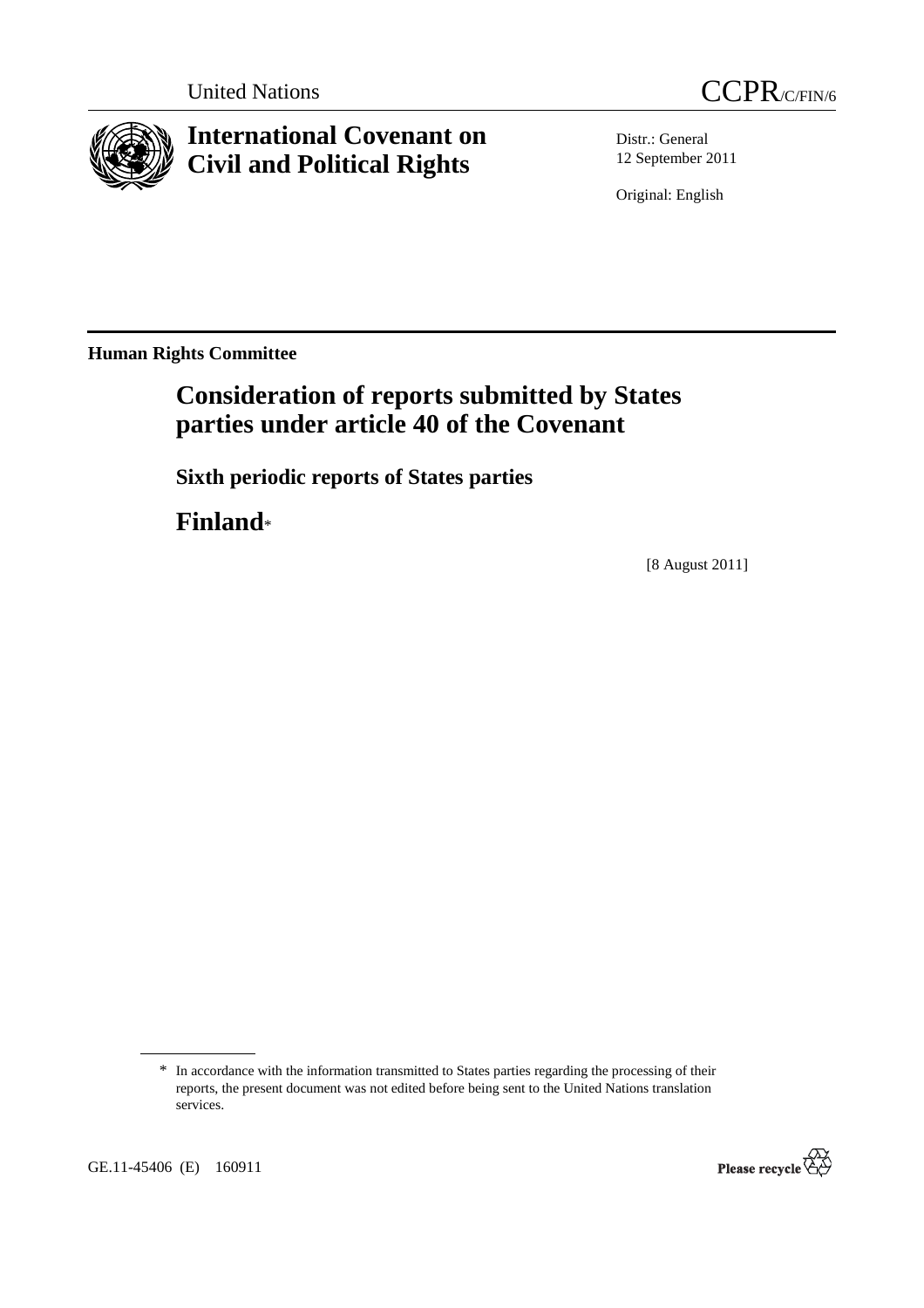



# **International Covenant on Civil and Political Rights**

Distr.: General 12 September 2011

Original: English

**Human Rights Committee** 

# **Consideration of reports submitted by States parties under article 40 of the Covenant**

 **Sixth periodic reports of States parties** 

 **Finland**\*

[8 August 2011]

<sup>\*</sup> In accordance with the information transmitted to States parties regarding the processing of their reports, the present document was not edited before being sent to the United Nations translation services.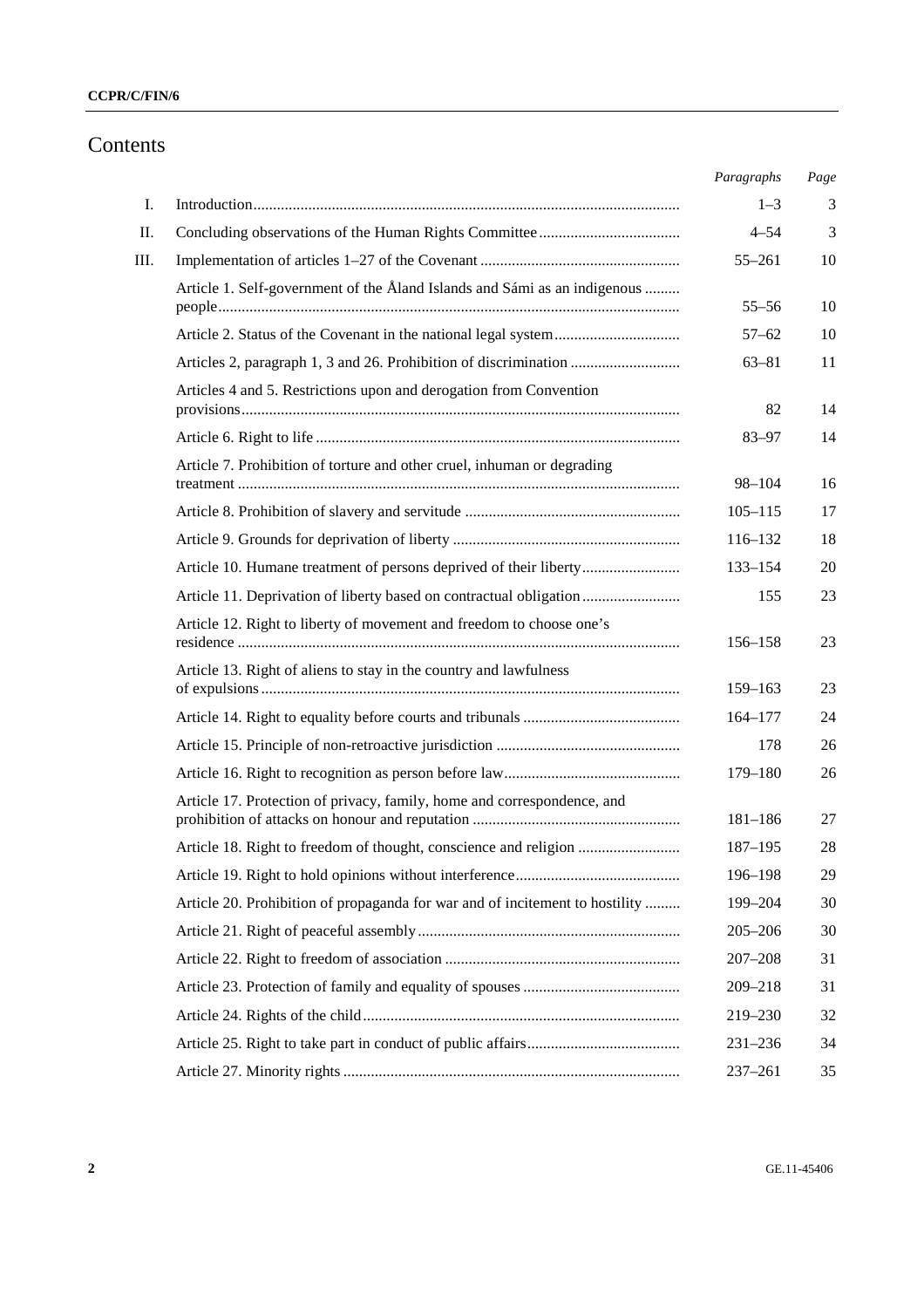### **CCPR/C/FIN/6**

# Contents

|      |                                                                              | Paragraphs  | Page |
|------|------------------------------------------------------------------------------|-------------|------|
| Ι.   |                                                                              | $1 - 3$     | 3    |
| П.   |                                                                              | $4 - 54$    | 3    |
| III. |                                                                              | $55 - 261$  | 10   |
|      | Article 1. Self-government of the Åland Islands and Sámi as an indigenous    | $55 - 56$   | 10   |
|      |                                                                              | $57 - 62$   | 10   |
|      | Articles 2, paragraph 1, 3 and 26. Prohibition of discrimination             | $63 - 81$   | 11   |
|      | Articles 4 and 5. Restrictions upon and derogation from Convention           | 82          | 14   |
|      |                                                                              | $83 - 97$   | 14   |
|      | Article 7. Prohibition of torture and other cruel, inhuman or degrading      |             |      |
|      |                                                                              | $98 - 104$  | 16   |
|      |                                                                              | $105 - 115$ | 17   |
|      |                                                                              | 116-132     | 18   |
|      | Article 10. Humane treatment of persons deprived of their liberty            | 133-154     | 20   |
|      | Article 11. Deprivation of liberty based on contractual obligation           | 155         | 23   |
|      | Article 12. Right to liberty of movement and freedom to choose one's         | 156–158     | 23   |
|      | Article 13. Right of aliens to stay in the country and lawfulness            | 159-163     | 23   |
|      |                                                                              | $164 - 177$ | 24   |
|      |                                                                              | 178         | 26   |
|      |                                                                              | 179-180     | 26   |
|      | Article 17. Protection of privacy, family, home and correspondence, and      | $181 - 186$ | 27   |
|      | Article 18. Right to freedom of thought, conscience and religion             | 187-195     | 28   |
|      |                                                                              | 196-198     | 29   |
|      | Article 20. Prohibition of propaganda for war and of incitement to hostility | 199-204     | 30   |
|      |                                                                              | $205 - 206$ | 30   |
|      |                                                                              | $207 - 208$ | 31   |
|      |                                                                              | 209-218     | 31   |
|      |                                                                              | 219-230     | 32   |
|      |                                                                              | $231 - 236$ | 34   |
|      |                                                                              | $237 - 261$ | 35   |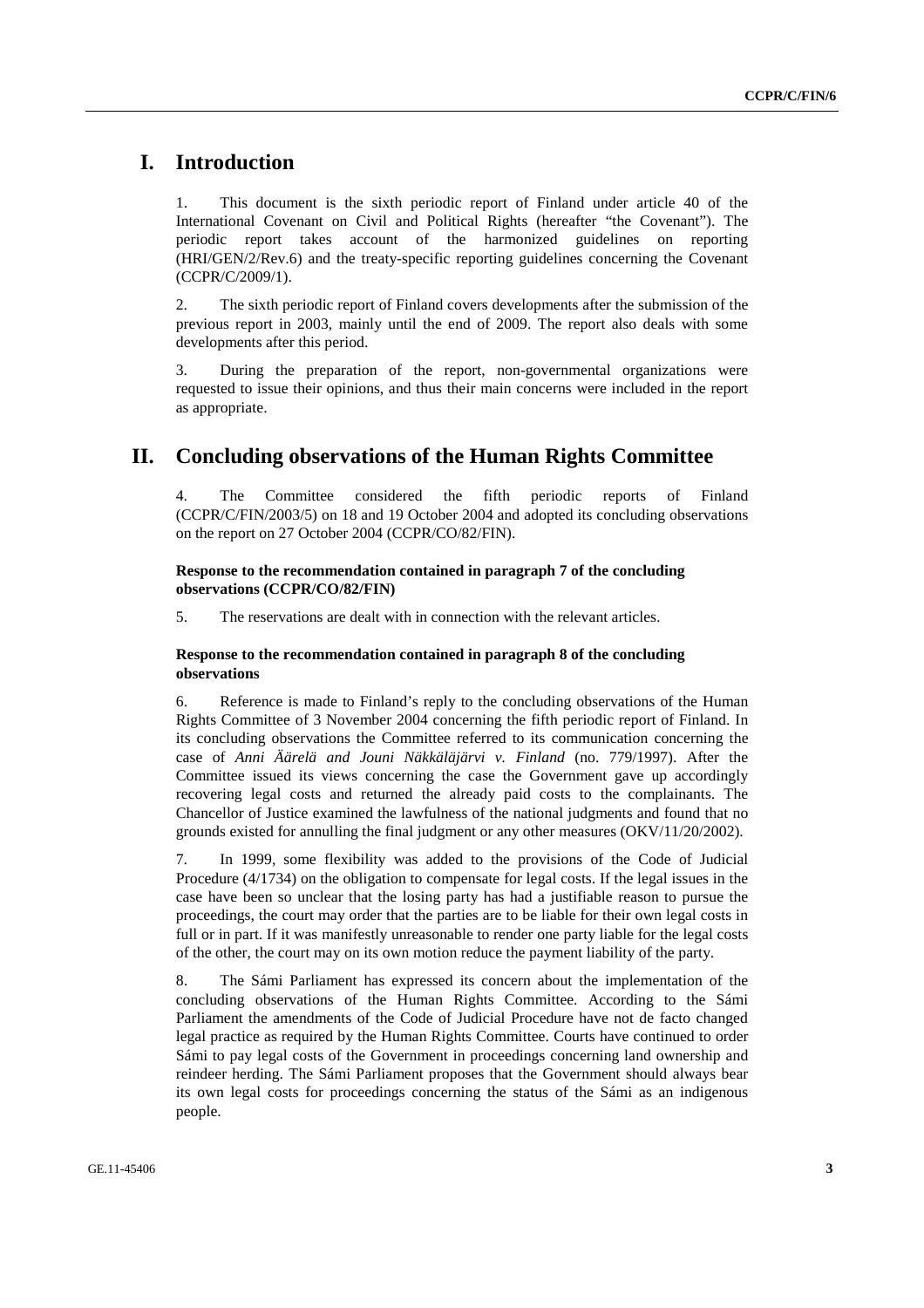# **I. Introduction**

1. This document is the sixth periodic report of Finland under article 40 of the International Covenant on Civil and Political Rights (hereafter "the Covenant"). The periodic report takes account of the harmonized guidelines on reporting (HRI/GEN/2/Rev.6) and the treaty-specific reporting guidelines concerning the Covenant (CCPR/C/2009/1).

2. The sixth periodic report of Finland covers developments after the submission of the previous report in 2003, mainly until the end of 2009. The report also deals with some developments after this period.

3. During the preparation of the report, non-governmental organizations were requested to issue their opinions, and thus their main concerns were included in the report as appropriate.

# **II. Concluding observations of the Human Rights Committee**

4. The Committee considered the fifth periodic reports of Finland (CCPR/C/FIN/2003/5) on 18 and 19 October 2004 and adopted its concluding observations on the report on 27 October 2004 (CCPR/CO/82/FIN).

### **Response to the recommendation contained in paragraph 7 of the concluding observations (CCPR/CO/82/FIN)**

5. The reservations are dealt with in connection with the relevant articles.

### **Response to the recommendation contained in paragraph 8 of the concluding observations**

6. Reference is made to Finland's reply to the concluding observations of the Human Rights Committee of 3 November 2004 concerning the fifth periodic report of Finland. In its concluding observations the Committee referred to its communication concerning the case of *Anni Äärelä and Jouni Näkkäläjärvi v. Finland* (no. 779/1997). After the Committee issued its views concerning the case the Government gave up accordingly recovering legal costs and returned the already paid costs to the complainants. The Chancellor of Justice examined the lawfulness of the national judgments and found that no grounds existed for annulling the final judgment or any other measures (OKV/11/20/2002).

7. In 1999, some flexibility was added to the provisions of the Code of Judicial Procedure (4/1734) on the obligation to compensate for legal costs. If the legal issues in the case have been so unclear that the losing party has had a justifiable reason to pursue the proceedings, the court may order that the parties are to be liable for their own legal costs in full or in part. If it was manifestly unreasonable to render one party liable for the legal costs of the other, the court may on its own motion reduce the payment liability of the party.

8. The Sámi Parliament has expressed its concern about the implementation of the concluding observations of the Human Rights Committee. According to the Sámi Parliament the amendments of the Code of Judicial Procedure have not de facto changed legal practice as required by the Human Rights Committee. Courts have continued to order Sámi to pay legal costs of the Government in proceedings concerning land ownership and reindeer herding. The Sámi Parliament proposes that the Government should always bear its own legal costs for proceedings concerning the status of the Sámi as an indigenous people.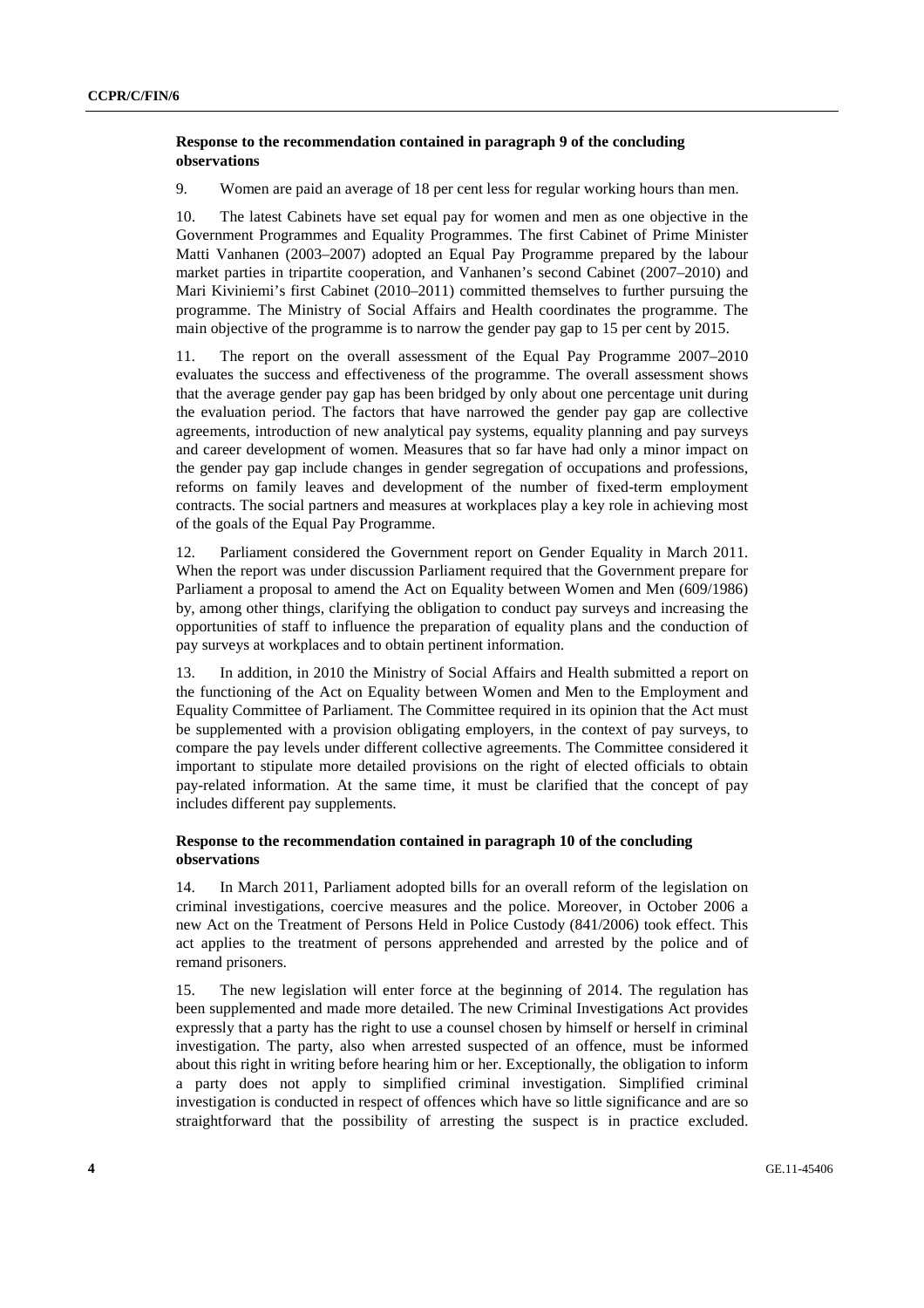### **Response to the recommendation contained in paragraph 9 of the concluding observations**

9. Women are paid an average of 18 per cent less for regular working hours than men.

10. The latest Cabinets have set equal pay for women and men as one objective in the Government Programmes and Equality Programmes. The first Cabinet of Prime Minister Matti Vanhanen (2003–2007) adopted an Equal Pay Programme prepared by the labour market parties in tripartite cooperation, and Vanhanen's second Cabinet (2007–2010) and Mari Kiviniemi's first Cabinet (2010–2011) committed themselves to further pursuing the programme. The Ministry of Social Affairs and Health coordinates the programme. The main objective of the programme is to narrow the gender pay gap to 15 per cent by 2015.

11. The report on the overall assessment of the Equal Pay Programme 2007–2010 evaluates the success and effectiveness of the programme. The overall assessment shows that the average gender pay gap has been bridged by only about one percentage unit during the evaluation period. The factors that have narrowed the gender pay gap are collective agreements, introduction of new analytical pay systems, equality planning and pay surveys and career development of women. Measures that so far have had only a minor impact on the gender pay gap include changes in gender segregation of occupations and professions, reforms on family leaves and development of the number of fixed-term employment contracts. The social partners and measures at workplaces play a key role in achieving most of the goals of the Equal Pay Programme.

12. Parliament considered the Government report on Gender Equality in March 2011. When the report was under discussion Parliament required that the Government prepare for Parliament a proposal to amend the Act on Equality between Women and Men (609/1986) by, among other things, clarifying the obligation to conduct pay surveys and increasing the opportunities of staff to influence the preparation of equality plans and the conduction of pay surveys at workplaces and to obtain pertinent information.

13. In addition, in 2010 the Ministry of Social Affairs and Health submitted a report on the functioning of the Act on Equality between Women and Men to the Employment and Equality Committee of Parliament. The Committee required in its opinion that the Act must be supplemented with a provision obligating employers, in the context of pay surveys, to compare the pay levels under different collective agreements. The Committee considered it important to stipulate more detailed provisions on the right of elected officials to obtain pay-related information. At the same time, it must be clarified that the concept of pay includes different pay supplements.

### **Response to the recommendation contained in paragraph 10 of the concluding observations**

14. In March 2011, Parliament adopted bills for an overall reform of the legislation on criminal investigations, coercive measures and the police. Moreover, in October 2006 a new Act on the Treatment of Persons Held in Police Custody (841/2006) took effect. This act applies to the treatment of persons apprehended and arrested by the police and of remand prisoners.

15. The new legislation will enter force at the beginning of 2014. The regulation has been supplemented and made more detailed. The new Criminal Investigations Act provides expressly that a party has the right to use a counsel chosen by himself or herself in criminal investigation. The party, also when arrested suspected of an offence, must be informed about this right in writing before hearing him or her. Exceptionally, the obligation to inform a party does not apply to simplified criminal investigation. Simplified criminal investigation is conducted in respect of offences which have so little significance and are so straightforward that the possibility of arresting the suspect is in practice excluded.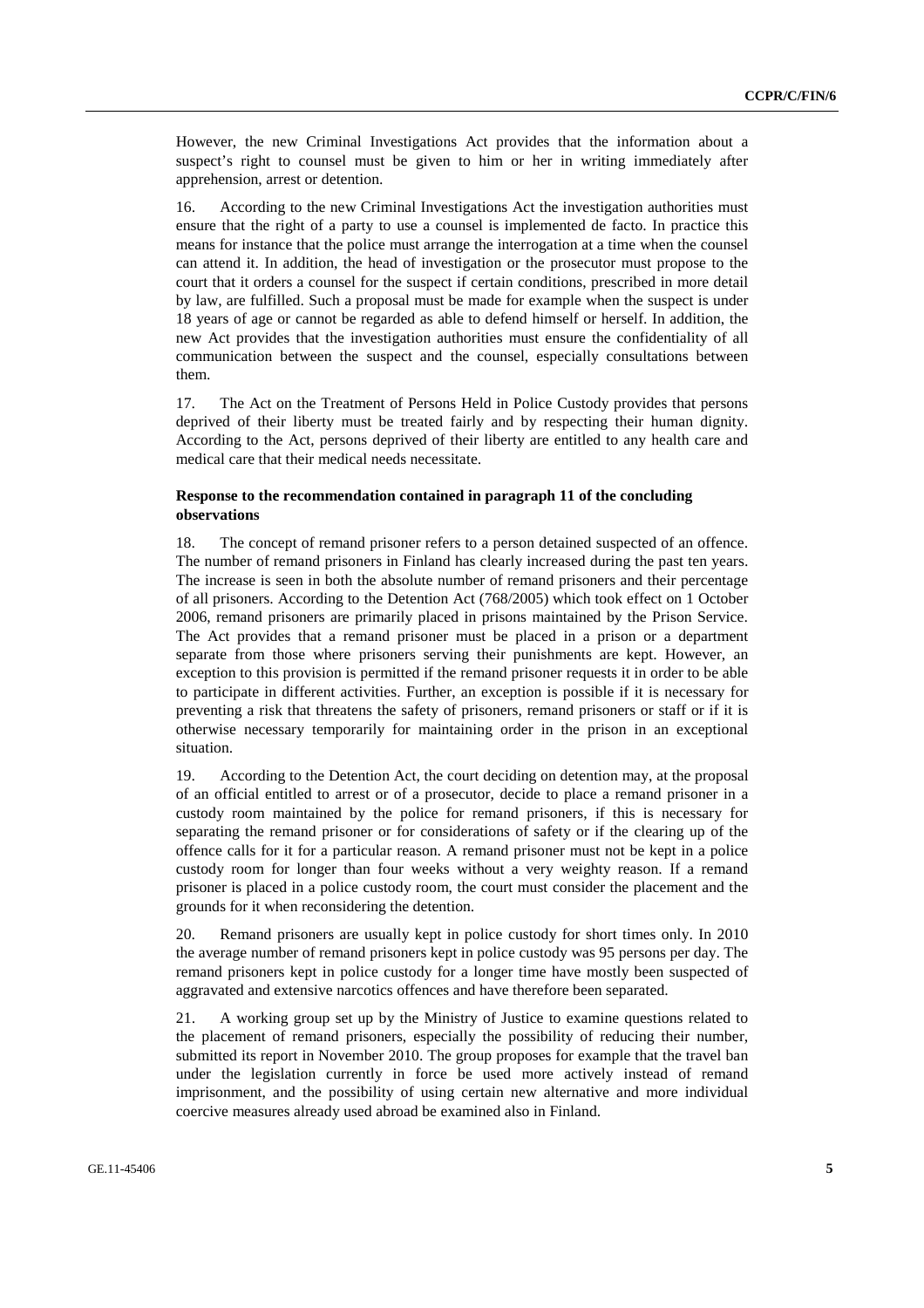However, the new Criminal Investigations Act provides that the information about a suspect's right to counsel must be given to him or her in writing immediately after apprehension, arrest or detention.

16. According to the new Criminal Investigations Act the investigation authorities must ensure that the right of a party to use a counsel is implemented de facto. In practice this means for instance that the police must arrange the interrogation at a time when the counsel can attend it. In addition, the head of investigation or the prosecutor must propose to the court that it orders a counsel for the suspect if certain conditions, prescribed in more detail by law, are fulfilled. Such a proposal must be made for example when the suspect is under 18 years of age or cannot be regarded as able to defend himself or herself. In addition, the new Act provides that the investigation authorities must ensure the confidentiality of all communication between the suspect and the counsel, especially consultations between them.

17. The Act on the Treatment of Persons Held in Police Custody provides that persons deprived of their liberty must be treated fairly and by respecting their human dignity. According to the Act, persons deprived of their liberty are entitled to any health care and medical care that their medical needs necessitate.

### **Response to the recommendation contained in paragraph 11 of the concluding observations**

18. The concept of remand prisoner refers to a person detained suspected of an offence. The number of remand prisoners in Finland has clearly increased during the past ten years. The increase is seen in both the absolute number of remand prisoners and their percentage of all prisoners. According to the Detention Act (768/2005) which took effect on 1 October 2006, remand prisoners are primarily placed in prisons maintained by the Prison Service. The Act provides that a remand prisoner must be placed in a prison or a department separate from those where prisoners serving their punishments are kept. However, an exception to this provision is permitted if the remand prisoner requests it in order to be able to participate in different activities. Further, an exception is possible if it is necessary for preventing a risk that threatens the safety of prisoners, remand prisoners or staff or if it is otherwise necessary temporarily for maintaining order in the prison in an exceptional situation.

19. According to the Detention Act, the court deciding on detention may, at the proposal of an official entitled to arrest or of a prosecutor, decide to place a remand prisoner in a custody room maintained by the police for remand prisoners, if this is necessary for separating the remand prisoner or for considerations of safety or if the clearing up of the offence calls for it for a particular reason. A remand prisoner must not be kept in a police custody room for longer than four weeks without a very weighty reason. If a remand prisoner is placed in a police custody room, the court must consider the placement and the grounds for it when reconsidering the detention.

20. Remand prisoners are usually kept in police custody for short times only. In 2010 the average number of remand prisoners kept in police custody was 95 persons per day. The remand prisoners kept in police custody for a longer time have mostly been suspected of aggravated and extensive narcotics offences and have therefore been separated.

21. A working group set up by the Ministry of Justice to examine questions related to the placement of remand prisoners, especially the possibility of reducing their number, submitted its report in November 2010. The group proposes for example that the travel ban under the legislation currently in force be used more actively instead of remand imprisonment, and the possibility of using certain new alternative and more individual coercive measures already used abroad be examined also in Finland.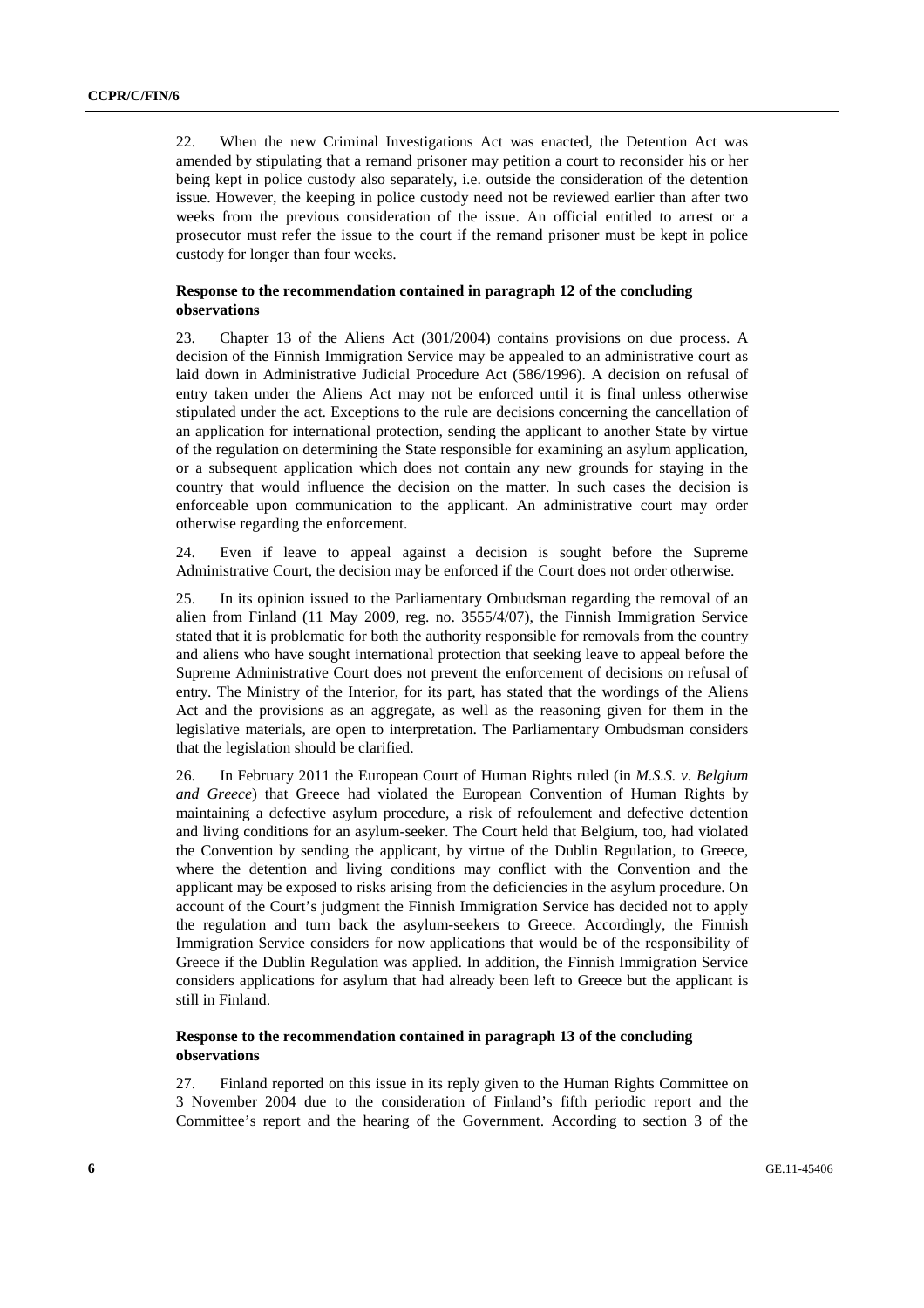22. When the new Criminal Investigations Act was enacted, the Detention Act was amended by stipulating that a remand prisoner may petition a court to reconsider his or her being kept in police custody also separately, i.e. outside the consideration of the detention issue. However, the keeping in police custody need not be reviewed earlier than after two weeks from the previous consideration of the issue. An official entitled to arrest or a prosecutor must refer the issue to the court if the remand prisoner must be kept in police custody for longer than four weeks.

### **Response to the recommendation contained in paragraph 12 of the concluding observations**

23. Chapter 13 of the Aliens Act (301/2004) contains provisions on due process. A decision of the Finnish Immigration Service may be appealed to an administrative court as laid down in Administrative Judicial Procedure Act (586/1996). A decision on refusal of entry taken under the Aliens Act may not be enforced until it is final unless otherwise stipulated under the act. Exceptions to the rule are decisions concerning the cancellation of an application for international protection, sending the applicant to another State by virtue of the regulation on determining the State responsible for examining an asylum application, or a subsequent application which does not contain any new grounds for staying in the country that would influence the decision on the matter. In such cases the decision is enforceable upon communication to the applicant. An administrative court may order otherwise regarding the enforcement.

24. Even if leave to appeal against a decision is sought before the Supreme Administrative Court, the decision may be enforced if the Court does not order otherwise.

25. In its opinion issued to the Parliamentary Ombudsman regarding the removal of an alien from Finland (11 May 2009, reg. no. 3555/4/07), the Finnish Immigration Service stated that it is problematic for both the authority responsible for removals from the country and aliens who have sought international protection that seeking leave to appeal before the Supreme Administrative Court does not prevent the enforcement of decisions on refusal of entry. The Ministry of the Interior, for its part, has stated that the wordings of the Aliens Act and the provisions as an aggregate, as well as the reasoning given for them in the legislative materials, are open to interpretation. The Parliamentary Ombudsman considers that the legislation should be clarified.

26. In February 2011 the European Court of Human Rights ruled (in *M.S.S. v. Belgium and Greece*) that Greece had violated the European Convention of Human Rights by maintaining a defective asylum procedure, a risk of refoulement and defective detention and living conditions for an asylum-seeker. The Court held that Belgium, too, had violated the Convention by sending the applicant, by virtue of the Dublin Regulation, to Greece, where the detention and living conditions may conflict with the Convention and the applicant may be exposed to risks arising from the deficiencies in the asylum procedure. On account of the Court's judgment the Finnish Immigration Service has decided not to apply the regulation and turn back the asylum-seekers to Greece. Accordingly, the Finnish Immigration Service considers for now applications that would be of the responsibility of Greece if the Dublin Regulation was applied. In addition, the Finnish Immigration Service considers applications for asylum that had already been left to Greece but the applicant is still in Finland.

### **Response to the recommendation contained in paragraph 13 of the concluding observations**

27. Finland reported on this issue in its reply given to the Human Rights Committee on 3 November 2004 due to the consideration of Finland's fifth periodic report and the Committee's report and the hearing of the Government. According to section 3 of the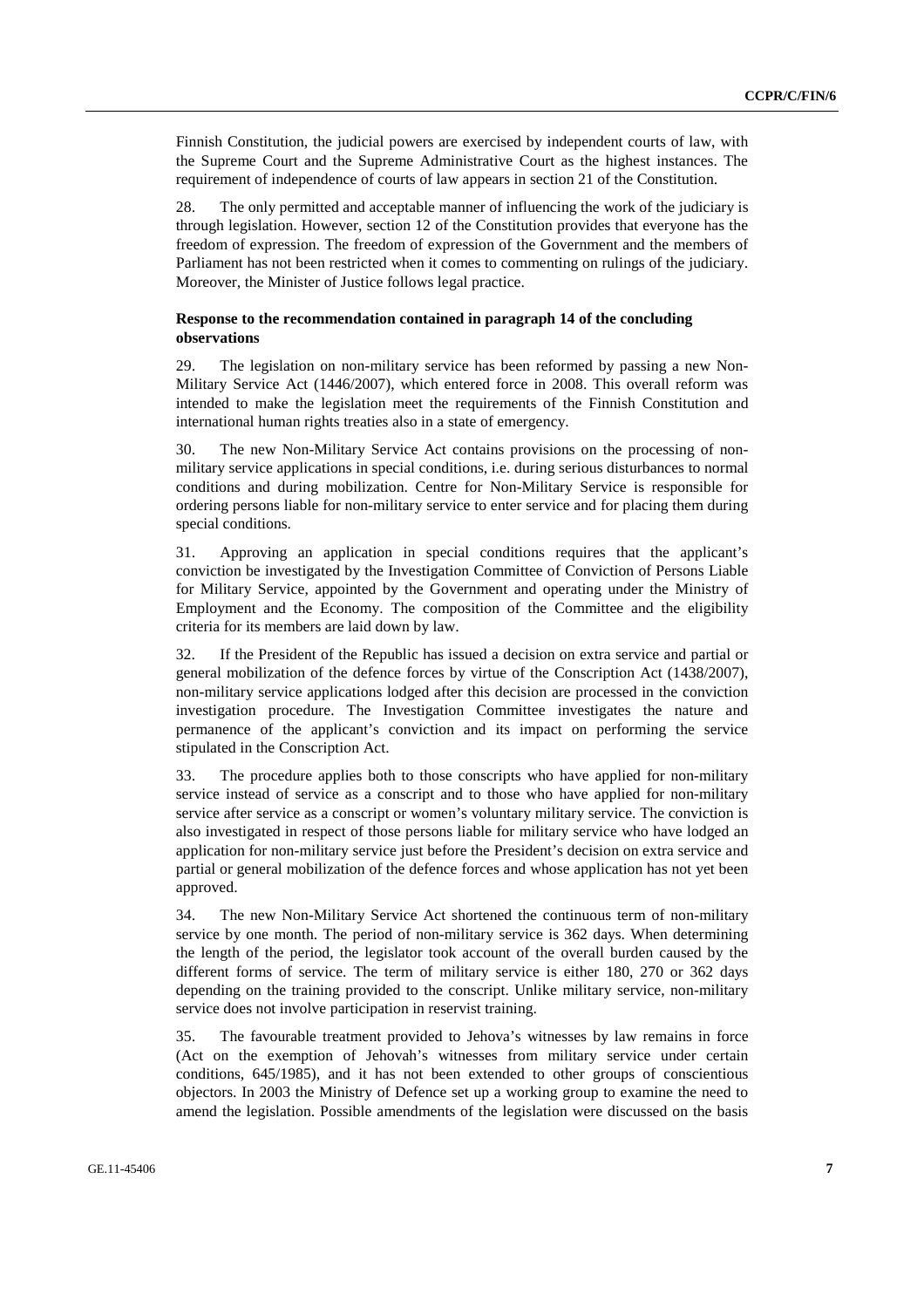Finnish Constitution, the judicial powers are exercised by independent courts of law, with the Supreme Court and the Supreme Administrative Court as the highest instances. The requirement of independence of courts of law appears in section 21 of the Constitution.

28. The only permitted and acceptable manner of influencing the work of the judiciary is through legislation. However, section 12 of the Constitution provides that everyone has the freedom of expression. The freedom of expression of the Government and the members of Parliament has not been restricted when it comes to commenting on rulings of the judiciary. Moreover, the Minister of Justice follows legal practice.

### **Response to the recommendation contained in paragraph 14 of the concluding observations**

29. The legislation on non-military service has been reformed by passing a new Non-Military Service Act (1446/2007), which entered force in 2008. This overall reform was intended to make the legislation meet the requirements of the Finnish Constitution and international human rights treaties also in a state of emergency.

30. The new Non-Military Service Act contains provisions on the processing of nonmilitary service applications in special conditions, i.e. during serious disturbances to normal conditions and during mobilization. Centre for Non-Military Service is responsible for ordering persons liable for non-military service to enter service and for placing them during special conditions.

31. Approving an application in special conditions requires that the applicant's conviction be investigated by the Investigation Committee of Conviction of Persons Liable for Military Service, appointed by the Government and operating under the Ministry of Employment and the Economy. The composition of the Committee and the eligibility criteria for its members are laid down by law.

32. If the President of the Republic has issued a decision on extra service and partial or general mobilization of the defence forces by virtue of the Conscription Act (1438/2007), non-military service applications lodged after this decision are processed in the conviction investigation procedure. The Investigation Committee investigates the nature and permanence of the applicant's conviction and its impact on performing the service stipulated in the Conscription Act.

33. The procedure applies both to those conscripts who have applied for non-military service instead of service as a conscript and to those who have applied for non-military service after service as a conscript or women's voluntary military service. The conviction is also investigated in respect of those persons liable for military service who have lodged an application for non-military service just before the President's decision on extra service and partial or general mobilization of the defence forces and whose application has not yet been approved.

34. The new Non-Military Service Act shortened the continuous term of non-military service by one month. The period of non-military service is 362 days. When determining the length of the period, the legislator took account of the overall burden caused by the different forms of service. The term of military service is either 180, 270 or 362 days depending on the training provided to the conscript. Unlike military service, non-military service does not involve participation in reservist training.

35. The favourable treatment provided to Jehova's witnesses by law remains in force (Act on the exemption of Jehovah's witnesses from military service under certain conditions, 645/1985), and it has not been extended to other groups of conscientious objectors. In 2003 the Ministry of Defence set up a working group to examine the need to amend the legislation. Possible amendments of the legislation were discussed on the basis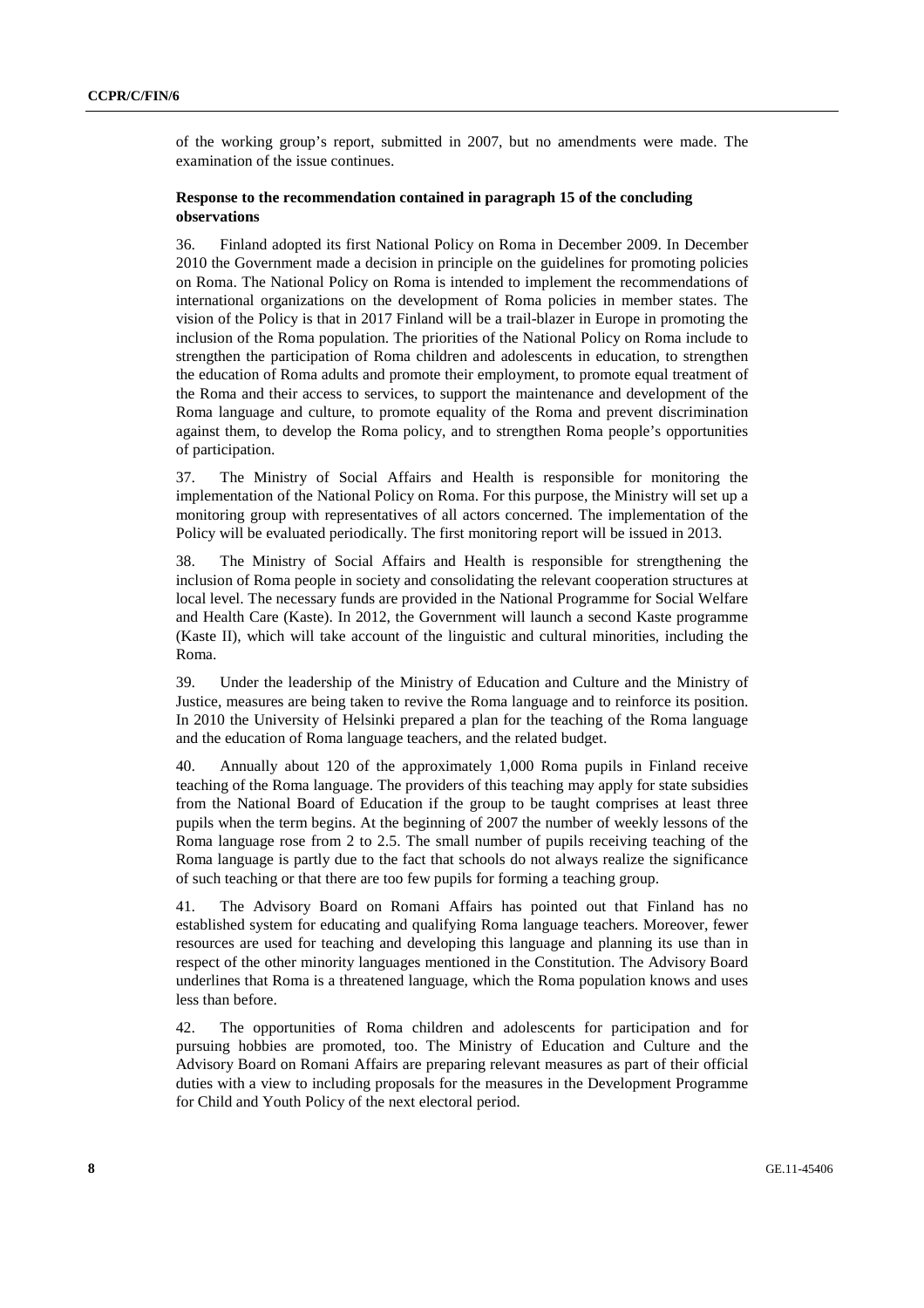of the working group's report, submitted in 2007, but no amendments were made. The examination of the issue continues.

### **Response to the recommendation contained in paragraph 15 of the concluding observations**

36. Finland adopted its first National Policy on Roma in December 2009. In December 2010 the Government made a decision in principle on the guidelines for promoting policies on Roma. The National Policy on Roma is intended to implement the recommendations of international organizations on the development of Roma policies in member states. The vision of the Policy is that in 2017 Finland will be a trail-blazer in Europe in promoting the inclusion of the Roma population. The priorities of the National Policy on Roma include to strengthen the participation of Roma children and adolescents in education, to strengthen the education of Roma adults and promote their employment, to promote equal treatment of the Roma and their access to services, to support the maintenance and development of the Roma language and culture, to promote equality of the Roma and prevent discrimination against them, to develop the Roma policy, and to strengthen Roma people's opportunities of participation.

37. The Ministry of Social Affairs and Health is responsible for monitoring the implementation of the National Policy on Roma. For this purpose, the Ministry will set up a monitoring group with representatives of all actors concerned. The implementation of the Policy will be evaluated periodically. The first monitoring report will be issued in 2013.

38. The Ministry of Social Affairs and Health is responsible for strengthening the inclusion of Roma people in society and consolidating the relevant cooperation structures at local level. The necessary funds are provided in the National Programme for Social Welfare and Health Care (Kaste). In 2012, the Government will launch a second Kaste programme (Kaste II), which will take account of the linguistic and cultural minorities, including the Roma.

39. Under the leadership of the Ministry of Education and Culture and the Ministry of Justice, measures are being taken to revive the Roma language and to reinforce its position. In 2010 the University of Helsinki prepared a plan for the teaching of the Roma language and the education of Roma language teachers, and the related budget.

40. Annually about 120 of the approximately 1,000 Roma pupils in Finland receive teaching of the Roma language. The providers of this teaching may apply for state subsidies from the National Board of Education if the group to be taught comprises at least three pupils when the term begins. At the beginning of 2007 the number of weekly lessons of the Roma language rose from 2 to 2.5. The small number of pupils receiving teaching of the Roma language is partly due to the fact that schools do not always realize the significance of such teaching or that there are too few pupils for forming a teaching group.

41. The Advisory Board on Romani Affairs has pointed out that Finland has no established system for educating and qualifying Roma language teachers. Moreover, fewer resources are used for teaching and developing this language and planning its use than in respect of the other minority languages mentioned in the Constitution. The Advisory Board underlines that Roma is a threatened language, which the Roma population knows and uses less than before.

42. The opportunities of Roma children and adolescents for participation and for pursuing hobbies are promoted, too. The Ministry of Education and Culture and the Advisory Board on Romani Affairs are preparing relevant measures as part of their official duties with a view to including proposals for the measures in the Development Programme for Child and Youth Policy of the next electoral period.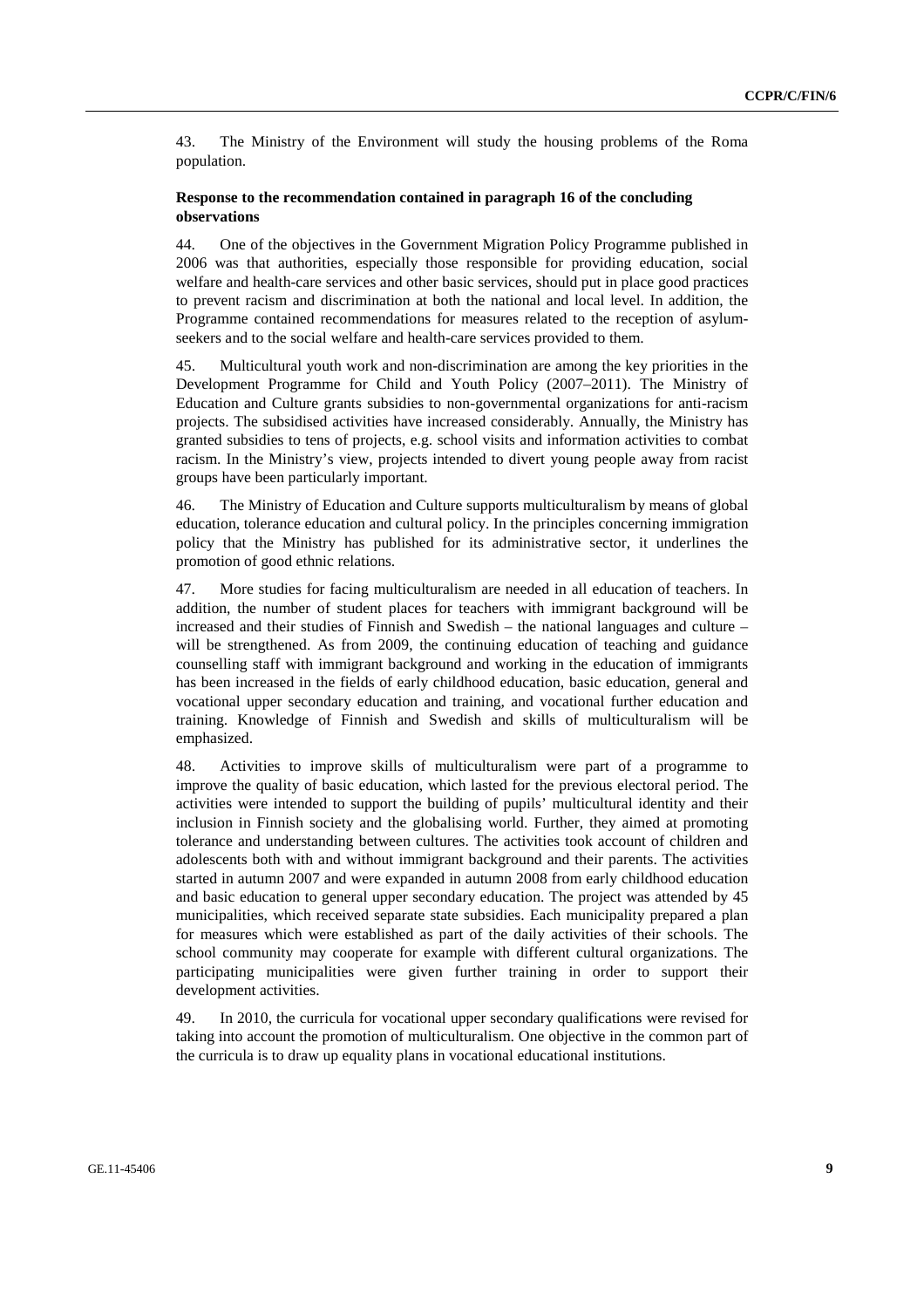43. The Ministry of the Environment will study the housing problems of the Roma population.

### **Response to the recommendation contained in paragraph 16 of the concluding observations**

44. One of the objectives in the Government Migration Policy Programme published in 2006 was that authorities, especially those responsible for providing education, social welfare and health-care services and other basic services, should put in place good practices to prevent racism and discrimination at both the national and local level. In addition, the Programme contained recommendations for measures related to the reception of asylumseekers and to the social welfare and health-care services provided to them.

45. Multicultural youth work and non-discrimination are among the key priorities in the Development Programme for Child and Youth Policy (2007–2011). The Ministry of Education and Culture grants subsidies to non-governmental organizations for anti-racism projects. The subsidised activities have increased considerably. Annually, the Ministry has granted subsidies to tens of projects, e.g. school visits and information activities to combat racism. In the Ministry's view, projects intended to divert young people away from racist groups have been particularly important.

46. The Ministry of Education and Culture supports multiculturalism by means of global education, tolerance education and cultural policy. In the principles concerning immigration policy that the Ministry has published for its administrative sector, it underlines the promotion of good ethnic relations.

47. More studies for facing multiculturalism are needed in all education of teachers. In addition, the number of student places for teachers with immigrant background will be increased and their studies of Finnish and Swedish – the national languages and culture – will be strengthened. As from 2009, the continuing education of teaching and guidance counselling staff with immigrant background and working in the education of immigrants has been increased in the fields of early childhood education, basic education, general and vocational upper secondary education and training, and vocational further education and training. Knowledge of Finnish and Swedish and skills of multiculturalism will be emphasized.

48. Activities to improve skills of multiculturalism were part of a programme to improve the quality of basic education, which lasted for the previous electoral period. The activities were intended to support the building of pupils' multicultural identity and their inclusion in Finnish society and the globalising world. Further, they aimed at promoting tolerance and understanding between cultures. The activities took account of children and adolescents both with and without immigrant background and their parents. The activities started in autumn 2007 and were expanded in autumn 2008 from early childhood education and basic education to general upper secondary education. The project was attended by 45 municipalities, which received separate state subsidies. Each municipality prepared a plan for measures which were established as part of the daily activities of their schools. The school community may cooperate for example with different cultural organizations. The participating municipalities were given further training in order to support their development activities.

49. In 2010, the curricula for vocational upper secondary qualifications were revised for taking into account the promotion of multiculturalism. One objective in the common part of the curricula is to draw up equality plans in vocational educational institutions.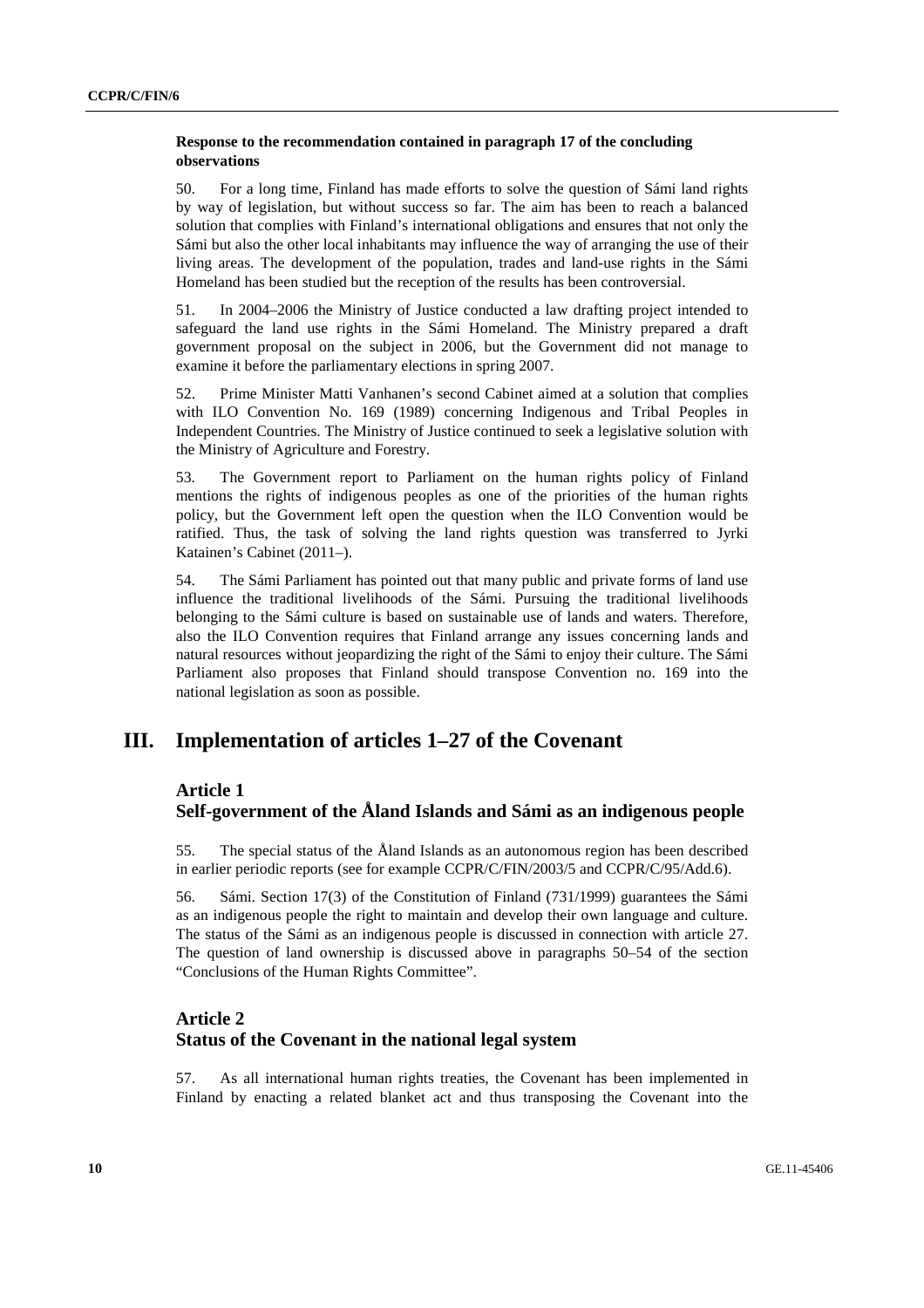### **Response to the recommendation contained in paragraph 17 of the concluding observations**

50. For a long time, Finland has made efforts to solve the question of Sámi land rights by way of legislation, but without success so far. The aim has been to reach a balanced solution that complies with Finland's international obligations and ensures that not only the Sámi but also the other local inhabitants may influence the way of arranging the use of their living areas. The development of the population, trades and land-use rights in the Sámi Homeland has been studied but the reception of the results has been controversial.

51. In 2004–2006 the Ministry of Justice conducted a law drafting project intended to safeguard the land use rights in the Sámi Homeland. The Ministry prepared a draft government proposal on the subject in 2006, but the Government did not manage to examine it before the parliamentary elections in spring 2007.

52. Prime Minister Matti Vanhanen's second Cabinet aimed at a solution that complies with ILO Convention No. 169 (1989) concerning Indigenous and Tribal Peoples in Independent Countries. The Ministry of Justice continued to seek a legislative solution with the Ministry of Agriculture and Forestry.

53. The Government report to Parliament on the human rights policy of Finland mentions the rights of indigenous peoples as one of the priorities of the human rights policy, but the Government left open the question when the ILO Convention would be ratified. Thus, the task of solving the land rights question was transferred to Jyrki Katainen's Cabinet (2011–).

54. The Sámi Parliament has pointed out that many public and private forms of land use influence the traditional livelihoods of the Sámi. Pursuing the traditional livelihoods belonging to the Sámi culture is based on sustainable use of lands and waters. Therefore, also the ILO Convention requires that Finland arrange any issues concerning lands and natural resources without jeopardizing the right of the Sámi to enjoy their culture. The Sámi Parliament also proposes that Finland should transpose Convention no. 169 into the national legislation as soon as possible.

# **III. Implementation of articles 1–27 of the Covenant**

### **Article 1**

# **Self-government of the Åland Islands and Sámi as an indigenous people**

55. The special status of the Åland Islands as an autonomous region has been described in earlier periodic reports (see for example CCPR/C/FIN/2003/5 and CCPR/C/95/Add.6).

56. Sámi. Section 17(3) of the Constitution of Finland (731/1999) guarantees the Sámi as an indigenous people the right to maintain and develop their own language and culture. The status of the Sámi as an indigenous people is discussed in connection with article 27. The question of land ownership is discussed above in paragraphs 50–54 of the section "Conclusions of the Human Rights Committee".

# **Article 2 Status of the Covenant in the national legal system**

57. As all international human rights treaties, the Covenant has been implemented in Finland by enacting a related blanket act and thus transposing the Covenant into the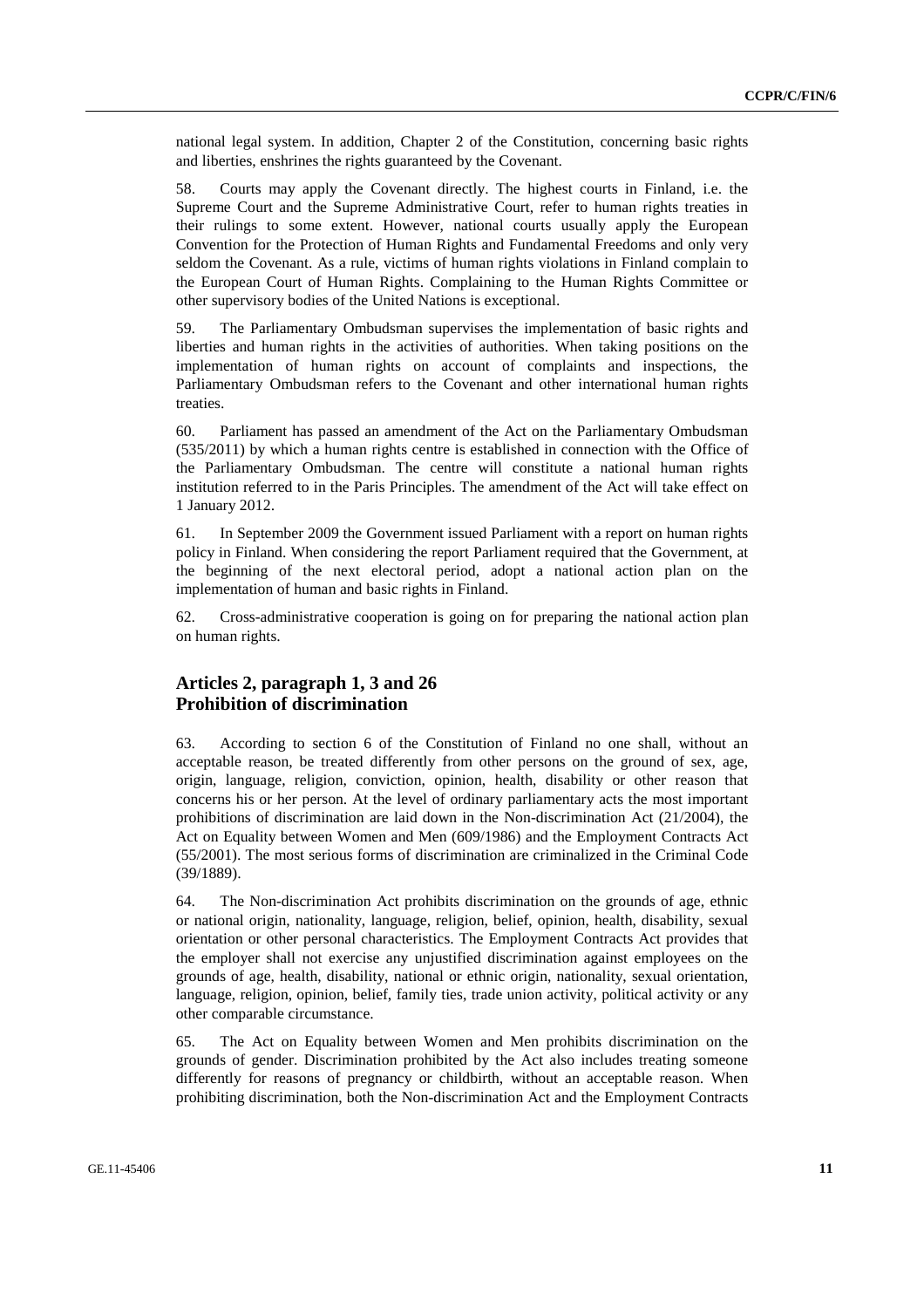national legal system. In addition, Chapter 2 of the Constitution, concerning basic rights and liberties, enshrines the rights guaranteed by the Covenant.

58. Courts may apply the Covenant directly. The highest courts in Finland, i.e. the Supreme Court and the Supreme Administrative Court, refer to human rights treaties in their rulings to some extent. However, national courts usually apply the European Convention for the Protection of Human Rights and Fundamental Freedoms and only very seldom the Covenant. As a rule, victims of human rights violations in Finland complain to the European Court of Human Rights. Complaining to the Human Rights Committee or other supervisory bodies of the United Nations is exceptional.

59. The Parliamentary Ombudsman supervises the implementation of basic rights and liberties and human rights in the activities of authorities. When taking positions on the implementation of human rights on account of complaints and inspections, the Parliamentary Ombudsman refers to the Covenant and other international human rights treaties.

60. Parliament has passed an amendment of the Act on the Parliamentary Ombudsman (535/2011) by which a human rights centre is established in connection with the Office of the Parliamentary Ombudsman. The centre will constitute a national human rights institution referred to in the Paris Principles. The amendment of the Act will take effect on 1 January 2012.

61. In September 2009 the Government issued Parliament with a report on human rights policy in Finland. When considering the report Parliament required that the Government, at the beginning of the next electoral period, adopt a national action plan on the implementation of human and basic rights in Finland.

62. Cross-administrative cooperation is going on for preparing the national action plan on human rights.

### **Articles 2, paragraph 1, 3 and 26 Prohibition of discrimination**

63. According to section 6 of the Constitution of Finland no one shall, without an acceptable reason, be treated differently from other persons on the ground of sex, age, origin, language, religion, conviction, opinion, health, disability or other reason that concerns his or her person. At the level of ordinary parliamentary acts the most important prohibitions of discrimination are laid down in the Non-discrimination Act (21/2004), the Act on Equality between Women and Men (609/1986) and the Employment Contracts Act (55/2001). The most serious forms of discrimination are criminalized in the Criminal Code (39/1889).

64. The Non-discrimination Act prohibits discrimination on the grounds of age, ethnic or national origin, nationality, language, religion, belief, opinion, health, disability, sexual orientation or other personal characteristics. The Employment Contracts Act provides that the employer shall not exercise any unjustified discrimination against employees on the grounds of age, health, disability, national or ethnic origin, nationality, sexual orientation, language, religion, opinion, belief, family ties, trade union activity, political activity or any other comparable circumstance.

65. The Act on Equality between Women and Men prohibits discrimination on the grounds of gender. Discrimination prohibited by the Act also includes treating someone differently for reasons of pregnancy or childbirth, without an acceptable reason. When prohibiting discrimination, both the Non-discrimination Act and the Employment Contracts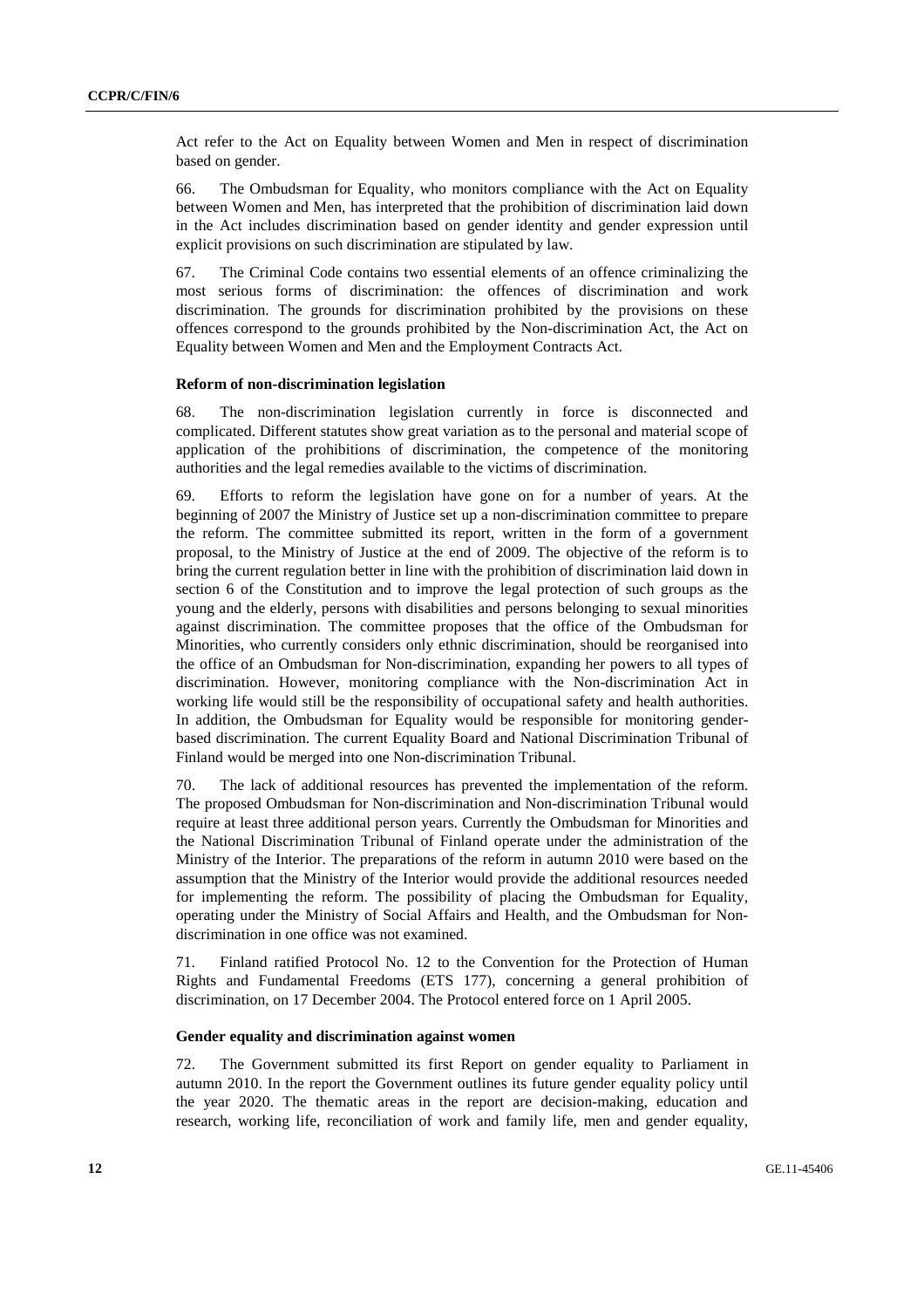Act refer to the Act on Equality between Women and Men in respect of discrimination based on gender.

66. The Ombudsman for Equality, who monitors compliance with the Act on Equality between Women and Men, has interpreted that the prohibition of discrimination laid down in the Act includes discrimination based on gender identity and gender expression until explicit provisions on such discrimination are stipulated by law.

67. The Criminal Code contains two essential elements of an offence criminalizing the most serious forms of discrimination: the offences of discrimination and work discrimination. The grounds for discrimination prohibited by the provisions on these offences correspond to the grounds prohibited by the Non-discrimination Act, the Act on Equality between Women and Men and the Employment Contracts Act.

### **Reform of non-discrimination legislation**

68. The non-discrimination legislation currently in force is disconnected and complicated. Different statutes show great variation as to the personal and material scope of application of the prohibitions of discrimination, the competence of the monitoring authorities and the legal remedies available to the victims of discrimination.

69. Efforts to reform the legislation have gone on for a number of years. At the beginning of 2007 the Ministry of Justice set up a non-discrimination committee to prepare the reform. The committee submitted its report, written in the form of a government proposal, to the Ministry of Justice at the end of 2009. The objective of the reform is to bring the current regulation better in line with the prohibition of discrimination laid down in section 6 of the Constitution and to improve the legal protection of such groups as the young and the elderly, persons with disabilities and persons belonging to sexual minorities against discrimination. The committee proposes that the office of the Ombudsman for Minorities, who currently considers only ethnic discrimination, should be reorganised into the office of an Ombudsman for Non-discrimination, expanding her powers to all types of discrimination. However, monitoring compliance with the Non-discrimination Act in working life would still be the responsibility of occupational safety and health authorities. In addition, the Ombudsman for Equality would be responsible for monitoring genderbased discrimination. The current Equality Board and National Discrimination Tribunal of Finland would be merged into one Non-discrimination Tribunal.

70. The lack of additional resources has prevented the implementation of the reform. The proposed Ombudsman for Non-discrimination and Non-discrimination Tribunal would require at least three additional person years. Currently the Ombudsman for Minorities and the National Discrimination Tribunal of Finland operate under the administration of the Ministry of the Interior. The preparations of the reform in autumn 2010 were based on the assumption that the Ministry of the Interior would provide the additional resources needed for implementing the reform. The possibility of placing the Ombudsman for Equality, operating under the Ministry of Social Affairs and Health, and the Ombudsman for Nondiscrimination in one office was not examined.

71. Finland ratified Protocol No. 12 to the Convention for the Protection of Human Rights and Fundamental Freedoms (ETS 177), concerning a general prohibition of discrimination, on 17 December 2004. The Protocol entered force on 1 April 2005.

#### **Gender equality and discrimination against women**

72. The Government submitted its first Report on gender equality to Parliament in autumn 2010. In the report the Government outlines its future gender equality policy until the year 2020. The thematic areas in the report are decision-making, education and research, working life, reconciliation of work and family life, men and gender equality,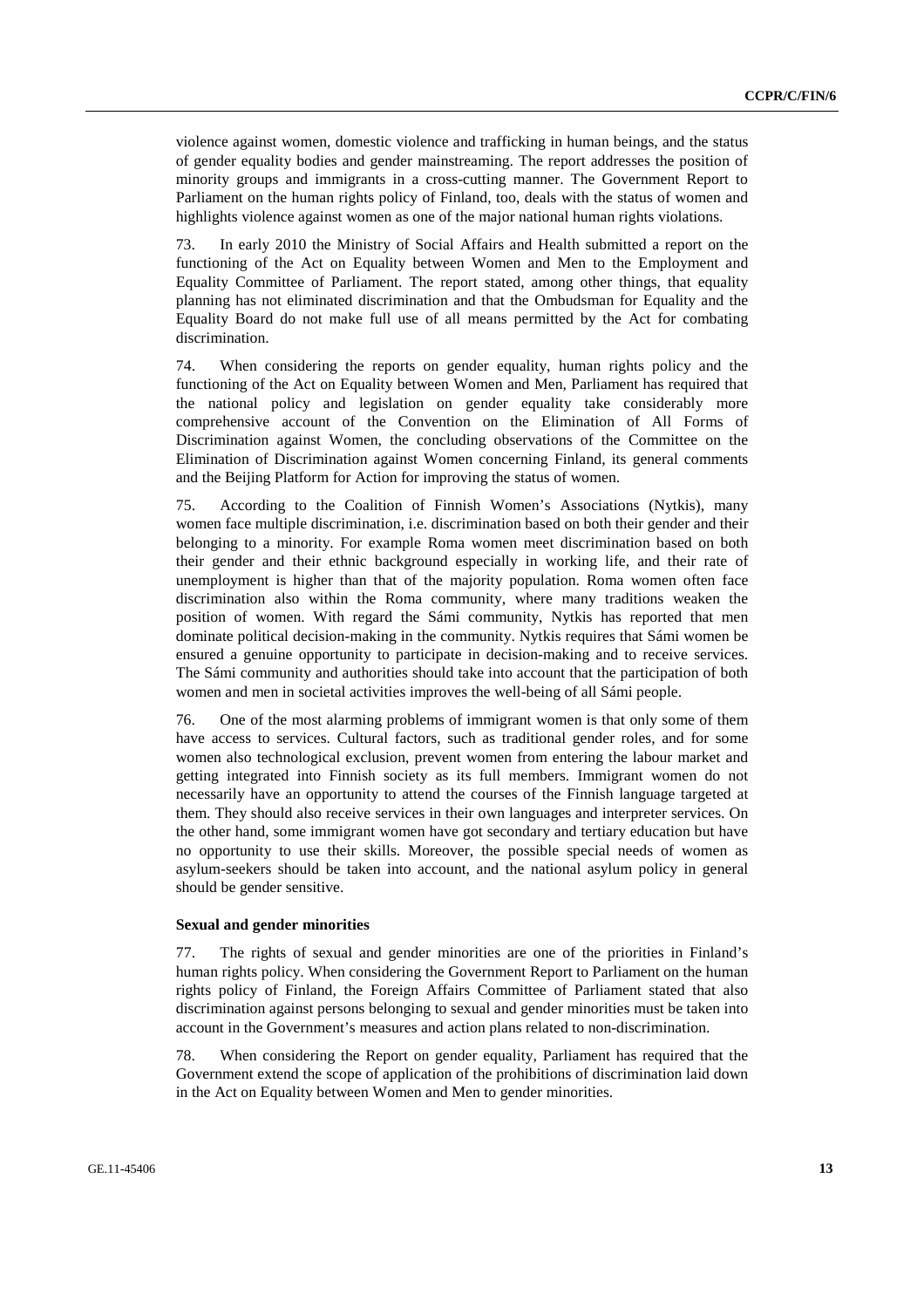violence against women, domestic violence and trafficking in human beings, and the status of gender equality bodies and gender mainstreaming. The report addresses the position of minority groups and immigrants in a cross-cutting manner. The Government Report to Parliament on the human rights policy of Finland, too, deals with the status of women and highlights violence against women as one of the major national human rights violations.

73. In early 2010 the Ministry of Social Affairs and Health submitted a report on the functioning of the Act on Equality between Women and Men to the Employment and Equality Committee of Parliament. The report stated, among other things, that equality planning has not eliminated discrimination and that the Ombudsman for Equality and the Equality Board do not make full use of all means permitted by the Act for combating discrimination.

74. When considering the reports on gender equality, human rights policy and the functioning of the Act on Equality between Women and Men, Parliament has required that the national policy and legislation on gender equality take considerably more comprehensive account of the Convention on the Elimination of All Forms of Discrimination against Women, the concluding observations of the Committee on the Elimination of Discrimination against Women concerning Finland, its general comments and the Beijing Platform for Action for improving the status of women.

75. According to the Coalition of Finnish Women's Associations (Nytkis), many women face multiple discrimination, i.e. discrimination based on both their gender and their belonging to a minority. For example Roma women meet discrimination based on both their gender and their ethnic background especially in working life, and their rate of unemployment is higher than that of the majority population. Roma women often face discrimination also within the Roma community, where many traditions weaken the position of women. With regard the Sámi community, Nytkis has reported that men dominate political decision-making in the community. Nytkis requires that Sámi women be ensured a genuine opportunity to participate in decision-making and to receive services. The Sámi community and authorities should take into account that the participation of both women and men in societal activities improves the well-being of all Sámi people.

76. One of the most alarming problems of immigrant women is that only some of them have access to services. Cultural factors, such as traditional gender roles, and for some women also technological exclusion, prevent women from entering the labour market and getting integrated into Finnish society as its full members. Immigrant women do not necessarily have an opportunity to attend the courses of the Finnish language targeted at them. They should also receive services in their own languages and interpreter services. On the other hand, some immigrant women have got secondary and tertiary education but have no opportunity to use their skills. Moreover, the possible special needs of women as asylum-seekers should be taken into account, and the national asylum policy in general should be gender sensitive.

### **Sexual and gender minorities**

77. The rights of sexual and gender minorities are one of the priorities in Finland's human rights policy. When considering the Government Report to Parliament on the human rights policy of Finland, the Foreign Affairs Committee of Parliament stated that also discrimination against persons belonging to sexual and gender minorities must be taken into account in the Government's measures and action plans related to non-discrimination.

78. When considering the Report on gender equality, Parliament has required that the Government extend the scope of application of the prohibitions of discrimination laid down in the Act on Equality between Women and Men to gender minorities.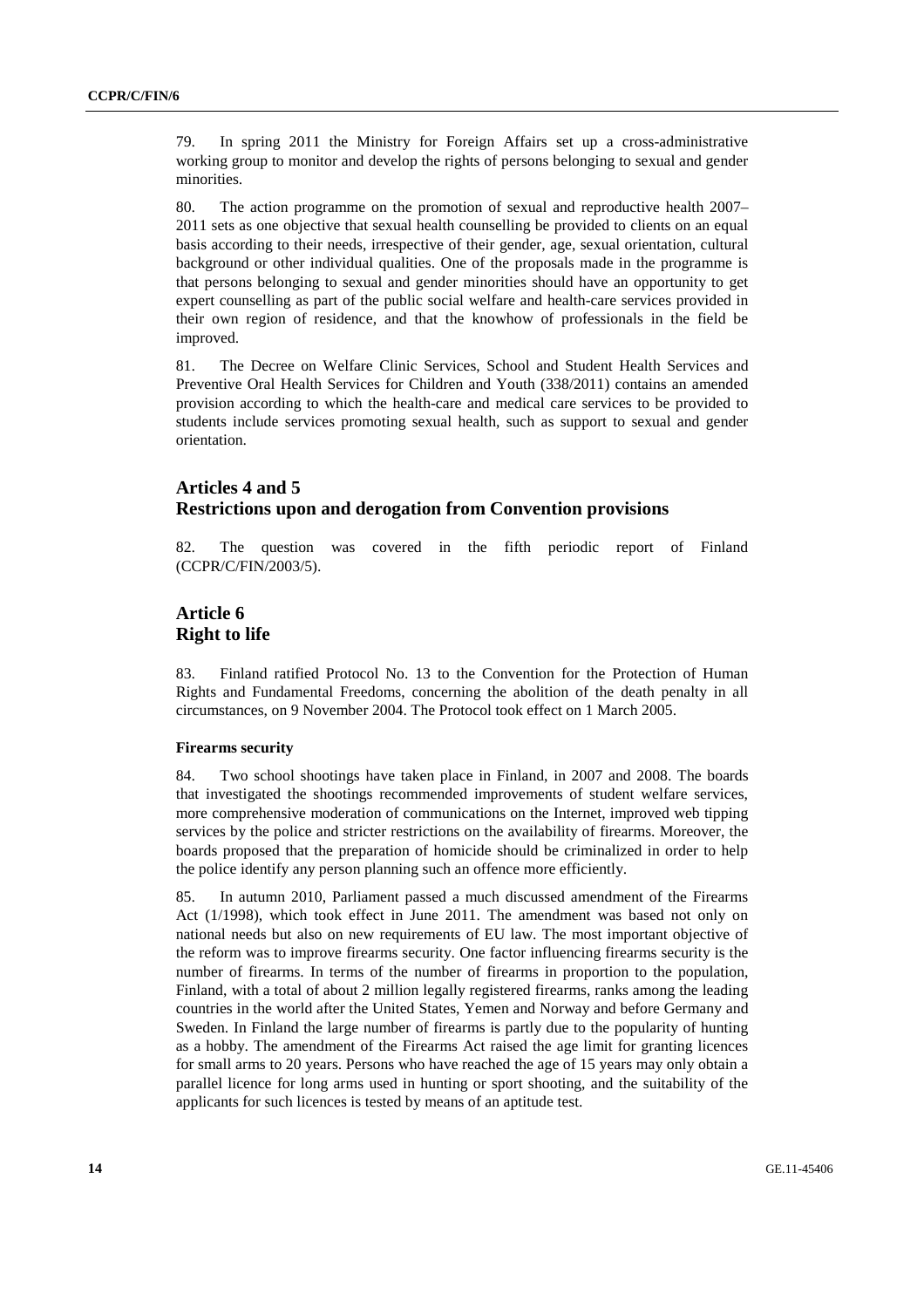79. In spring 2011 the Ministry for Foreign Affairs set up a cross-administrative working group to monitor and develop the rights of persons belonging to sexual and gender minorities.

80. The action programme on the promotion of sexual and reproductive health 2007– 2011 sets as one objective that sexual health counselling be provided to clients on an equal basis according to their needs, irrespective of their gender, age, sexual orientation, cultural background or other individual qualities. One of the proposals made in the programme is that persons belonging to sexual and gender minorities should have an opportunity to get expert counselling as part of the public social welfare and health-care services provided in their own region of residence, and that the knowhow of professionals in the field be improved.

81. The Decree on Welfare Clinic Services, School and Student Health Services and Preventive Oral Health Services for Children and Youth (338/2011) contains an amended provision according to which the health-care and medical care services to be provided to students include services promoting sexual health, such as support to sexual and gender orientation.

# **Articles 4 and 5 Restrictions upon and derogation from Convention provisions**

82. The question was covered in the fifth periodic report of Finland (CCPR/C/FIN/2003/5).

# **Article 6 Right to life**

83. Finland ratified Protocol No. 13 to the Convention for the Protection of Human Rights and Fundamental Freedoms, concerning the abolition of the death penalty in all circumstances, on 9 November 2004. The Protocol took effect on 1 March 2005.

#### **Firearms security**

84. Two school shootings have taken place in Finland, in 2007 and 2008. The boards that investigated the shootings recommended improvements of student welfare services, more comprehensive moderation of communications on the Internet, improved web tipping services by the police and stricter restrictions on the availability of firearms. Moreover, the boards proposed that the preparation of homicide should be criminalized in order to help the police identify any person planning such an offence more efficiently.

85. In autumn 2010, Parliament passed a much discussed amendment of the Firearms Act (1/1998), which took effect in June 2011. The amendment was based not only on national needs but also on new requirements of EU law. The most important objective of the reform was to improve firearms security. One factor influencing firearms security is the number of firearms. In terms of the number of firearms in proportion to the population, Finland, with a total of about 2 million legally registered firearms, ranks among the leading countries in the world after the United States, Yemen and Norway and before Germany and Sweden. In Finland the large number of firearms is partly due to the popularity of hunting as a hobby. The amendment of the Firearms Act raised the age limit for granting licences for small arms to 20 years. Persons who have reached the age of 15 years may only obtain a parallel licence for long arms used in hunting or sport shooting, and the suitability of the applicants for such licences is tested by means of an aptitude test.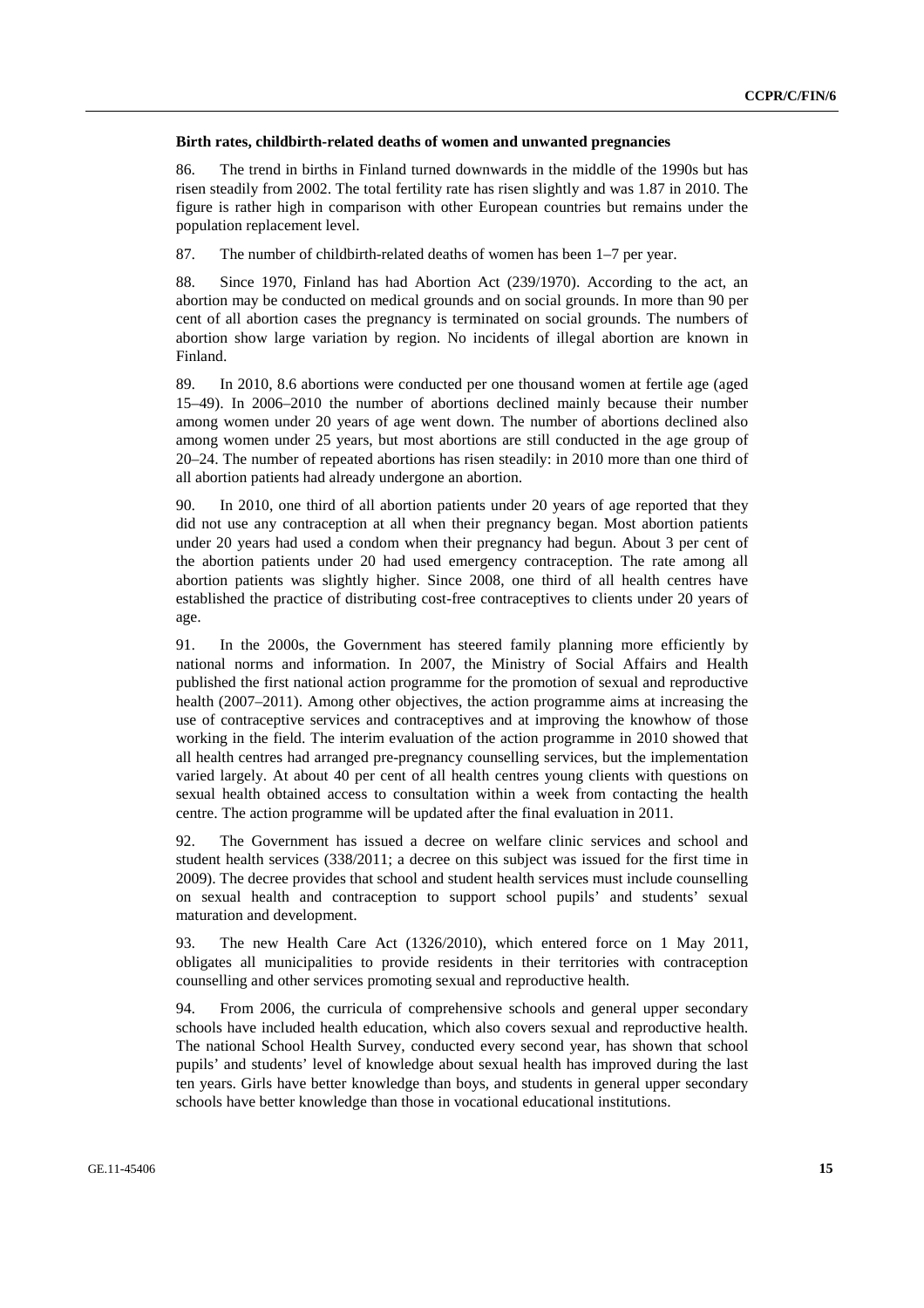#### **Birth rates, childbirth-related deaths of women and unwanted pregnancies**

86. The trend in births in Finland turned downwards in the middle of the 1990s but has risen steadily from 2002. The total fertility rate has risen slightly and was 1.87 in 2010. The figure is rather high in comparison with other European countries but remains under the population replacement level.

87. The number of childbirth-related deaths of women has been 1–7 per year.

88. Since 1970, Finland has had Abortion Act (239/1970). According to the act, an abortion may be conducted on medical grounds and on social grounds. In more than 90 per cent of all abortion cases the pregnancy is terminated on social grounds. The numbers of abortion show large variation by region. No incidents of illegal abortion are known in Finland.

89. In 2010, 8.6 abortions were conducted per one thousand women at fertile age (aged 15–49). In 2006–2010 the number of abortions declined mainly because their number among women under 20 years of age went down. The number of abortions declined also among women under 25 years, but most abortions are still conducted in the age group of 20–24. The number of repeated abortions has risen steadily: in 2010 more than one third of all abortion patients had already undergone an abortion.

90. In 2010, one third of all abortion patients under 20 years of age reported that they did not use any contraception at all when their pregnancy began. Most abortion patients under 20 years had used a condom when their pregnancy had begun. About 3 per cent of the abortion patients under 20 had used emergency contraception. The rate among all abortion patients was slightly higher. Since 2008, one third of all health centres have established the practice of distributing cost-free contraceptives to clients under 20 years of age.

91. In the 2000s, the Government has steered family planning more efficiently by national norms and information. In 2007, the Ministry of Social Affairs and Health published the first national action programme for the promotion of sexual and reproductive health (2007–2011). Among other objectives, the action programme aims at increasing the use of contraceptive services and contraceptives and at improving the knowhow of those working in the field. The interim evaluation of the action programme in 2010 showed that all health centres had arranged pre-pregnancy counselling services, but the implementation varied largely. At about 40 per cent of all health centres young clients with questions on sexual health obtained access to consultation within a week from contacting the health centre. The action programme will be updated after the final evaluation in 2011.

92. The Government has issued a decree on welfare clinic services and school and student health services (338/2011; a decree on this subject was issued for the first time in 2009). The decree provides that school and student health services must include counselling on sexual health and contraception to support school pupils' and students' sexual maturation and development.

93. The new Health Care Act (1326/2010), which entered force on 1 May 2011, obligates all municipalities to provide residents in their territories with contraception counselling and other services promoting sexual and reproductive health.

94. From 2006, the curricula of comprehensive schools and general upper secondary schools have included health education, which also covers sexual and reproductive health. The national School Health Survey, conducted every second year, has shown that school pupils' and students' level of knowledge about sexual health has improved during the last ten years. Girls have better knowledge than boys, and students in general upper secondary schools have better knowledge than those in vocational educational institutions.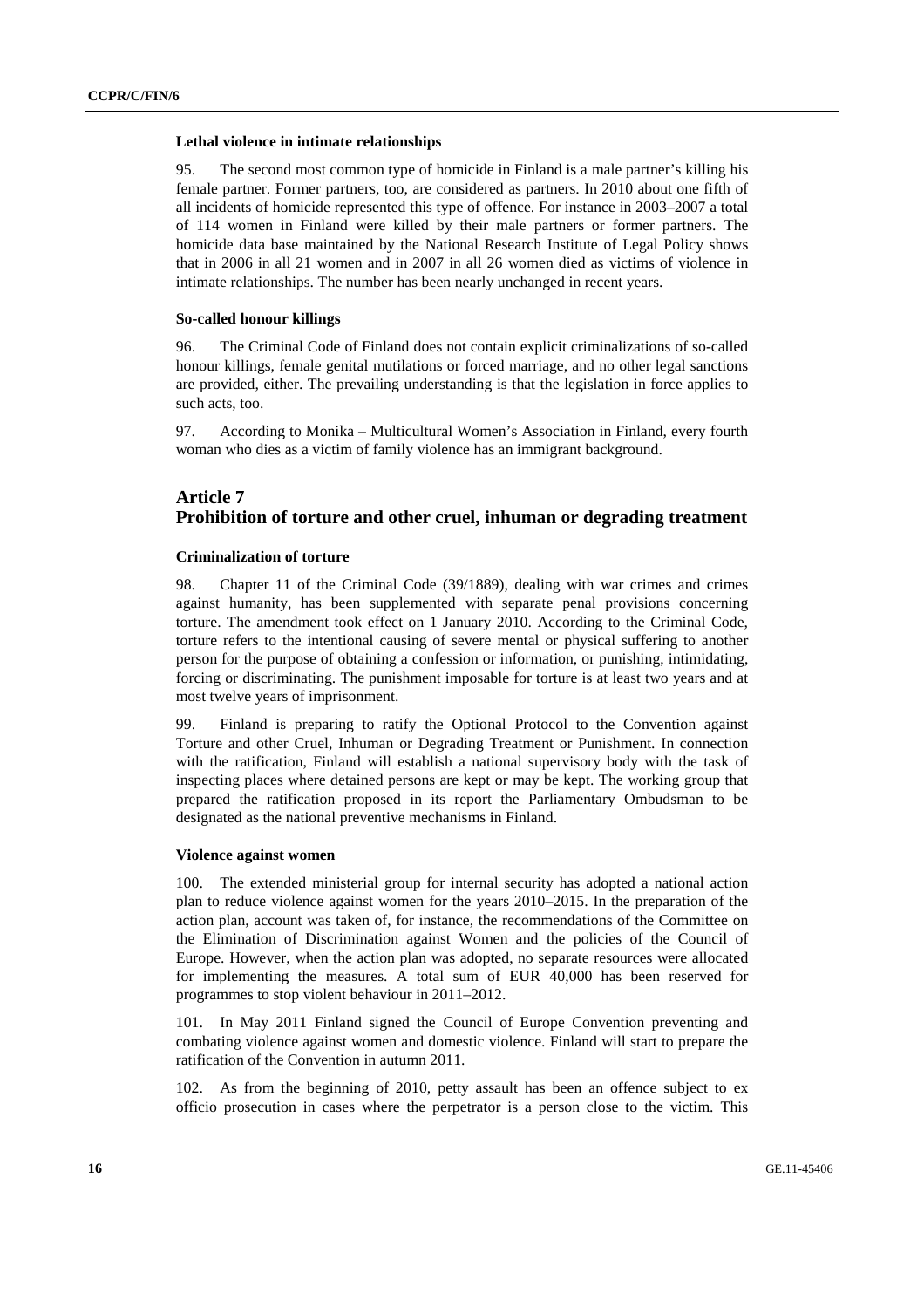#### **Lethal violence in intimate relationships**

95. The second most common type of homicide in Finland is a male partner's killing his female partner. Former partners, too, are considered as partners. In 2010 about one fifth of all incidents of homicide represented this type of offence. For instance in 2003–2007 a total of 114 women in Finland were killed by their male partners or former partners. The homicide data base maintained by the National Research Institute of Legal Policy shows that in 2006 in all 21 women and in 2007 in all 26 women died as victims of violence in intimate relationships. The number has been nearly unchanged in recent years.

### **So-called honour killings**

96. The Criminal Code of Finland does not contain explicit criminalizations of so-called honour killings, female genital mutilations or forced marriage, and no other legal sanctions are provided, either. The prevailing understanding is that the legislation in force applies to such acts, too.

97. According to Monika – Multicultural Women's Association in Finland, every fourth woman who dies as a victim of family violence has an immigrant background.

# **Article 7 Prohibition of torture and other cruel, inhuman or degrading treatment**

#### **Criminalization of torture**

98. Chapter 11 of the Criminal Code (39/1889), dealing with war crimes and crimes against humanity, has been supplemented with separate penal provisions concerning torture. The amendment took effect on 1 January 2010. According to the Criminal Code, torture refers to the intentional causing of severe mental or physical suffering to another person for the purpose of obtaining a confession or information, or punishing, intimidating, forcing or discriminating. The punishment imposable for torture is at least two years and at most twelve years of imprisonment.

99. Finland is preparing to ratify the Optional Protocol to the Convention against Torture and other Cruel, Inhuman or Degrading Treatment or Punishment. In connection with the ratification, Finland will establish a national supervisory body with the task of inspecting places where detained persons are kept or may be kept. The working group that prepared the ratification proposed in its report the Parliamentary Ombudsman to be designated as the national preventive mechanisms in Finland.

#### **Violence against women**

100. The extended ministerial group for internal security has adopted a national action plan to reduce violence against women for the years 2010–2015. In the preparation of the action plan, account was taken of, for instance, the recommendations of the Committee on the Elimination of Discrimination against Women and the policies of the Council of Europe. However, when the action plan was adopted, no separate resources were allocated for implementing the measures. A total sum of EUR 40,000 has been reserved for programmes to stop violent behaviour in 2011–2012.

101. In May 2011 Finland signed the Council of Europe Convention preventing and combating violence against women and domestic violence. Finland will start to prepare the ratification of the Convention in autumn 2011.

102. As from the beginning of 2010, petty assault has been an offence subject to ex officio prosecution in cases where the perpetrator is a person close to the victim. This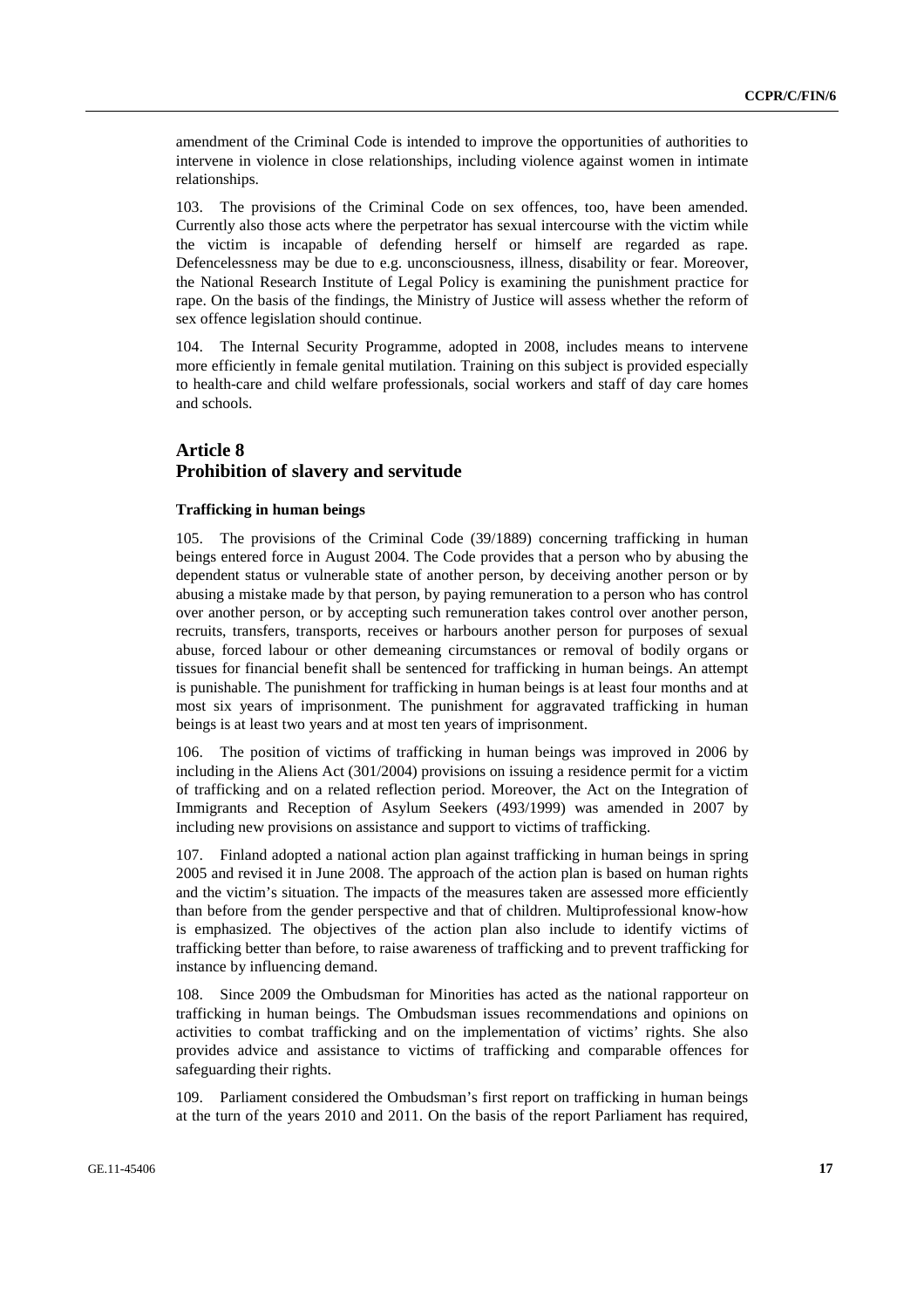amendment of the Criminal Code is intended to improve the opportunities of authorities to intervene in violence in close relationships, including violence against women in intimate relationships.

103. The provisions of the Criminal Code on sex offences, too, have been amended. Currently also those acts where the perpetrator has sexual intercourse with the victim while the victim is incapable of defending herself or himself are regarded as rape. Defencelessness may be due to e.g. unconsciousness, illness, disability or fear. Moreover, the National Research Institute of Legal Policy is examining the punishment practice for rape. On the basis of the findings, the Ministry of Justice will assess whether the reform of sex offence legislation should continue.

104. The Internal Security Programme, adopted in 2008, includes means to intervene more efficiently in female genital mutilation. Training on this subject is provided especially to health-care and child welfare professionals, social workers and staff of day care homes and schools.

# **Article 8 Prohibition of slavery and servitude**

#### **Trafficking in human beings**

105. The provisions of the Criminal Code (39/1889) concerning trafficking in human beings entered force in August 2004. The Code provides that a person who by abusing the dependent status or vulnerable state of another person, by deceiving another person or by abusing a mistake made by that person, by paying remuneration to a person who has control over another person, or by accepting such remuneration takes control over another person, recruits, transfers, transports, receives or harbours another person for purposes of sexual abuse, forced labour or other demeaning circumstances or removal of bodily organs or tissues for financial benefit shall be sentenced for trafficking in human beings. An attempt is punishable. The punishment for trafficking in human beings is at least four months and at most six years of imprisonment. The punishment for aggravated trafficking in human beings is at least two years and at most ten years of imprisonment.

106. The position of victims of trafficking in human beings was improved in 2006 by including in the Aliens Act (301/2004) provisions on issuing a residence permit for a victim of trafficking and on a related reflection period. Moreover, the Act on the Integration of Immigrants and Reception of Asylum Seekers (493/1999) was amended in 2007 by including new provisions on assistance and support to victims of trafficking.

107. Finland adopted a national action plan against trafficking in human beings in spring 2005 and revised it in June 2008. The approach of the action plan is based on human rights and the victim's situation. The impacts of the measures taken are assessed more efficiently than before from the gender perspective and that of children. Multiprofessional know-how is emphasized. The objectives of the action plan also include to identify victims of trafficking better than before, to raise awareness of trafficking and to prevent trafficking for instance by influencing demand.

108. Since 2009 the Ombudsman for Minorities has acted as the national rapporteur on trafficking in human beings. The Ombudsman issues recommendations and opinions on activities to combat trafficking and on the implementation of victims' rights. She also provides advice and assistance to victims of trafficking and comparable offences for safeguarding their rights.

109. Parliament considered the Ombudsman's first report on trafficking in human beings at the turn of the years 2010 and 2011. On the basis of the report Parliament has required,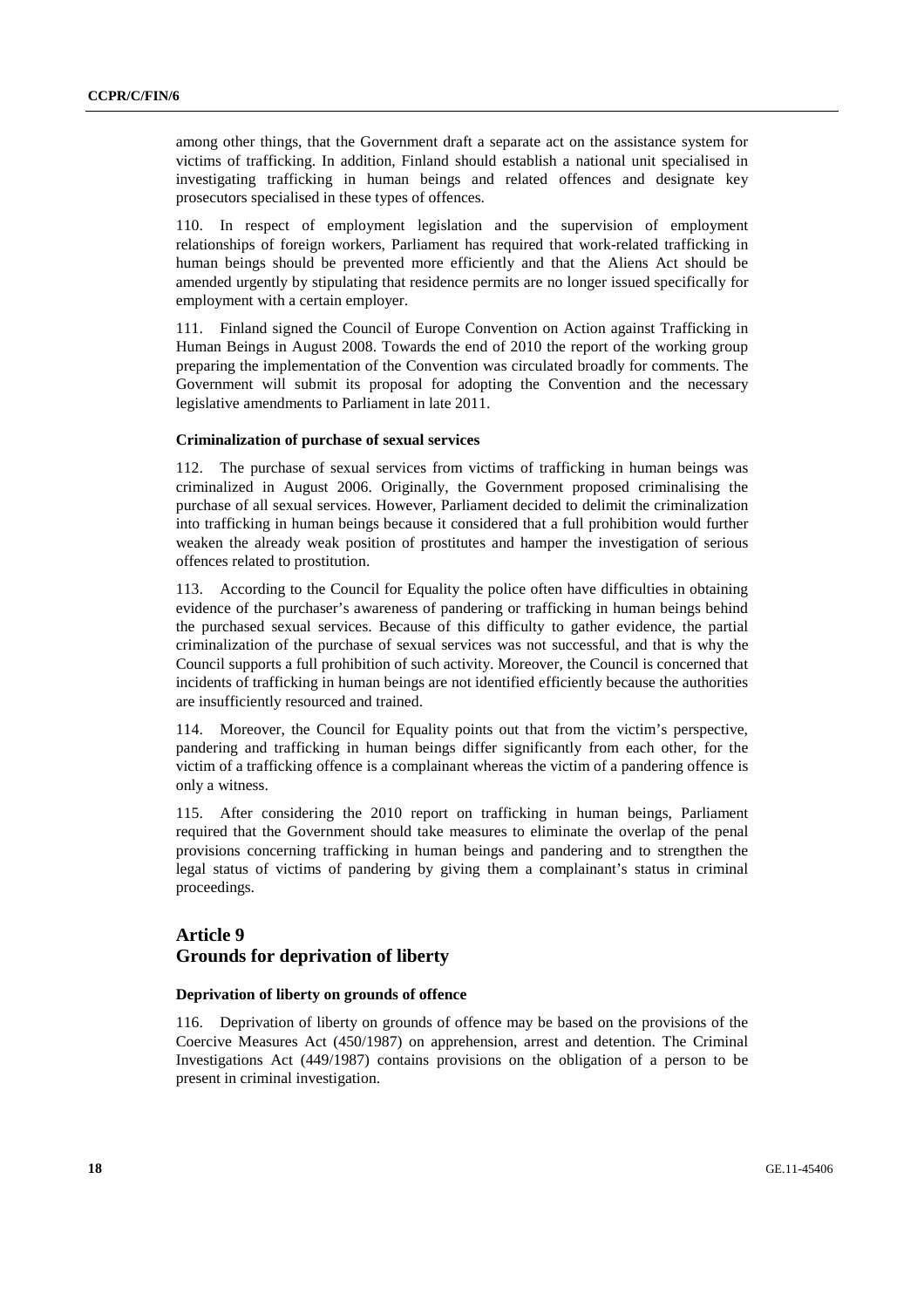among other things, that the Government draft a separate act on the assistance system for victims of trafficking. In addition, Finland should establish a national unit specialised in investigating trafficking in human beings and related offences and designate key prosecutors specialised in these types of offences.

110. In respect of employment legislation and the supervision of employment relationships of foreign workers, Parliament has required that work-related trafficking in human beings should be prevented more efficiently and that the Aliens Act should be amended urgently by stipulating that residence permits are no longer issued specifically for employment with a certain employer.

111. Finland signed the Council of Europe Convention on Action against Trafficking in Human Beings in August 2008. Towards the end of 2010 the report of the working group preparing the implementation of the Convention was circulated broadly for comments. The Government will submit its proposal for adopting the Convention and the necessary legislative amendments to Parliament in late 2011.

#### **Criminalization of purchase of sexual services**

112. The purchase of sexual services from victims of trafficking in human beings was criminalized in August 2006. Originally, the Government proposed criminalising the purchase of all sexual services. However, Parliament decided to delimit the criminalization into trafficking in human beings because it considered that a full prohibition would further weaken the already weak position of prostitutes and hamper the investigation of serious offences related to prostitution.

113. According to the Council for Equality the police often have difficulties in obtaining evidence of the purchaser's awareness of pandering or trafficking in human beings behind the purchased sexual services. Because of this difficulty to gather evidence, the partial criminalization of the purchase of sexual services was not successful, and that is why the Council supports a full prohibition of such activity. Moreover, the Council is concerned that incidents of trafficking in human beings are not identified efficiently because the authorities are insufficiently resourced and trained.

114. Moreover, the Council for Equality points out that from the victim's perspective, pandering and trafficking in human beings differ significantly from each other, for the victim of a trafficking offence is a complainant whereas the victim of a pandering offence is only a witness.

115. After considering the 2010 report on trafficking in human beings, Parliament required that the Government should take measures to eliminate the overlap of the penal provisions concerning trafficking in human beings and pandering and to strengthen the legal status of victims of pandering by giving them a complainant's status in criminal proceedings.

# **Article 9 Grounds for deprivation of liberty**

### **Deprivation of liberty on grounds of offence**

116. Deprivation of liberty on grounds of offence may be based on the provisions of the Coercive Measures Act (450/1987) on apprehension, arrest and detention. The Criminal Investigations Act (449/1987) contains provisions on the obligation of a person to be present in criminal investigation.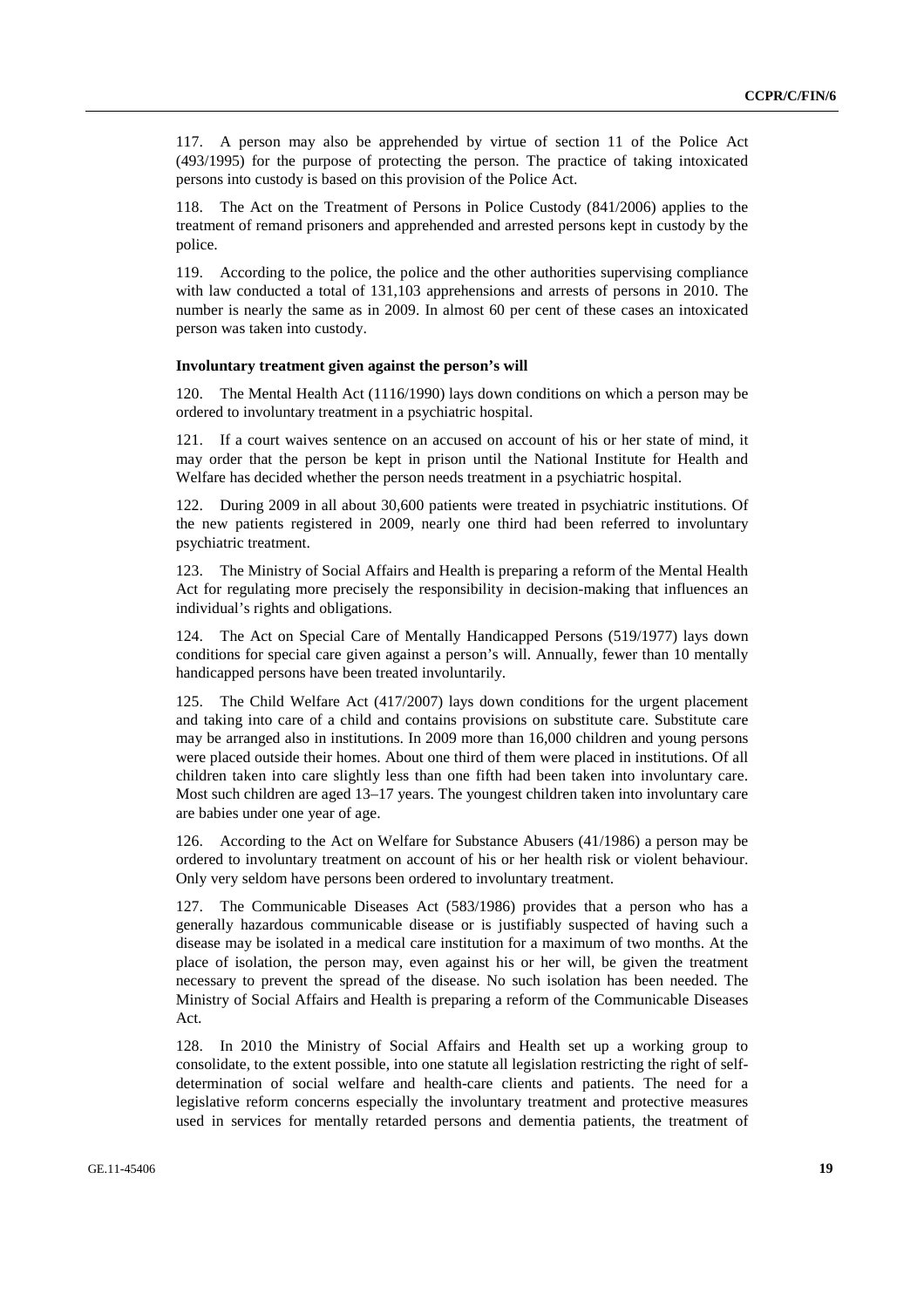117. A person may also be apprehended by virtue of section 11 of the Police Act (493/1995) for the purpose of protecting the person. The practice of taking intoxicated persons into custody is based on this provision of the Police Act.

118. The Act on the Treatment of Persons in Police Custody (841/2006) applies to the treatment of remand prisoners and apprehended and arrested persons kept in custody by the police.

119. According to the police, the police and the other authorities supervising compliance with law conducted a total of 131,103 apprehensions and arrests of persons in 2010. The number is nearly the same as in 2009. In almost 60 per cent of these cases an intoxicated person was taken into custody.

#### **Involuntary treatment given against the person's will**

120. The Mental Health Act (1116/1990) lays down conditions on which a person may be ordered to involuntary treatment in a psychiatric hospital.

121. If a court waives sentence on an accused on account of his or her state of mind, it may order that the person be kept in prison until the National Institute for Health and Welfare has decided whether the person needs treatment in a psychiatric hospital.

122. During 2009 in all about 30,600 patients were treated in psychiatric institutions. Of the new patients registered in 2009, nearly one third had been referred to involuntary psychiatric treatment.

123. The Ministry of Social Affairs and Health is preparing a reform of the Mental Health Act for regulating more precisely the responsibility in decision-making that influences an individual's rights and obligations.

124. The Act on Special Care of Mentally Handicapped Persons (519/1977) lays down conditions for special care given against a person's will. Annually, fewer than 10 mentally handicapped persons have been treated involuntarily.

125. The Child Welfare Act (417/2007) lays down conditions for the urgent placement and taking into care of a child and contains provisions on substitute care. Substitute care may be arranged also in institutions. In 2009 more than 16,000 children and young persons were placed outside their homes. About one third of them were placed in institutions. Of all children taken into care slightly less than one fifth had been taken into involuntary care. Most such children are aged 13–17 years. The youngest children taken into involuntary care are babies under one year of age.

126. According to the Act on Welfare for Substance Abusers (41/1986) a person may be ordered to involuntary treatment on account of his or her health risk or violent behaviour. Only very seldom have persons been ordered to involuntary treatment.

127. The Communicable Diseases Act (583/1986) provides that a person who has a generally hazardous communicable disease or is justifiably suspected of having such a disease may be isolated in a medical care institution for a maximum of two months. At the place of isolation, the person may, even against his or her will, be given the treatment necessary to prevent the spread of the disease. No such isolation has been needed. The Ministry of Social Affairs and Health is preparing a reform of the Communicable Diseases Act.

128. In 2010 the Ministry of Social Affairs and Health set up a working group to consolidate, to the extent possible, into one statute all legislation restricting the right of selfdetermination of social welfare and health-care clients and patients. The need for a legislative reform concerns especially the involuntary treatment and protective measures used in services for mentally retarded persons and dementia patients, the treatment of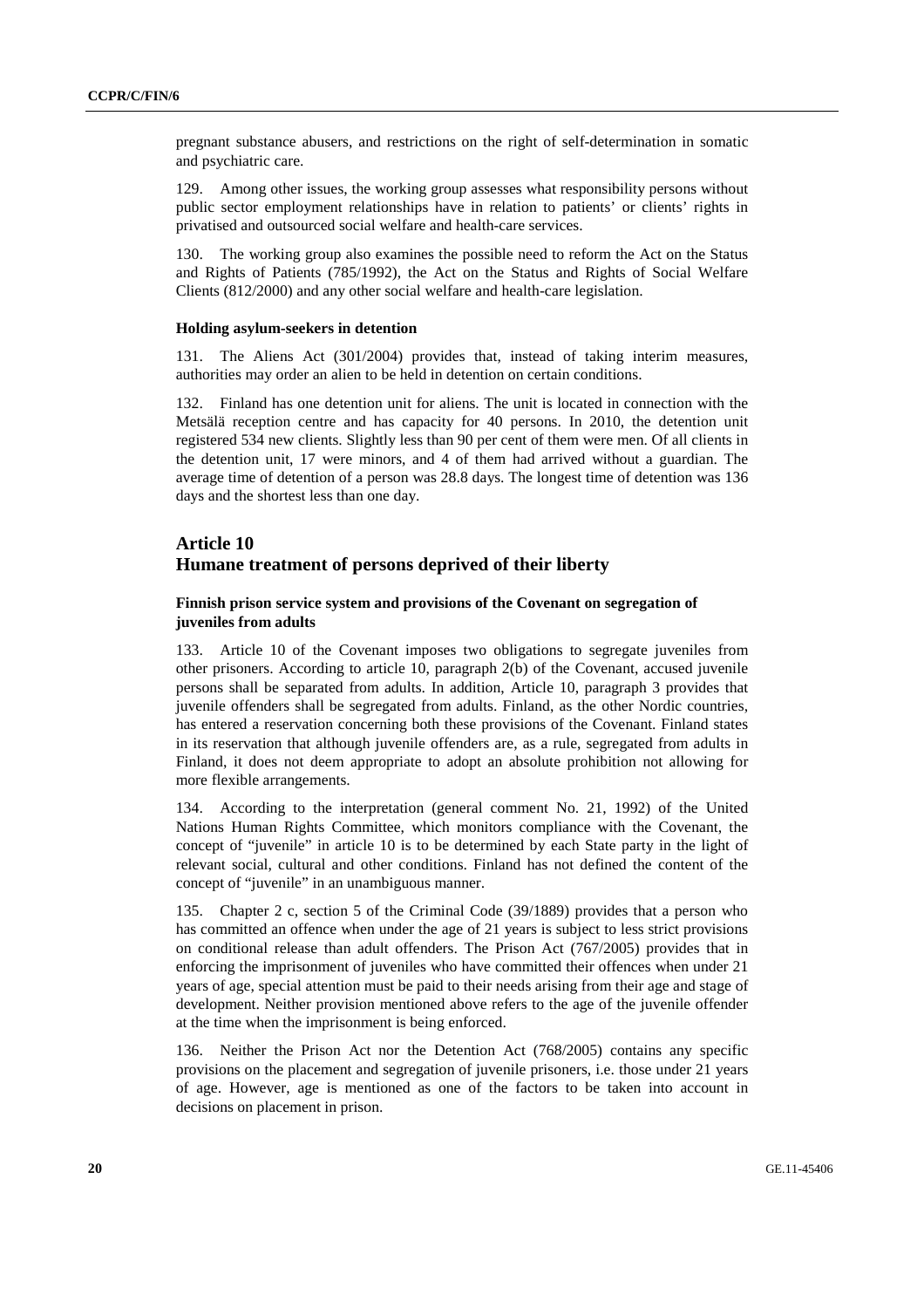pregnant substance abusers, and restrictions on the right of self-determination in somatic and psychiatric care.

129. Among other issues, the working group assesses what responsibility persons without public sector employment relationships have in relation to patients' or clients' rights in privatised and outsourced social welfare and health-care services.

130. The working group also examines the possible need to reform the Act on the Status and Rights of Patients (785/1992), the Act on the Status and Rights of Social Welfare Clients (812/2000) and any other social welfare and health-care legislation.

#### **Holding asylum-seekers in detention**

131. The Aliens Act (301/2004) provides that, instead of taking interim measures, authorities may order an alien to be held in detention on certain conditions.

132. Finland has one detention unit for aliens. The unit is located in connection with the Metsälä reception centre and has capacity for 40 persons. In 2010, the detention unit registered 534 new clients. Slightly less than 90 per cent of them were men. Of all clients in the detention unit, 17 were minors, and 4 of them had arrived without a guardian. The average time of detention of a person was 28.8 days. The longest time of detention was 136 days and the shortest less than one day.

# **Article 10 Humane treatment of persons deprived of their liberty**

### **Finnish prison service system and provisions of the Covenant on segregation of juveniles from adults**

133. Article 10 of the Covenant imposes two obligations to segregate juveniles from other prisoners. According to article 10, paragraph 2(b) of the Covenant, accused juvenile persons shall be separated from adults. In addition, Article 10, paragraph 3 provides that juvenile offenders shall be segregated from adults. Finland, as the other Nordic countries, has entered a reservation concerning both these provisions of the Covenant. Finland states in its reservation that although juvenile offenders are, as a rule, segregated from adults in Finland, it does not deem appropriate to adopt an absolute prohibition not allowing for more flexible arrangements.

134. According to the interpretation (general comment No. 21, 1992) of the United Nations Human Rights Committee, which monitors compliance with the Covenant, the concept of "juvenile" in article 10 is to be determined by each State party in the light of relevant social, cultural and other conditions. Finland has not defined the content of the concept of "juvenile" in an unambiguous manner.

135. Chapter 2 c, section 5 of the Criminal Code (39/1889) provides that a person who has committed an offence when under the age of 21 years is subject to less strict provisions on conditional release than adult offenders. The Prison Act (767/2005) provides that in enforcing the imprisonment of juveniles who have committed their offences when under 21 years of age, special attention must be paid to their needs arising from their age and stage of development. Neither provision mentioned above refers to the age of the juvenile offender at the time when the imprisonment is being enforced.

136. Neither the Prison Act nor the Detention Act (768/2005) contains any specific provisions on the placement and segregation of juvenile prisoners, i.e. those under 21 years of age. However, age is mentioned as one of the factors to be taken into account in decisions on placement in prison.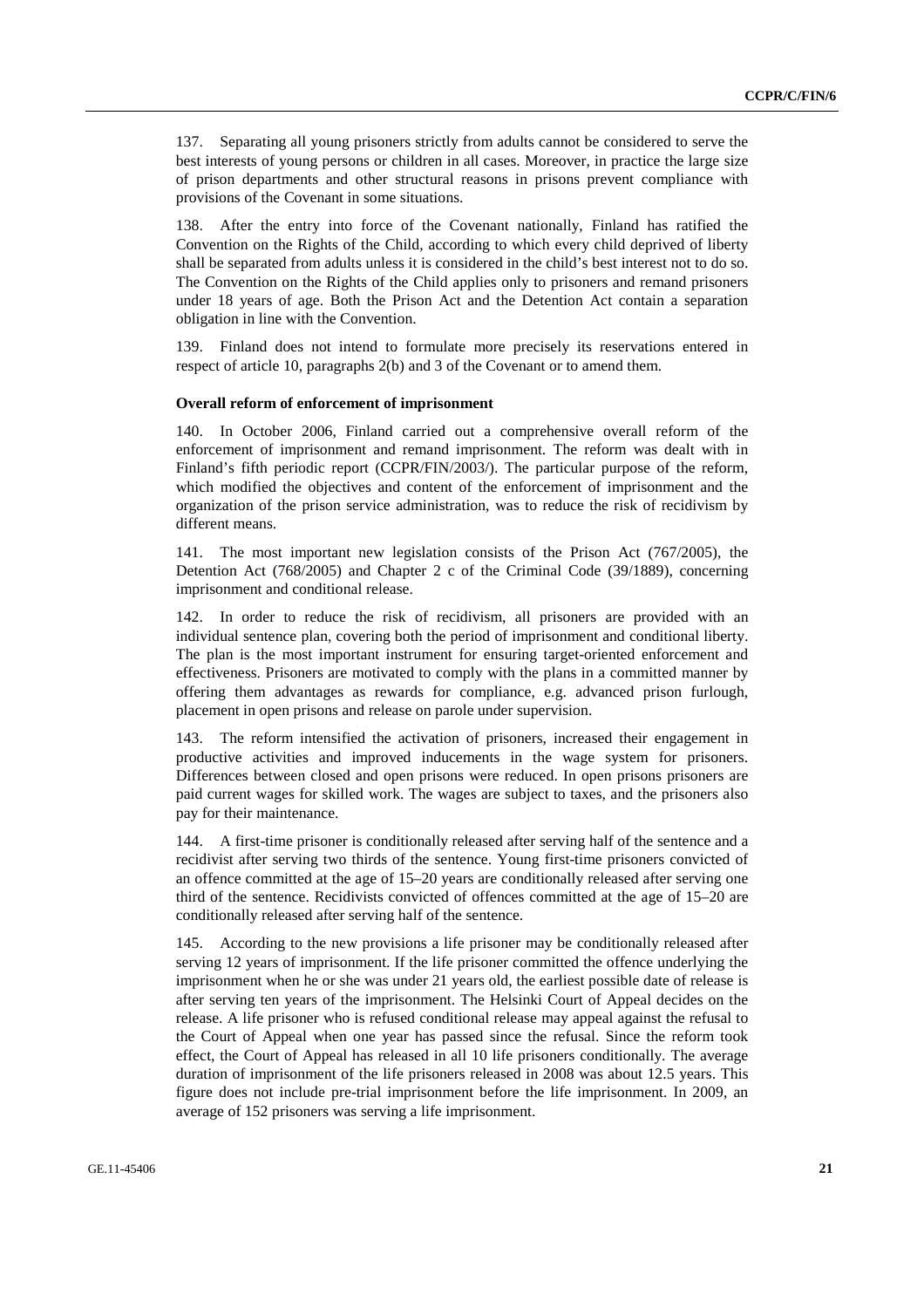137. Separating all young prisoners strictly from adults cannot be considered to serve the best interests of young persons or children in all cases. Moreover, in practice the large size of prison departments and other structural reasons in prisons prevent compliance with provisions of the Covenant in some situations.

After the entry into force of the Covenant nationally, Finland has ratified the Convention on the Rights of the Child, according to which every child deprived of liberty shall be separated from adults unless it is considered in the child's best interest not to do so. The Convention on the Rights of the Child applies only to prisoners and remand prisoners under 18 years of age. Both the Prison Act and the Detention Act contain a separation obligation in line with the Convention.

139. Finland does not intend to formulate more precisely its reservations entered in respect of article 10, paragraphs 2(b) and 3 of the Covenant or to amend them.

### **Overall reform of enforcement of imprisonment**

140. In October 2006, Finland carried out a comprehensive overall reform of the enforcement of imprisonment and remand imprisonment. The reform was dealt with in Finland's fifth periodic report (CCPR/FIN/2003/). The particular purpose of the reform, which modified the objectives and content of the enforcement of imprisonment and the organization of the prison service administration, was to reduce the risk of recidivism by different means.

141. The most important new legislation consists of the Prison Act (767/2005), the Detention Act (768/2005) and Chapter 2 c of the Criminal Code (39/1889), concerning imprisonment and conditional release.

142. In order to reduce the risk of recidivism, all prisoners are provided with an individual sentence plan, covering both the period of imprisonment and conditional liberty. The plan is the most important instrument for ensuring target-oriented enforcement and effectiveness. Prisoners are motivated to comply with the plans in a committed manner by offering them advantages as rewards for compliance, e.g. advanced prison furlough, placement in open prisons and release on parole under supervision.

143. The reform intensified the activation of prisoners, increased their engagement in productive activities and improved inducements in the wage system for prisoners. Differences between closed and open prisons were reduced. In open prisons prisoners are paid current wages for skilled work. The wages are subject to taxes, and the prisoners also pay for their maintenance.

144. A first-time prisoner is conditionally released after serving half of the sentence and a recidivist after serving two thirds of the sentence. Young first-time prisoners convicted of an offence committed at the age of 15–20 years are conditionally released after serving one third of the sentence. Recidivists convicted of offences committed at the age of 15–20 are conditionally released after serving half of the sentence.

145. According to the new provisions a life prisoner may be conditionally released after serving 12 years of imprisonment. If the life prisoner committed the offence underlying the imprisonment when he or she was under 21 years old, the earliest possible date of release is after serving ten years of the imprisonment. The Helsinki Court of Appeal decides on the release. A life prisoner who is refused conditional release may appeal against the refusal to the Court of Appeal when one year has passed since the refusal. Since the reform took effect, the Court of Appeal has released in all 10 life prisoners conditionally. The average duration of imprisonment of the life prisoners released in 2008 was about 12.5 years. This figure does not include pre-trial imprisonment before the life imprisonment. In 2009, an average of 152 prisoners was serving a life imprisonment.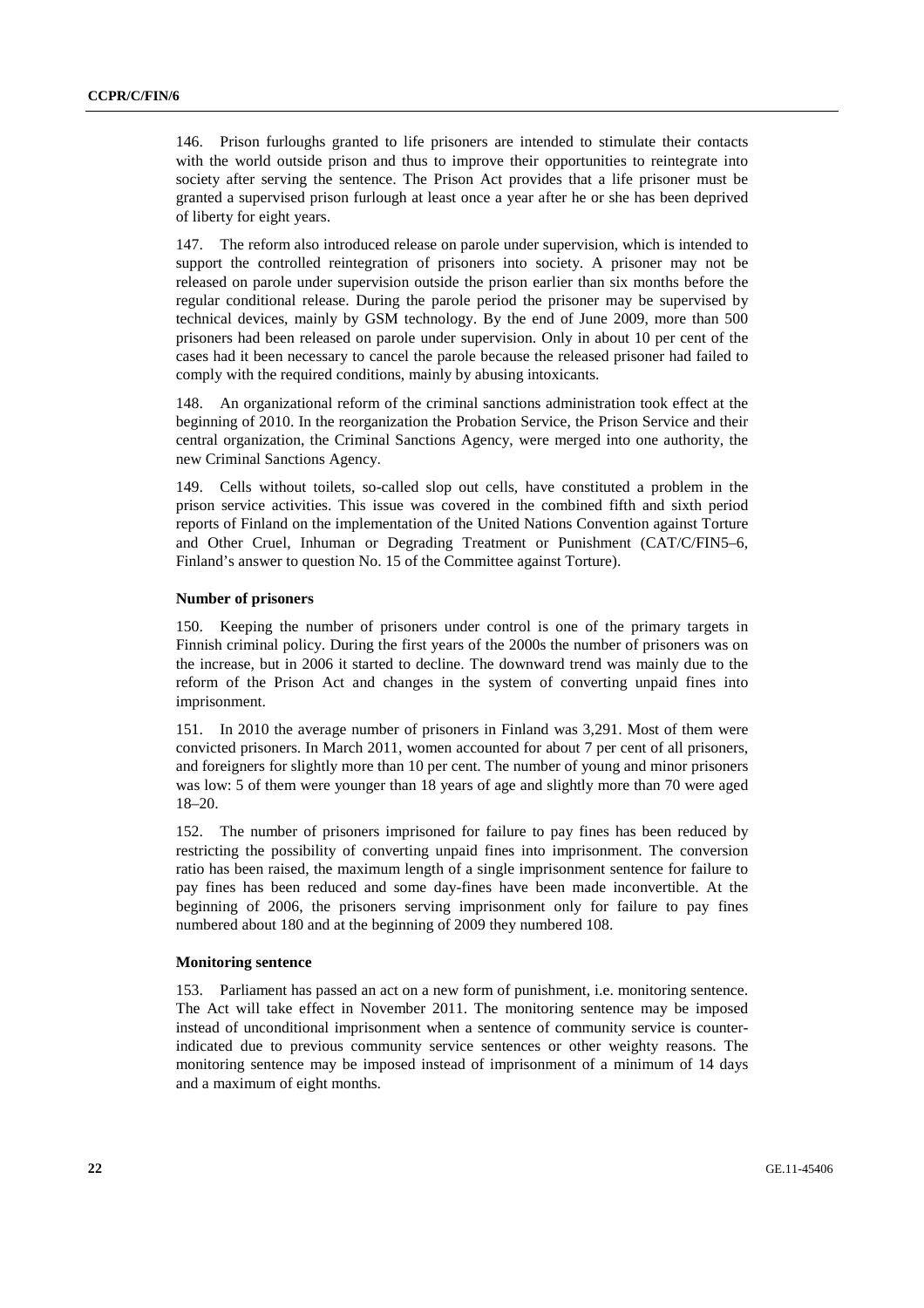146. Prison furloughs granted to life prisoners are intended to stimulate their contacts with the world outside prison and thus to improve their opportunities to reintegrate into society after serving the sentence. The Prison Act provides that a life prisoner must be granted a supervised prison furlough at least once a year after he or she has been deprived of liberty for eight years.

147. The reform also introduced release on parole under supervision, which is intended to support the controlled reintegration of prisoners into society. A prisoner may not be released on parole under supervision outside the prison earlier than six months before the regular conditional release. During the parole period the prisoner may be supervised by technical devices, mainly by GSM technology. By the end of June 2009, more than 500 prisoners had been released on parole under supervision. Only in about 10 per cent of the cases had it been necessary to cancel the parole because the released prisoner had failed to comply with the required conditions, mainly by abusing intoxicants.

148. An organizational reform of the criminal sanctions administration took effect at the beginning of 2010. In the reorganization the Probation Service, the Prison Service and their central organization, the Criminal Sanctions Agency, were merged into one authority, the new Criminal Sanctions Agency.

149. Cells without toilets, so-called slop out cells, have constituted a problem in the prison service activities. This issue was covered in the combined fifth and sixth period reports of Finland on the implementation of the United Nations Convention against Torture and Other Cruel, Inhuman or Degrading Treatment or Punishment (CAT/C/FIN5–6, Finland's answer to question No. 15 of the Committee against Torture).

#### **Number of prisoners**

150. Keeping the number of prisoners under control is one of the primary targets in Finnish criminal policy. During the first years of the 2000s the number of prisoners was on the increase, but in 2006 it started to decline. The downward trend was mainly due to the reform of the Prison Act and changes in the system of converting unpaid fines into imprisonment.

151. In 2010 the average number of prisoners in Finland was 3,291. Most of them were convicted prisoners. In March 2011, women accounted for about 7 per cent of all prisoners, and foreigners for slightly more than 10 per cent. The number of young and minor prisoners was low: 5 of them were younger than 18 years of age and slightly more than 70 were aged 18–20.

152. The number of prisoners imprisoned for failure to pay fines has been reduced by restricting the possibility of converting unpaid fines into imprisonment. The conversion ratio has been raised, the maximum length of a single imprisonment sentence for failure to pay fines has been reduced and some day-fines have been made inconvertible. At the beginning of 2006, the prisoners serving imprisonment only for failure to pay fines numbered about 180 and at the beginning of 2009 they numbered 108.

#### **Monitoring sentence**

153. Parliament has passed an act on a new form of punishment, i.e. monitoring sentence. The Act will take effect in November 2011. The monitoring sentence may be imposed instead of unconditional imprisonment when a sentence of community service is counterindicated due to previous community service sentences or other weighty reasons. The monitoring sentence may be imposed instead of imprisonment of a minimum of 14 days and a maximum of eight months.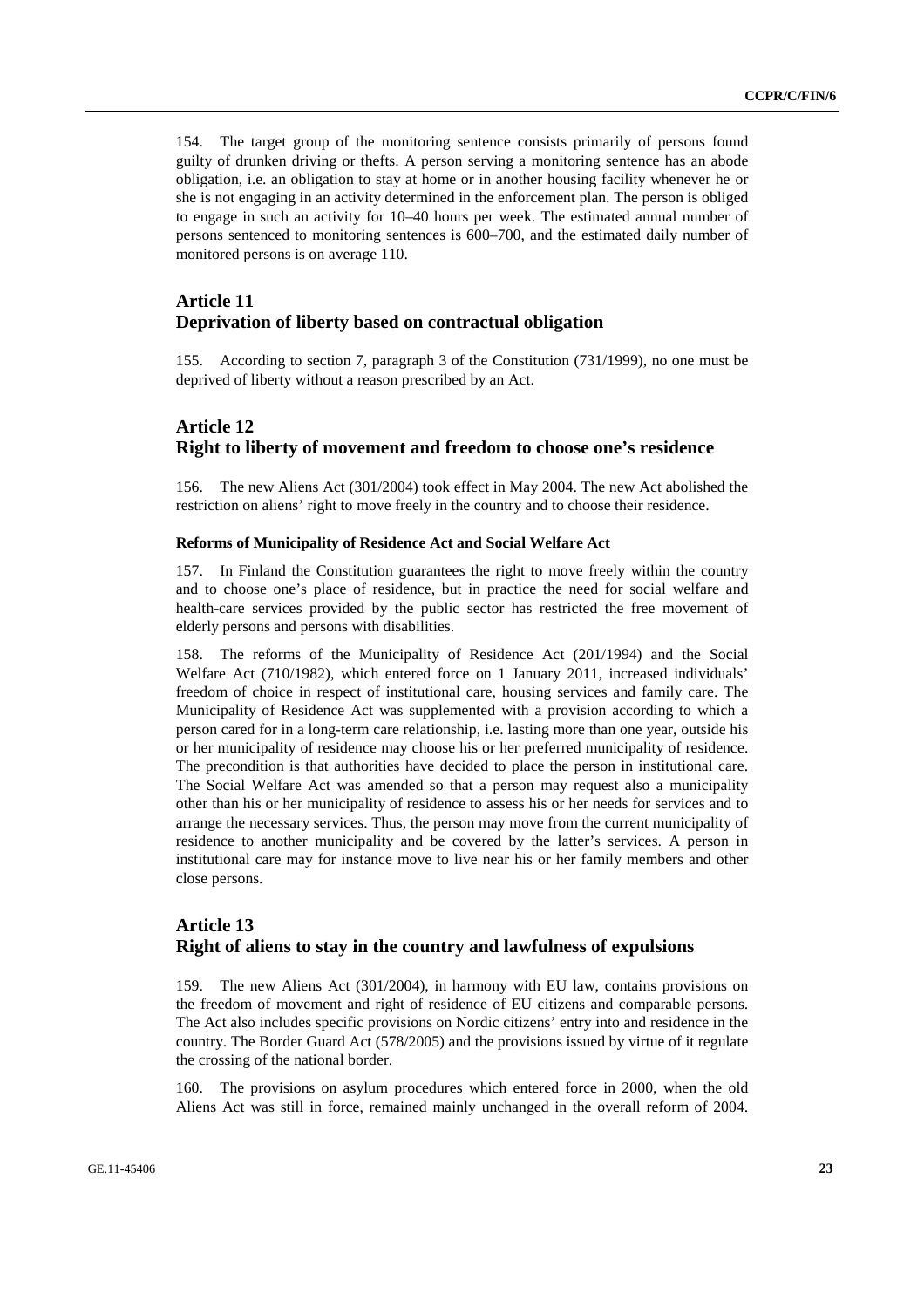154. The target group of the monitoring sentence consists primarily of persons found guilty of drunken driving or thefts. A person serving a monitoring sentence has an abode obligation, i.e. an obligation to stay at home or in another housing facility whenever he or she is not engaging in an activity determined in the enforcement plan. The person is obliged to engage in such an activity for 10–40 hours per week. The estimated annual number of persons sentenced to monitoring sentences is 600–700, and the estimated daily number of monitored persons is on average 110.

# **Article 11 Deprivation of liberty based on contractual obligation**

155. According to section 7, paragraph 3 of the Constitution (731/1999), no one must be deprived of liberty without a reason prescribed by an Act.

# **Article 12 Right to liberty of movement and freedom to choose one's residence**

156. The new Aliens Act (301/2004) took effect in May 2004. The new Act abolished the restriction on aliens' right to move freely in the country and to choose their residence.

#### **Reforms of Municipality of Residence Act and Social Welfare Act**

157. In Finland the Constitution guarantees the right to move freely within the country and to choose one's place of residence, but in practice the need for social welfare and health-care services provided by the public sector has restricted the free movement of elderly persons and persons with disabilities.

158. The reforms of the Municipality of Residence Act (201/1994) and the Social Welfare Act (710/1982), which entered force on 1 January 2011, increased individuals' freedom of choice in respect of institutional care, housing services and family care. The Municipality of Residence Act was supplemented with a provision according to which a person cared for in a long-term care relationship, i.e. lasting more than one year, outside his or her municipality of residence may choose his or her preferred municipality of residence. The precondition is that authorities have decided to place the person in institutional care. The Social Welfare Act was amended so that a person may request also a municipality other than his or her municipality of residence to assess his or her needs for services and to arrange the necessary services. Thus, the person may move from the current municipality of residence to another municipality and be covered by the latter's services. A person in institutional care may for instance move to live near his or her family members and other close persons.

# **Article 13 Right of aliens to stay in the country and lawfulness of expulsions**

159. The new Aliens Act (301/2004), in harmony with EU law, contains provisions on the freedom of movement and right of residence of EU citizens and comparable persons. The Act also includes specific provisions on Nordic citizens' entry into and residence in the country. The Border Guard Act (578/2005) and the provisions issued by virtue of it regulate the crossing of the national border.

160. The provisions on asylum procedures which entered force in 2000, when the old Aliens Act was still in force, remained mainly unchanged in the overall reform of 2004.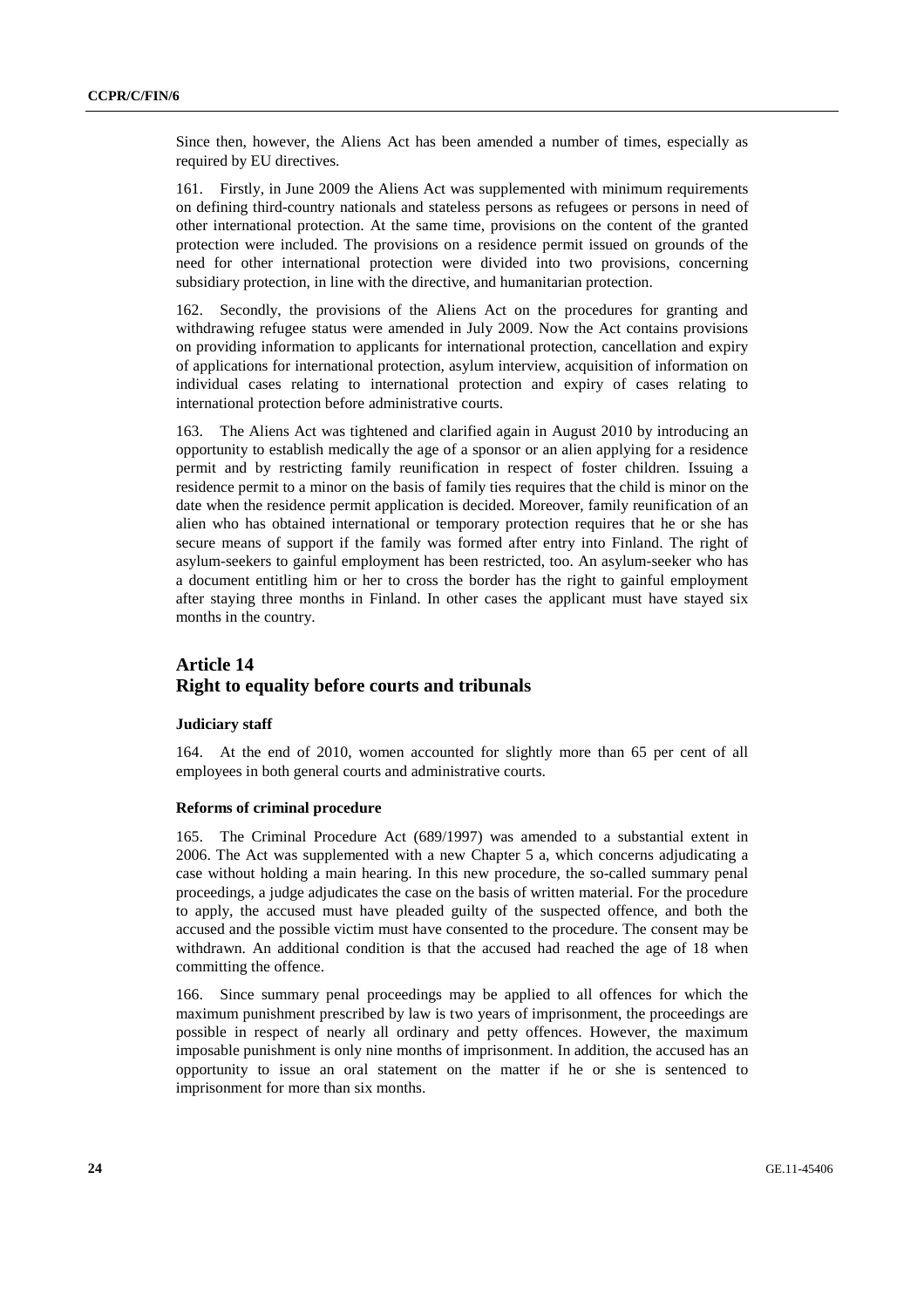Since then, however, the Aliens Act has been amended a number of times, especially as required by EU directives.

161. Firstly, in June 2009 the Aliens Act was supplemented with minimum requirements on defining third-country nationals and stateless persons as refugees or persons in need of other international protection. At the same time, provisions on the content of the granted protection were included. The provisions on a residence permit issued on grounds of the need for other international protection were divided into two provisions, concerning subsidiary protection, in line with the directive, and humanitarian protection.

162. Secondly, the provisions of the Aliens Act on the procedures for granting and withdrawing refugee status were amended in July 2009. Now the Act contains provisions on providing information to applicants for international protection, cancellation and expiry of applications for international protection, asylum interview, acquisition of information on individual cases relating to international protection and expiry of cases relating to international protection before administrative courts.

163. The Aliens Act was tightened and clarified again in August 2010 by introducing an opportunity to establish medically the age of a sponsor or an alien applying for a residence permit and by restricting family reunification in respect of foster children. Issuing a residence permit to a minor on the basis of family ties requires that the child is minor on the date when the residence permit application is decided. Moreover, family reunification of an alien who has obtained international or temporary protection requires that he or she has secure means of support if the family was formed after entry into Finland. The right of asylum-seekers to gainful employment has been restricted, too. An asylum-seeker who has a document entitling him or her to cross the border has the right to gainful employment after staying three months in Finland. In other cases the applicant must have stayed six months in the country.

### **Article 14 Right to equality before courts and tribunals**

### **Judiciary staff**

164. At the end of 2010, women accounted for slightly more than 65 per cent of all employees in both general courts and administrative courts.

#### **Reforms of criminal procedure**

165. The Criminal Procedure Act (689/1997) was amended to a substantial extent in 2006. The Act was supplemented with a new Chapter 5 a, which concerns adjudicating a case without holding a main hearing. In this new procedure, the so-called summary penal proceedings, a judge adjudicates the case on the basis of written material. For the procedure to apply, the accused must have pleaded guilty of the suspected offence, and both the accused and the possible victim must have consented to the procedure. The consent may be withdrawn. An additional condition is that the accused had reached the age of 18 when committing the offence.

166. Since summary penal proceedings may be applied to all offences for which the maximum punishment prescribed by law is two years of imprisonment, the proceedings are possible in respect of nearly all ordinary and petty offences. However, the maximum imposable punishment is only nine months of imprisonment. In addition, the accused has an opportunity to issue an oral statement on the matter if he or she is sentenced to imprisonment for more than six months.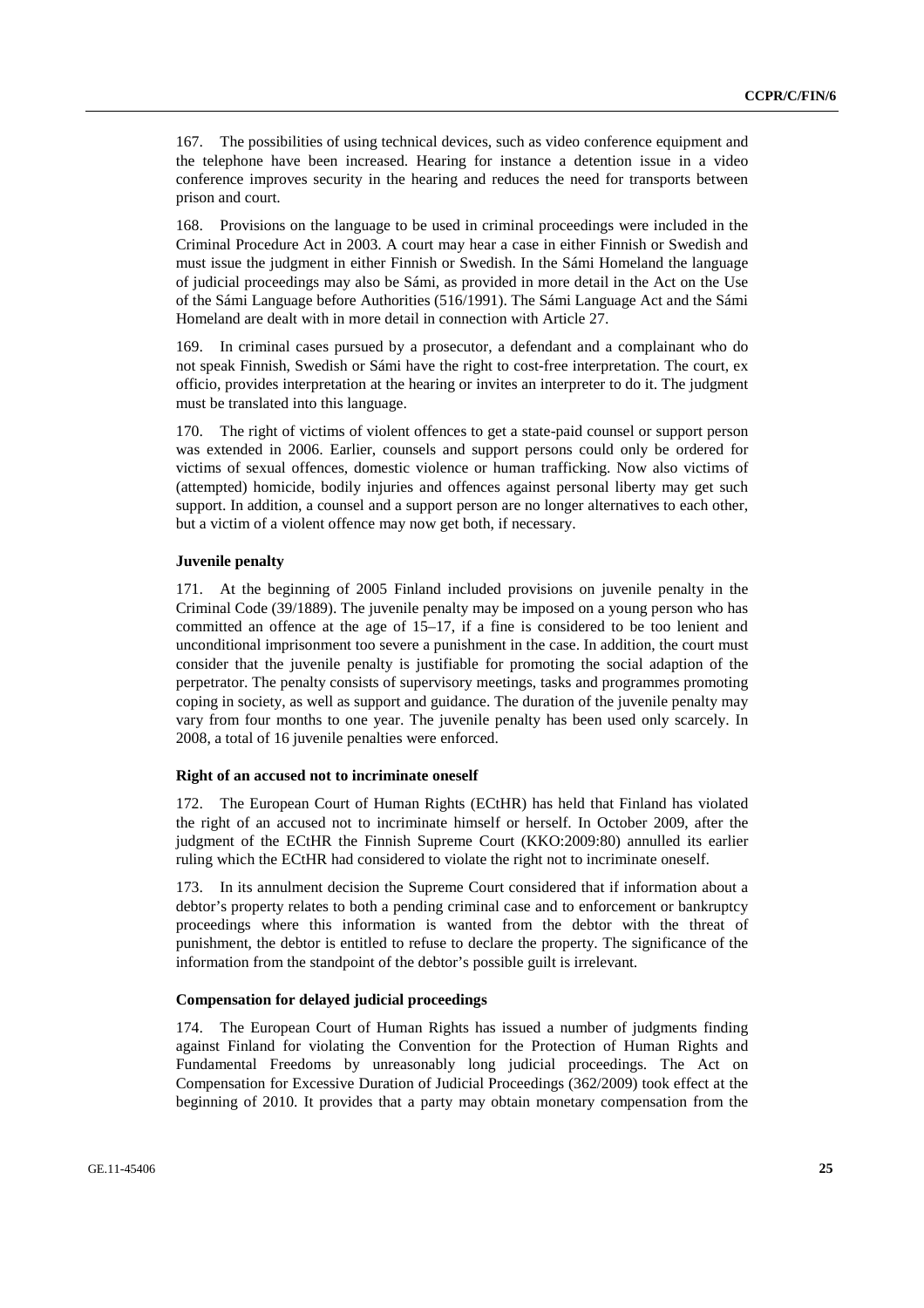167. The possibilities of using technical devices, such as video conference equipment and the telephone have been increased. Hearing for instance a detention issue in a video conference improves security in the hearing and reduces the need for transports between prison and court.

168. Provisions on the language to be used in criminal proceedings were included in the Criminal Procedure Act in 2003. A court may hear a case in either Finnish or Swedish and must issue the judgment in either Finnish or Swedish. In the Sámi Homeland the language of judicial proceedings may also be Sámi, as provided in more detail in the Act on the Use of the Sámi Language before Authorities (516/1991). The Sámi Language Act and the Sámi Homeland are dealt with in more detail in connection with Article 27.

169. In criminal cases pursued by a prosecutor, a defendant and a complainant who do not speak Finnish, Swedish or Sámi have the right to cost-free interpretation. The court, ex officio, provides interpretation at the hearing or invites an interpreter to do it. The judgment must be translated into this language.

170. The right of victims of violent offences to get a state-paid counsel or support person was extended in 2006. Earlier, counsels and support persons could only be ordered for victims of sexual offences, domestic violence or human trafficking. Now also victims of (attempted) homicide, bodily injuries and offences against personal liberty may get such support. In addition, a counsel and a support person are no longer alternatives to each other, but a victim of a violent offence may now get both, if necessary.

#### **Juvenile penalty**

171. At the beginning of 2005 Finland included provisions on juvenile penalty in the Criminal Code (39/1889). The juvenile penalty may be imposed on a young person who has committed an offence at the age of 15–17, if a fine is considered to be too lenient and unconditional imprisonment too severe a punishment in the case. In addition, the court must consider that the juvenile penalty is justifiable for promoting the social adaption of the perpetrator. The penalty consists of supervisory meetings, tasks and programmes promoting coping in society, as well as support and guidance. The duration of the juvenile penalty may vary from four months to one year. The juvenile penalty has been used only scarcely. In 2008, a total of 16 juvenile penalties were enforced.

#### **Right of an accused not to incriminate oneself**

172. The European Court of Human Rights (ECtHR) has held that Finland has violated the right of an accused not to incriminate himself or herself. In October 2009, after the judgment of the ECtHR the Finnish Supreme Court (KKO:2009:80) annulled its earlier ruling which the ECtHR had considered to violate the right not to incriminate oneself.

173. In its annulment decision the Supreme Court considered that if information about a debtor's property relates to both a pending criminal case and to enforcement or bankruptcy proceedings where this information is wanted from the debtor with the threat of punishment, the debtor is entitled to refuse to declare the property. The significance of the information from the standpoint of the debtor's possible guilt is irrelevant.

#### **Compensation for delayed judicial proceedings**

174. The European Court of Human Rights has issued a number of judgments finding against Finland for violating the Convention for the Protection of Human Rights and Fundamental Freedoms by unreasonably long judicial proceedings. The Act on Compensation for Excessive Duration of Judicial Proceedings (362/2009) took effect at the beginning of 2010. It provides that a party may obtain monetary compensation from the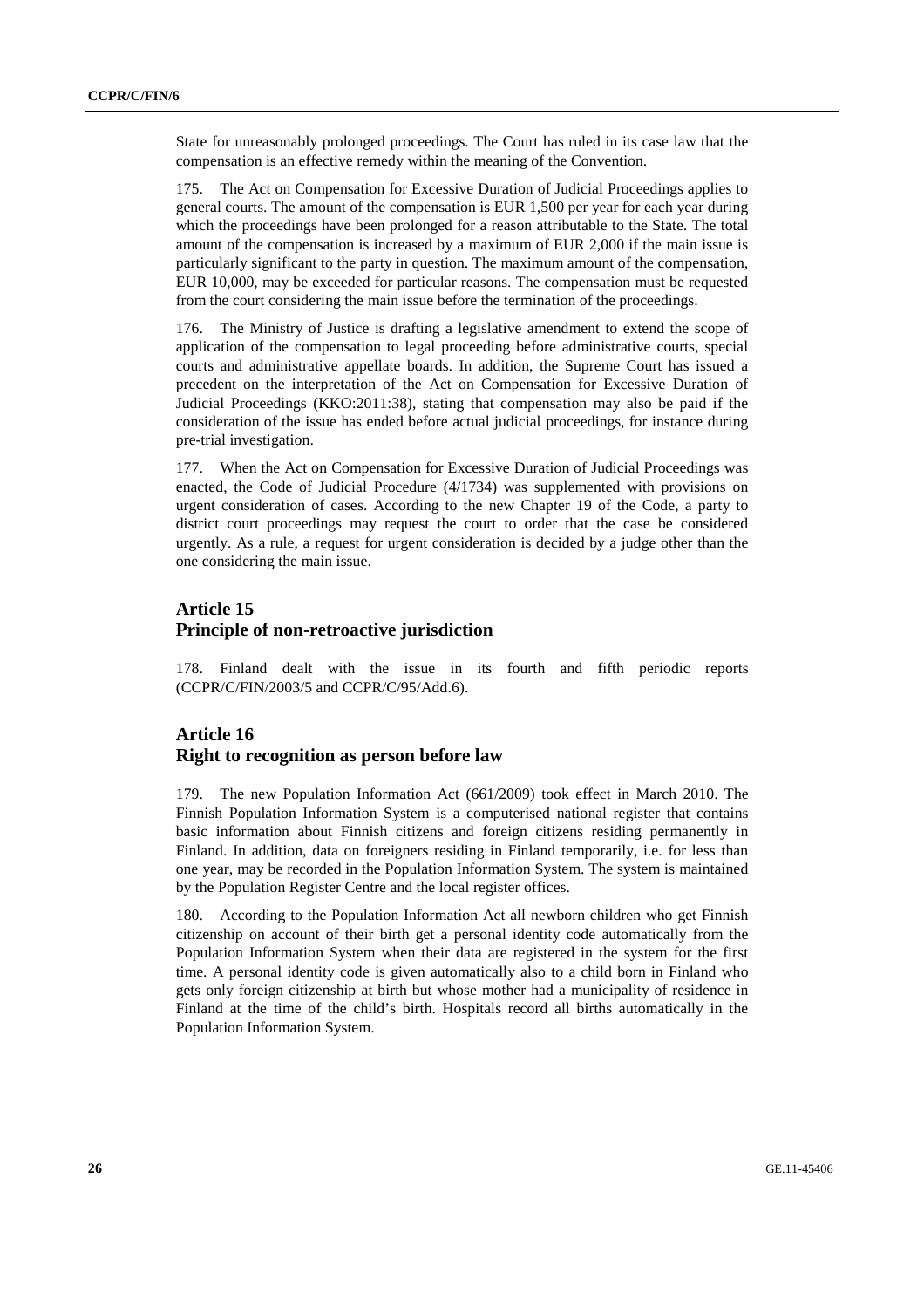State for unreasonably prolonged proceedings. The Court has ruled in its case law that the compensation is an effective remedy within the meaning of the Convention.

175. The Act on Compensation for Excessive Duration of Judicial Proceedings applies to general courts. The amount of the compensation is EUR 1,500 per year for each year during which the proceedings have been prolonged for a reason attributable to the State. The total amount of the compensation is increased by a maximum of EUR 2,000 if the main issue is particularly significant to the party in question. The maximum amount of the compensation, EUR 10,000, may be exceeded for particular reasons. The compensation must be requested from the court considering the main issue before the termination of the proceedings.

176. The Ministry of Justice is drafting a legislative amendment to extend the scope of application of the compensation to legal proceeding before administrative courts, special courts and administrative appellate boards. In addition, the Supreme Court has issued a precedent on the interpretation of the Act on Compensation for Excessive Duration of Judicial Proceedings (KKO:2011:38), stating that compensation may also be paid if the consideration of the issue has ended before actual judicial proceedings, for instance during pre-trial investigation.

177. When the Act on Compensation for Excessive Duration of Judicial Proceedings was enacted, the Code of Judicial Procedure (4/1734) was supplemented with provisions on urgent consideration of cases. According to the new Chapter 19 of the Code, a party to district court proceedings may request the court to order that the case be considered urgently. As a rule, a request for urgent consideration is decided by a judge other than the one considering the main issue.

# **Article 15 Principle of non-retroactive jurisdiction**

178. Finland dealt with the issue in its fourth and fifth periodic reports (CCPR/C/FIN/2003/5 and CCPR/C/95/Add.6).

# **Article 16 Right to recognition as person before law**

179. The new Population Information Act (661/2009) took effect in March 2010. The Finnish Population Information System is a computerised national register that contains basic information about Finnish citizens and foreign citizens residing permanently in Finland. In addition, data on foreigners residing in Finland temporarily, i.e. for less than one year, may be recorded in the Population Information System. The system is maintained by the Population Register Centre and the local register offices.

180. According to the Population Information Act all newborn children who get Finnish citizenship on account of their birth get a personal identity code automatically from the Population Information System when their data are registered in the system for the first time. A personal identity code is given automatically also to a child born in Finland who gets only foreign citizenship at birth but whose mother had a municipality of residence in Finland at the time of the child's birth. Hospitals record all births automatically in the Population Information System.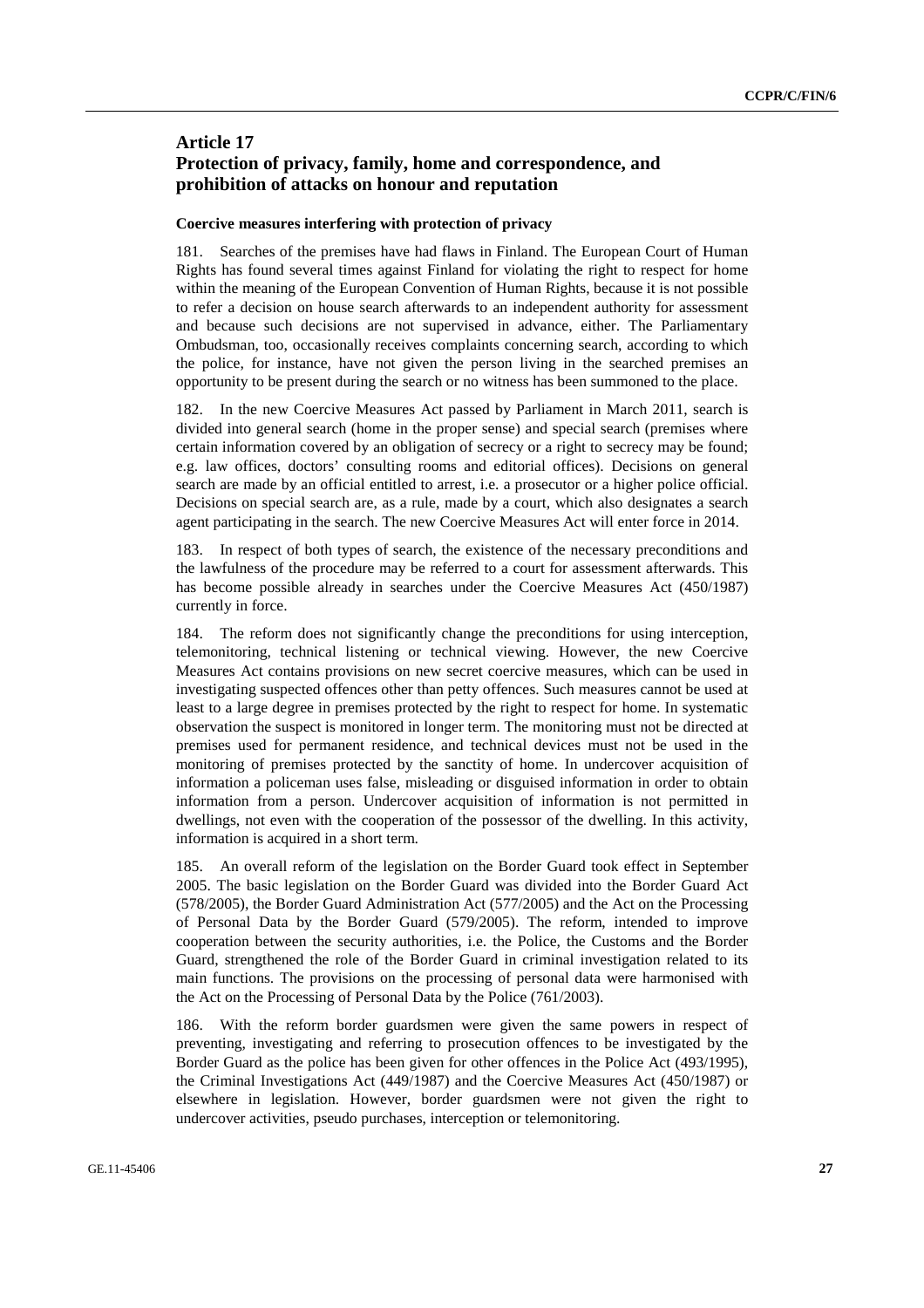# **Article 17 Protection of privacy, family, home and correspondence, and prohibition of attacks on honour and reputation**

#### **Coercive measures interfering with protection of privacy**

181. Searches of the premises have had flaws in Finland. The European Court of Human Rights has found several times against Finland for violating the right to respect for home within the meaning of the European Convention of Human Rights, because it is not possible to refer a decision on house search afterwards to an independent authority for assessment and because such decisions are not supervised in advance, either. The Parliamentary Ombudsman, too, occasionally receives complaints concerning search, according to which the police, for instance, have not given the person living in the searched premises an opportunity to be present during the search or no witness has been summoned to the place.

182. In the new Coercive Measures Act passed by Parliament in March 2011, search is divided into general search (home in the proper sense) and special search (premises where certain information covered by an obligation of secrecy or a right to secrecy may be found; e.g. law offices, doctors' consulting rooms and editorial offices). Decisions on general search are made by an official entitled to arrest, i.e. a prosecutor or a higher police official. Decisions on special search are, as a rule, made by a court, which also designates a search agent participating in the search. The new Coercive Measures Act will enter force in 2014.

183. In respect of both types of search, the existence of the necessary preconditions and the lawfulness of the procedure may be referred to a court for assessment afterwards. This has become possible already in searches under the Coercive Measures Act (450/1987) currently in force.

184. The reform does not significantly change the preconditions for using interception, telemonitoring, technical listening or technical viewing. However, the new Coercive Measures Act contains provisions on new secret coercive measures, which can be used in investigating suspected offences other than petty offences. Such measures cannot be used at least to a large degree in premises protected by the right to respect for home. In systematic observation the suspect is monitored in longer term. The monitoring must not be directed at premises used for permanent residence, and technical devices must not be used in the monitoring of premises protected by the sanctity of home. In undercover acquisition of information a policeman uses false, misleading or disguised information in order to obtain information from a person. Undercover acquisition of information is not permitted in dwellings, not even with the cooperation of the possessor of the dwelling. In this activity, information is acquired in a short term.

185. An overall reform of the legislation on the Border Guard took effect in September 2005. The basic legislation on the Border Guard was divided into the Border Guard Act (578/2005), the Border Guard Administration Act (577/2005) and the Act on the Processing of Personal Data by the Border Guard (579/2005). The reform, intended to improve cooperation between the security authorities, i.e. the Police, the Customs and the Border Guard, strengthened the role of the Border Guard in criminal investigation related to its main functions. The provisions on the processing of personal data were harmonised with the Act on the Processing of Personal Data by the Police (761/2003).

186. With the reform border guardsmen were given the same powers in respect of preventing, investigating and referring to prosecution offences to be investigated by the Border Guard as the police has been given for other offences in the Police Act (493/1995), the Criminal Investigations Act (449/1987) and the Coercive Measures Act (450/1987) or elsewhere in legislation. However, border guardsmen were not given the right to undercover activities, pseudo purchases, interception or telemonitoring.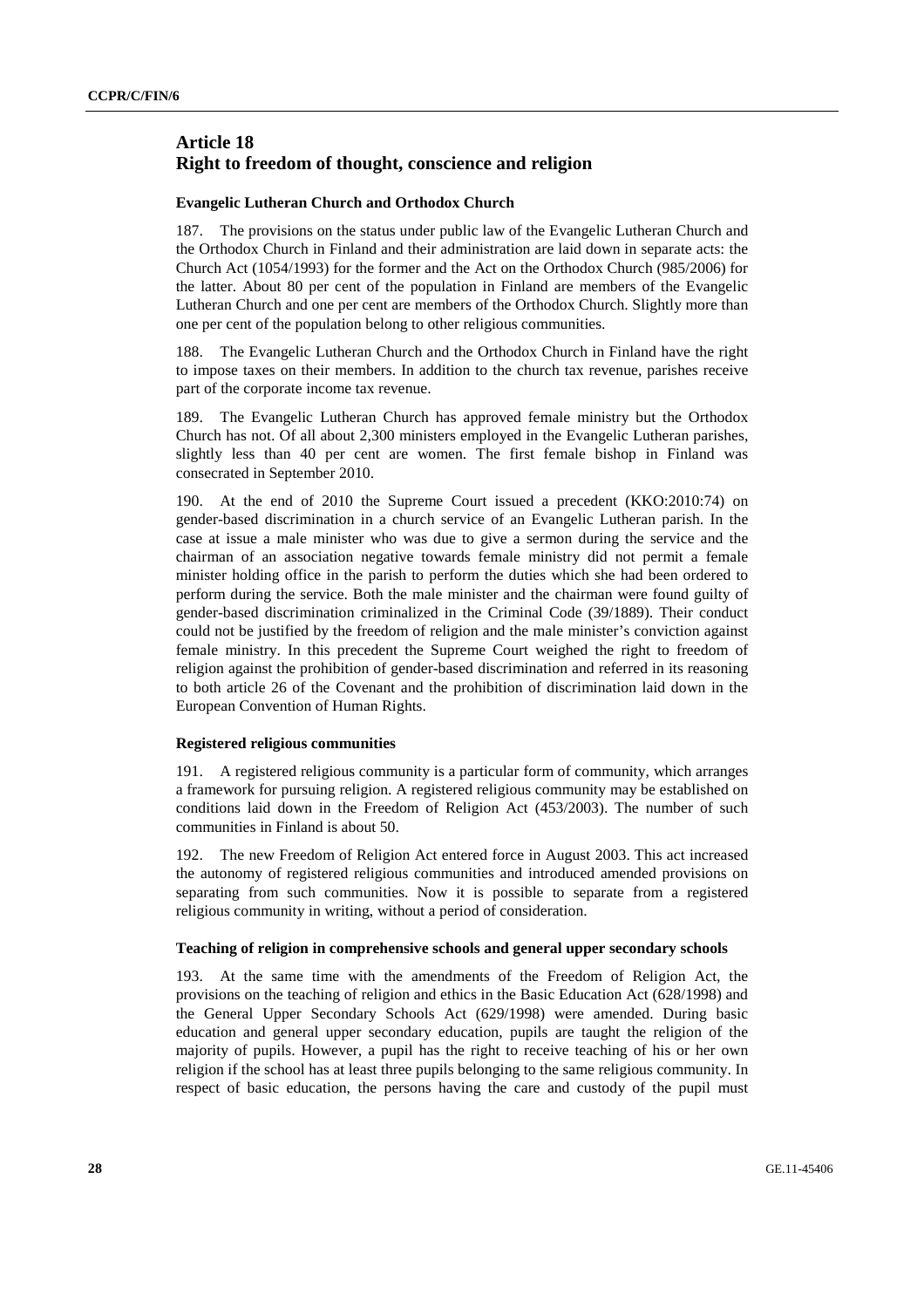# **Article 18 Right to freedom of thought, conscience and religion**

### **Evangelic Lutheran Church and Orthodox Church**

187. The provisions on the status under public law of the Evangelic Lutheran Church and the Orthodox Church in Finland and their administration are laid down in separate acts: the Church Act (1054/1993) for the former and the Act on the Orthodox Church (985/2006) for the latter. About 80 per cent of the population in Finland are members of the Evangelic Lutheran Church and one per cent are members of the Orthodox Church. Slightly more than one per cent of the population belong to other religious communities.

188. The Evangelic Lutheran Church and the Orthodox Church in Finland have the right to impose taxes on their members. In addition to the church tax revenue, parishes receive part of the corporate income tax revenue.

189. The Evangelic Lutheran Church has approved female ministry but the Orthodox Church has not. Of all about 2,300 ministers employed in the Evangelic Lutheran parishes, slightly less than 40 per cent are women. The first female bishop in Finland was consecrated in September 2010.

190. At the end of 2010 the Supreme Court issued a precedent (KKO:2010:74) on gender-based discrimination in a church service of an Evangelic Lutheran parish. In the case at issue a male minister who was due to give a sermon during the service and the chairman of an association negative towards female ministry did not permit a female minister holding office in the parish to perform the duties which she had been ordered to perform during the service. Both the male minister and the chairman were found guilty of gender-based discrimination criminalized in the Criminal Code (39/1889). Their conduct could not be justified by the freedom of religion and the male minister's conviction against female ministry. In this precedent the Supreme Court weighed the right to freedom of religion against the prohibition of gender-based discrimination and referred in its reasoning to both article 26 of the Covenant and the prohibition of discrimination laid down in the European Convention of Human Rights.

#### **Registered religious communities**

191. A registered religious community is a particular form of community, which arranges a framework for pursuing religion. A registered religious community may be established on conditions laid down in the Freedom of Religion Act (453/2003). The number of such communities in Finland is about 50.

192. The new Freedom of Religion Act entered force in August 2003. This act increased the autonomy of registered religious communities and introduced amended provisions on separating from such communities. Now it is possible to separate from a registered religious community in writing, without a period of consideration.

#### **Teaching of religion in comprehensive schools and general upper secondary schools**

193. At the same time with the amendments of the Freedom of Religion Act, the provisions on the teaching of religion and ethics in the Basic Education Act (628/1998) and the General Upper Secondary Schools Act (629/1998) were amended. During basic education and general upper secondary education, pupils are taught the religion of the majority of pupils. However, a pupil has the right to receive teaching of his or her own religion if the school has at least three pupils belonging to the same religious community. In respect of basic education, the persons having the care and custody of the pupil must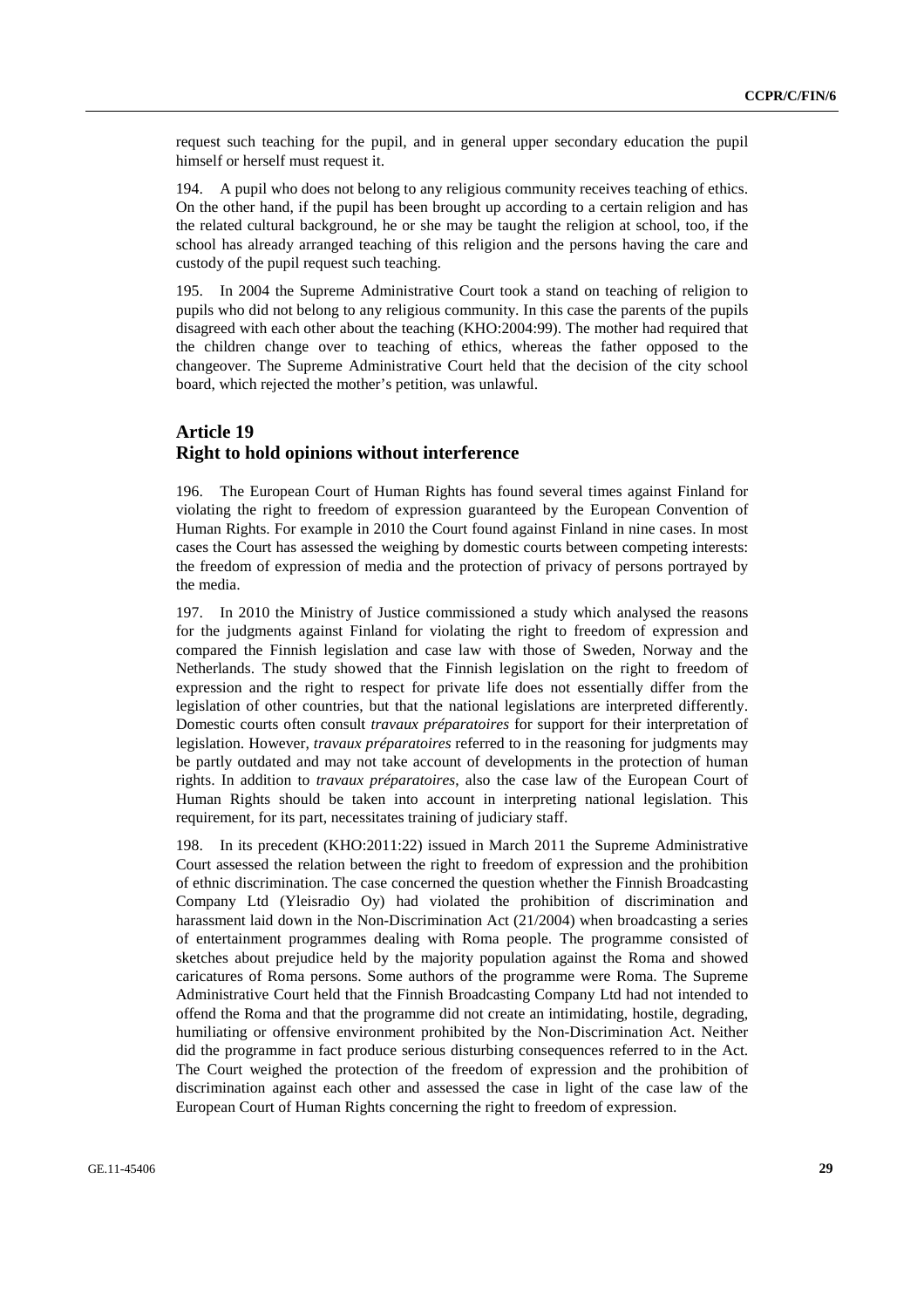request such teaching for the pupil, and in general upper secondary education the pupil himself or herself must request it.

194. A pupil who does not belong to any religious community receives teaching of ethics. On the other hand, if the pupil has been brought up according to a certain religion and has the related cultural background, he or she may be taught the religion at school, too, if the school has already arranged teaching of this religion and the persons having the care and custody of the pupil request such teaching.

195. In 2004 the Supreme Administrative Court took a stand on teaching of religion to pupils who did not belong to any religious community. In this case the parents of the pupils disagreed with each other about the teaching (KHO:2004:99). The mother had required that the children change over to teaching of ethics, whereas the father opposed to the changeover. The Supreme Administrative Court held that the decision of the city school board, which rejected the mother's petition, was unlawful.

# **Article 19 Right to hold opinions without interference**

196. The European Court of Human Rights has found several times against Finland for violating the right to freedom of expression guaranteed by the European Convention of Human Rights. For example in 2010 the Court found against Finland in nine cases. In most cases the Court has assessed the weighing by domestic courts between competing interests: the freedom of expression of media and the protection of privacy of persons portrayed by the media.

197. In 2010 the Ministry of Justice commissioned a study which analysed the reasons for the judgments against Finland for violating the right to freedom of expression and compared the Finnish legislation and case law with those of Sweden, Norway and the Netherlands. The study showed that the Finnish legislation on the right to freedom of expression and the right to respect for private life does not essentially differ from the legislation of other countries, but that the national legislations are interpreted differently. Domestic courts often consult *travaux préparatoires* for support for their interpretation of legislation. However, *travaux préparatoires* referred to in the reasoning for judgments may be partly outdated and may not take account of developments in the protection of human rights. In addition to *travaux préparatoires*, also the case law of the European Court of Human Rights should be taken into account in interpreting national legislation. This requirement, for its part, necessitates training of judiciary staff.

198. In its precedent (KHO:2011:22) issued in March 2011 the Supreme Administrative Court assessed the relation between the right to freedom of expression and the prohibition of ethnic discrimination. The case concerned the question whether the Finnish Broadcasting Company Ltd (Yleisradio Oy) had violated the prohibition of discrimination and harassment laid down in the Non-Discrimination Act (21/2004) when broadcasting a series of entertainment programmes dealing with Roma people. The programme consisted of sketches about prejudice held by the majority population against the Roma and showed caricatures of Roma persons. Some authors of the programme were Roma. The Supreme Administrative Court held that the Finnish Broadcasting Company Ltd had not intended to offend the Roma and that the programme did not create an intimidating, hostile, degrading, humiliating or offensive environment prohibited by the Non-Discrimination Act. Neither did the programme in fact produce serious disturbing consequences referred to in the Act. The Court weighed the protection of the freedom of expression and the prohibition of discrimination against each other and assessed the case in light of the case law of the European Court of Human Rights concerning the right to freedom of expression.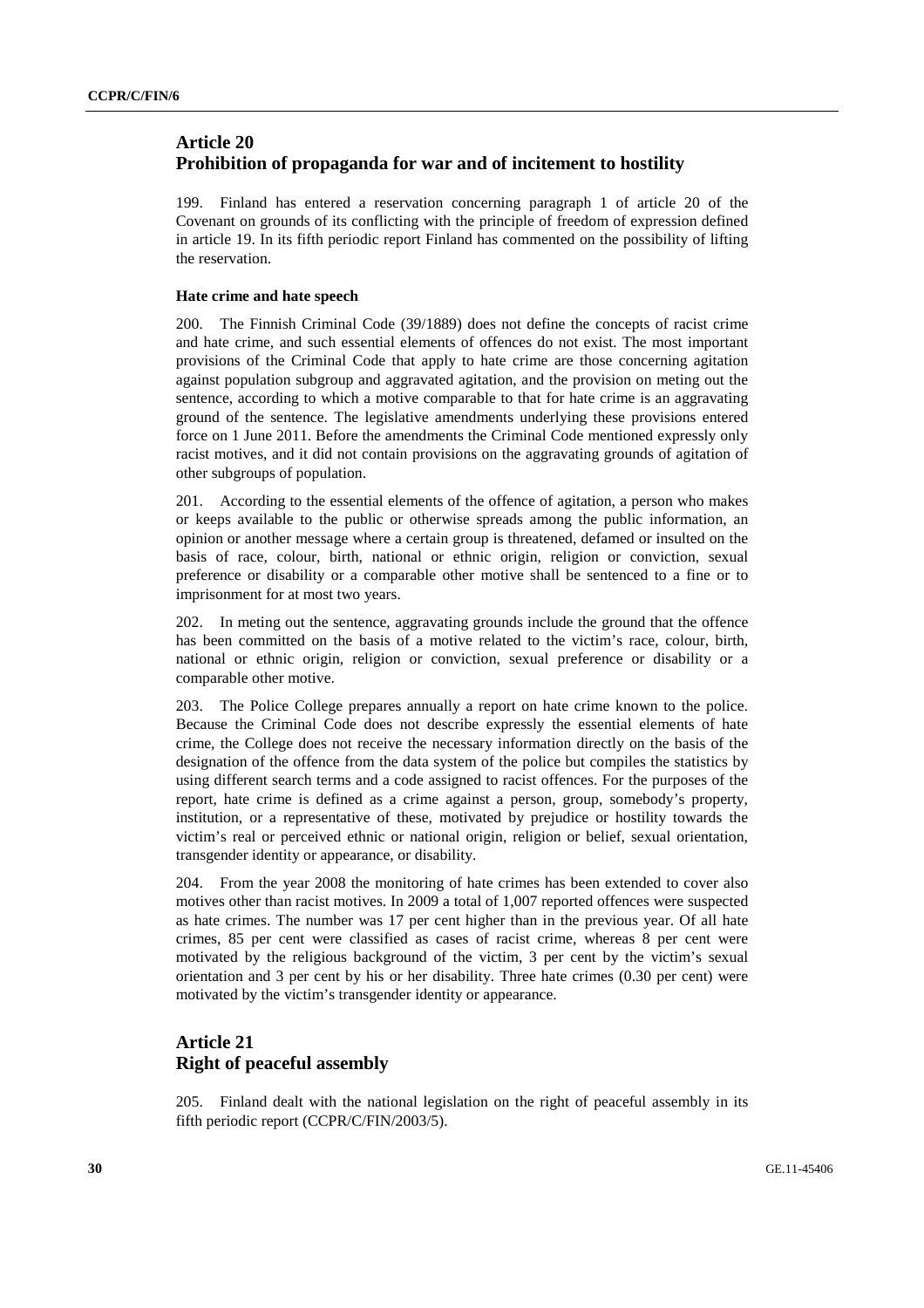# **Article 20 Prohibition of propaganda for war and of incitement to hostility**

199. Finland has entered a reservation concerning paragraph 1 of article 20 of the Covenant on grounds of its conflicting with the principle of freedom of expression defined in article 19. In its fifth periodic report Finland has commented on the possibility of lifting the reservation.

### **Hate crime and hate speech**

200. The Finnish Criminal Code (39/1889) does not define the concepts of racist crime and hate crime, and such essential elements of offences do not exist. The most important provisions of the Criminal Code that apply to hate crime are those concerning agitation against population subgroup and aggravated agitation, and the provision on meting out the sentence, according to which a motive comparable to that for hate crime is an aggravating ground of the sentence. The legislative amendments underlying these provisions entered force on 1 June 2011. Before the amendments the Criminal Code mentioned expressly only racist motives, and it did not contain provisions on the aggravating grounds of agitation of other subgroups of population.

201. According to the essential elements of the offence of agitation, a person who makes or keeps available to the public or otherwise spreads among the public information, an opinion or another message where a certain group is threatened, defamed or insulted on the basis of race, colour, birth, national or ethnic origin, religion or conviction, sexual preference or disability or a comparable other motive shall be sentenced to a fine or to imprisonment for at most two years.

202. In meting out the sentence, aggravating grounds include the ground that the offence has been committed on the basis of a motive related to the victim's race, colour, birth, national or ethnic origin, religion or conviction, sexual preference or disability or a comparable other motive.

203. The Police College prepares annually a report on hate crime known to the police. Because the Criminal Code does not describe expressly the essential elements of hate crime, the College does not receive the necessary information directly on the basis of the designation of the offence from the data system of the police but compiles the statistics by using different search terms and a code assigned to racist offences. For the purposes of the report, hate crime is defined as a crime against a person, group, somebody's property, institution, or a representative of these, motivated by prejudice or hostility towards the victim's real or perceived ethnic or national origin, religion or belief, sexual orientation, transgender identity or appearance, or disability.

204. From the year 2008 the monitoring of hate crimes has been extended to cover also motives other than racist motives. In 2009 a total of 1,007 reported offences were suspected as hate crimes. The number was 17 per cent higher than in the previous year. Of all hate crimes, 85 per cent were classified as cases of racist crime, whereas 8 per cent were motivated by the religious background of the victim, 3 per cent by the victim's sexual orientation and 3 per cent by his or her disability. Three hate crimes (0.30 per cent) were motivated by the victim's transgender identity or appearance.

# **Article 21 Right of peaceful assembly**

205. Finland dealt with the national legislation on the right of peaceful assembly in its fifth periodic report (CCPR/C/FIN/2003/5).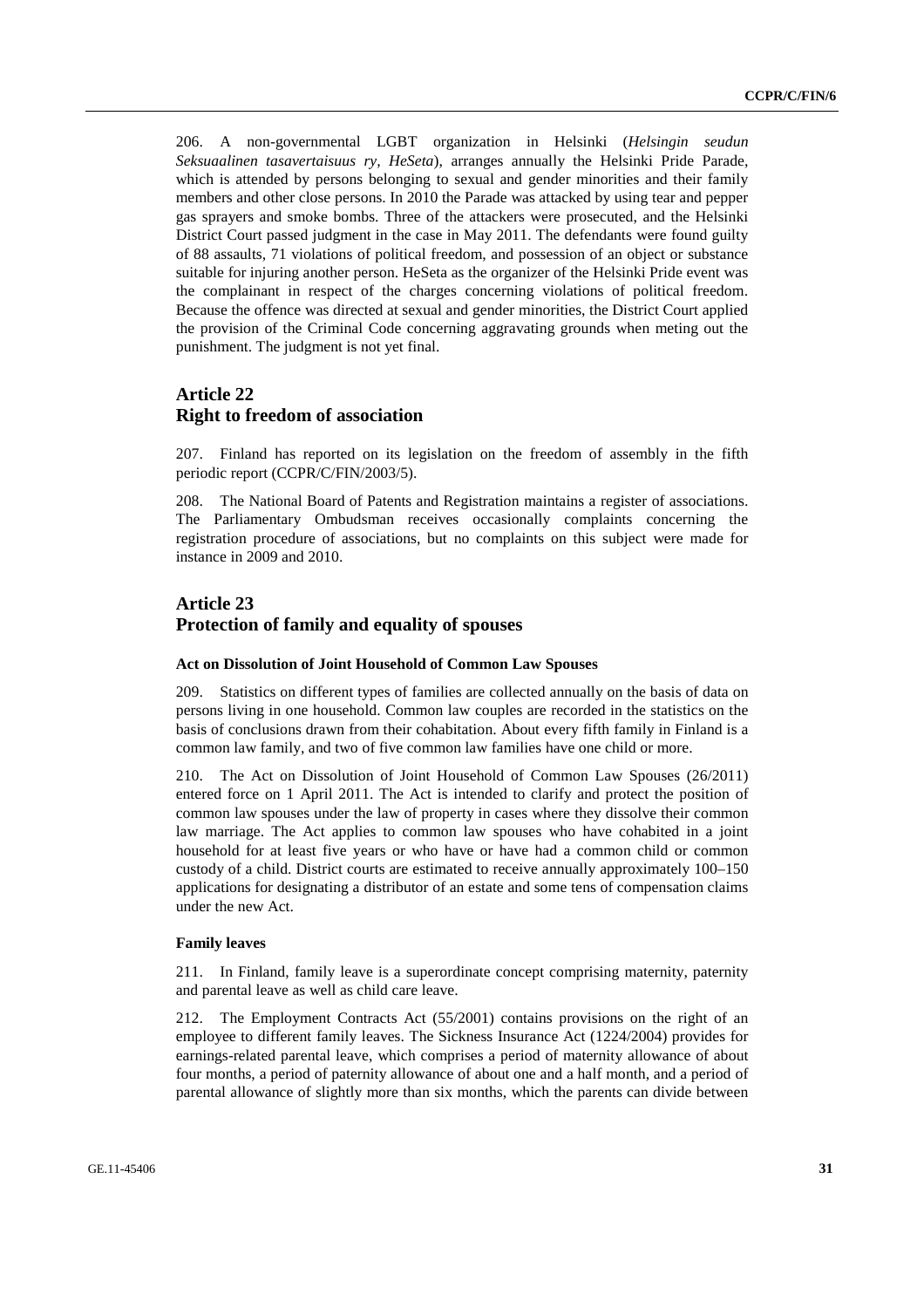206. A non-governmental LGBT organization in Helsinki (*Helsingin seudun Seksuaalinen tasavertaisuus ry, HeSeta*), arranges annually the Helsinki Pride Parade, which is attended by persons belonging to sexual and gender minorities and their family members and other close persons. In 2010 the Parade was attacked by using tear and pepper gas sprayers and smoke bombs. Three of the attackers were prosecuted, and the Helsinki District Court passed judgment in the case in May 2011. The defendants were found guilty of 88 assaults, 71 violations of political freedom, and possession of an object or substance suitable for injuring another person. HeSeta as the organizer of the Helsinki Pride event was the complainant in respect of the charges concerning violations of political freedom. Because the offence was directed at sexual and gender minorities, the District Court applied the provision of the Criminal Code concerning aggravating grounds when meting out the punishment. The judgment is not yet final.

### **Article 22 Right to freedom of association**

207. Finland has reported on its legislation on the freedom of assembly in the fifth periodic report (CCPR/C/FIN/2003/5).

208. The National Board of Patents and Registration maintains a register of associations. The Parliamentary Ombudsman receives occasionally complaints concerning the registration procedure of associations, but no complaints on this subject were made for instance in 2009 and 2010.

# **Article 23 Protection of family and equality of spouses**

#### **Act on Dissolution of Joint Household of Common Law Spouses**

209. Statistics on different types of families are collected annually on the basis of data on persons living in one household. Common law couples are recorded in the statistics on the basis of conclusions drawn from their cohabitation. About every fifth family in Finland is a common law family, and two of five common law families have one child or more.

210. The Act on Dissolution of Joint Household of Common Law Spouses (26/2011) entered force on 1 April 2011. The Act is intended to clarify and protect the position of common law spouses under the law of property in cases where they dissolve their common law marriage. The Act applies to common law spouses who have cohabited in a joint household for at least five years or who have or have had a common child or common custody of a child. District courts are estimated to receive annually approximately 100–150 applications for designating a distributor of an estate and some tens of compensation claims under the new Act.

#### **Family leaves**

211. In Finland, family leave is a superordinate concept comprising maternity, paternity and parental leave as well as child care leave.

212. The Employment Contracts Act (55/2001) contains provisions on the right of an employee to different family leaves. The Sickness Insurance Act (1224/2004) provides for earnings-related parental leave, which comprises a period of maternity allowance of about four months, a period of paternity allowance of about one and a half month, and a period of parental allowance of slightly more than six months, which the parents can divide between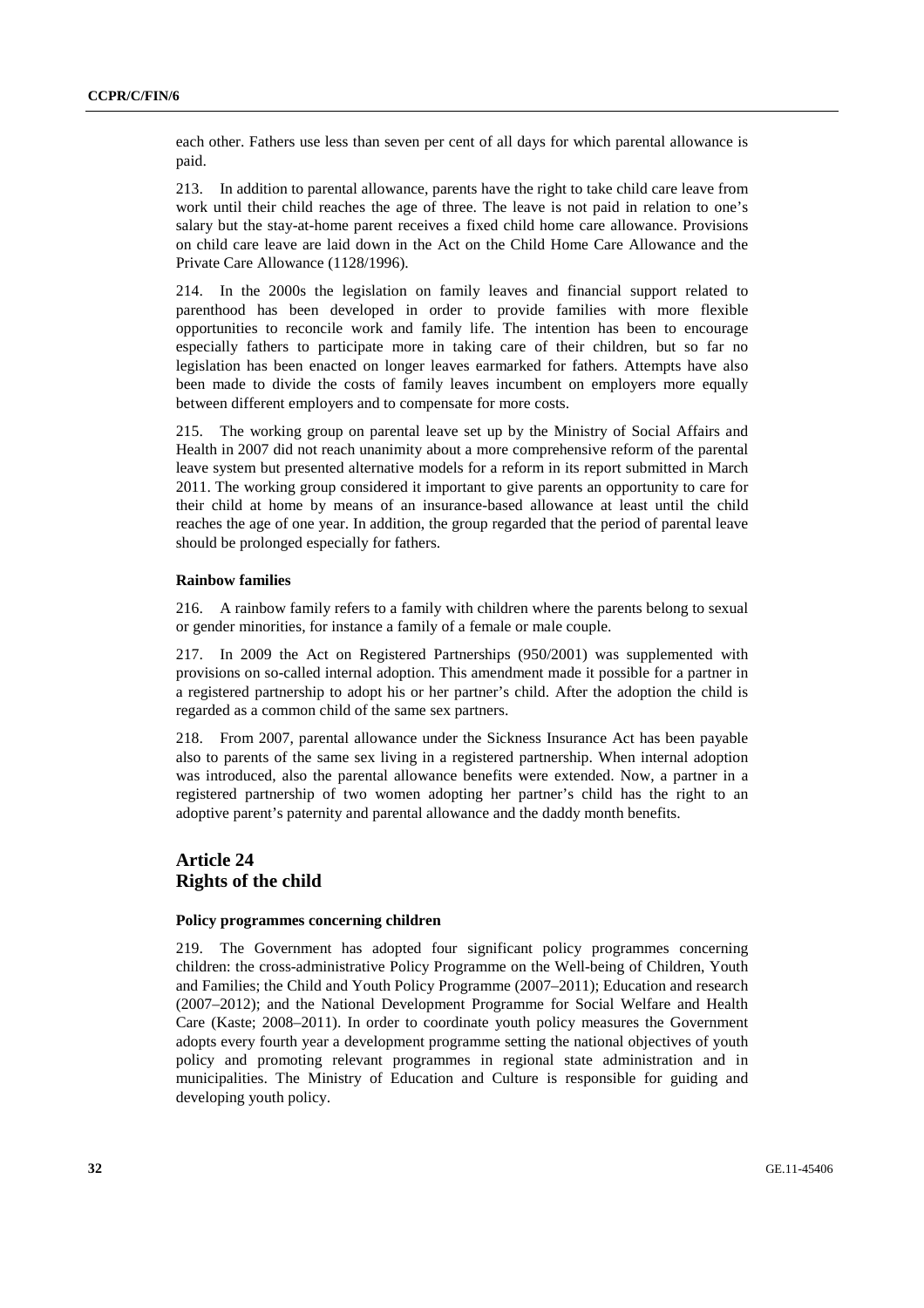each other. Fathers use less than seven per cent of all days for which parental allowance is paid.

213. In addition to parental allowance, parents have the right to take child care leave from work until their child reaches the age of three. The leave is not paid in relation to one's salary but the stay-at-home parent receives a fixed child home care allowance. Provisions on child care leave are laid down in the Act on the Child Home Care Allowance and the Private Care Allowance (1128/1996).

214. In the 2000s the legislation on family leaves and financial support related to parenthood has been developed in order to provide families with more flexible opportunities to reconcile work and family life. The intention has been to encourage especially fathers to participate more in taking care of their children, but so far no legislation has been enacted on longer leaves earmarked for fathers. Attempts have also been made to divide the costs of family leaves incumbent on employers more equally between different employers and to compensate for more costs.

215. The working group on parental leave set up by the Ministry of Social Affairs and Health in 2007 did not reach unanimity about a more comprehensive reform of the parental leave system but presented alternative models for a reform in its report submitted in March 2011. The working group considered it important to give parents an opportunity to care for their child at home by means of an insurance-based allowance at least until the child reaches the age of one year. In addition, the group regarded that the period of parental leave should be prolonged especially for fathers.

### **Rainbow families**

216. A rainbow family refers to a family with children where the parents belong to sexual or gender minorities, for instance a family of a female or male couple.

217. In 2009 the Act on Registered Partnerships (950/2001) was supplemented with provisions on so-called internal adoption. This amendment made it possible for a partner in a registered partnership to adopt his or her partner's child. After the adoption the child is regarded as a common child of the same sex partners.

218. From 2007, parental allowance under the Sickness Insurance Act has been payable also to parents of the same sex living in a registered partnership. When internal adoption was introduced, also the parental allowance benefits were extended. Now, a partner in a registered partnership of two women adopting her partner's child has the right to an adoptive parent's paternity and parental allowance and the daddy month benefits.

### **Article 24 Rights of the child**

#### **Policy programmes concerning children**

219. The Government has adopted four significant policy programmes concerning children: the cross-administrative Policy Programme on the Well-being of Children, Youth and Families; the Child and Youth Policy Programme (2007–2011); Education and research (2007–2012); and the National Development Programme for Social Welfare and Health Care (Kaste; 2008–2011). In order to coordinate youth policy measures the Government adopts every fourth year a development programme setting the national objectives of youth policy and promoting relevant programmes in regional state administration and in municipalities. The Ministry of Education and Culture is responsible for guiding and developing youth policy.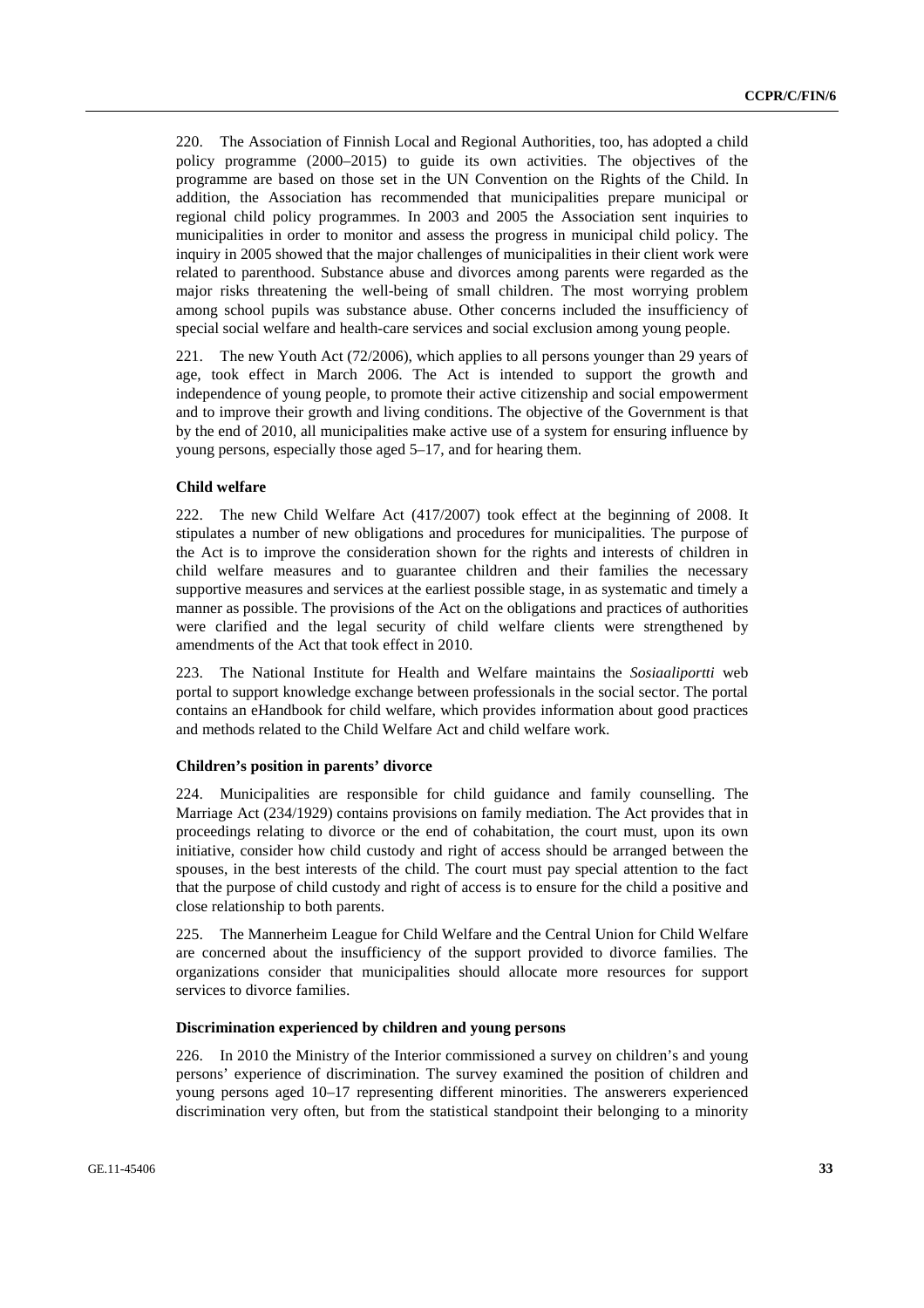220. The Association of Finnish Local and Regional Authorities, too, has adopted a child policy programme (2000–2015) to guide its own activities. The objectives of the programme are based on those set in the UN Convention on the Rights of the Child. In addition, the Association has recommended that municipalities prepare municipal or regional child policy programmes. In 2003 and 2005 the Association sent inquiries to municipalities in order to monitor and assess the progress in municipal child policy. The inquiry in 2005 showed that the major challenges of municipalities in their client work were related to parenthood. Substance abuse and divorces among parents were regarded as the major risks threatening the well-being of small children. The most worrying problem among school pupils was substance abuse. Other concerns included the insufficiency of special social welfare and health-care services and social exclusion among young people.

221. The new Youth Act (72/2006), which applies to all persons younger than 29 years of age, took effect in March 2006. The Act is intended to support the growth and independence of young people, to promote their active citizenship and social empowerment and to improve their growth and living conditions. The objective of the Government is that by the end of 2010, all municipalities make active use of a system for ensuring influence by young persons, especially those aged 5–17, and for hearing them.

#### **Child welfare**

222. The new Child Welfare Act (417/2007) took effect at the beginning of 2008. It stipulates a number of new obligations and procedures for municipalities. The purpose of the Act is to improve the consideration shown for the rights and interests of children in child welfare measures and to guarantee children and their families the necessary supportive measures and services at the earliest possible stage, in as systematic and timely a manner as possible. The provisions of the Act on the obligations and practices of authorities were clarified and the legal security of child welfare clients were strengthened by amendments of the Act that took effect in 2010.

223. The National Institute for Health and Welfare maintains the *Sosiaaliportti* web portal to support knowledge exchange between professionals in the social sector. The portal contains an eHandbook for child welfare, which provides information about good practices and methods related to the Child Welfare Act and child welfare work.

#### **Children's position in parents' divorce**

224. Municipalities are responsible for child guidance and family counselling. The Marriage Act (234/1929) contains provisions on family mediation. The Act provides that in proceedings relating to divorce or the end of cohabitation, the court must, upon its own initiative, consider how child custody and right of access should be arranged between the spouses, in the best interests of the child. The court must pay special attention to the fact that the purpose of child custody and right of access is to ensure for the child a positive and close relationship to both parents.

225. The Mannerheim League for Child Welfare and the Central Union for Child Welfare are concerned about the insufficiency of the support provided to divorce families. The organizations consider that municipalities should allocate more resources for support services to divorce families.

### **Discrimination experienced by children and young persons**

226. In 2010 the Ministry of the Interior commissioned a survey on children's and young persons' experience of discrimination. The survey examined the position of children and young persons aged 10–17 representing different minorities. The answerers experienced discrimination very often, but from the statistical standpoint their belonging to a minority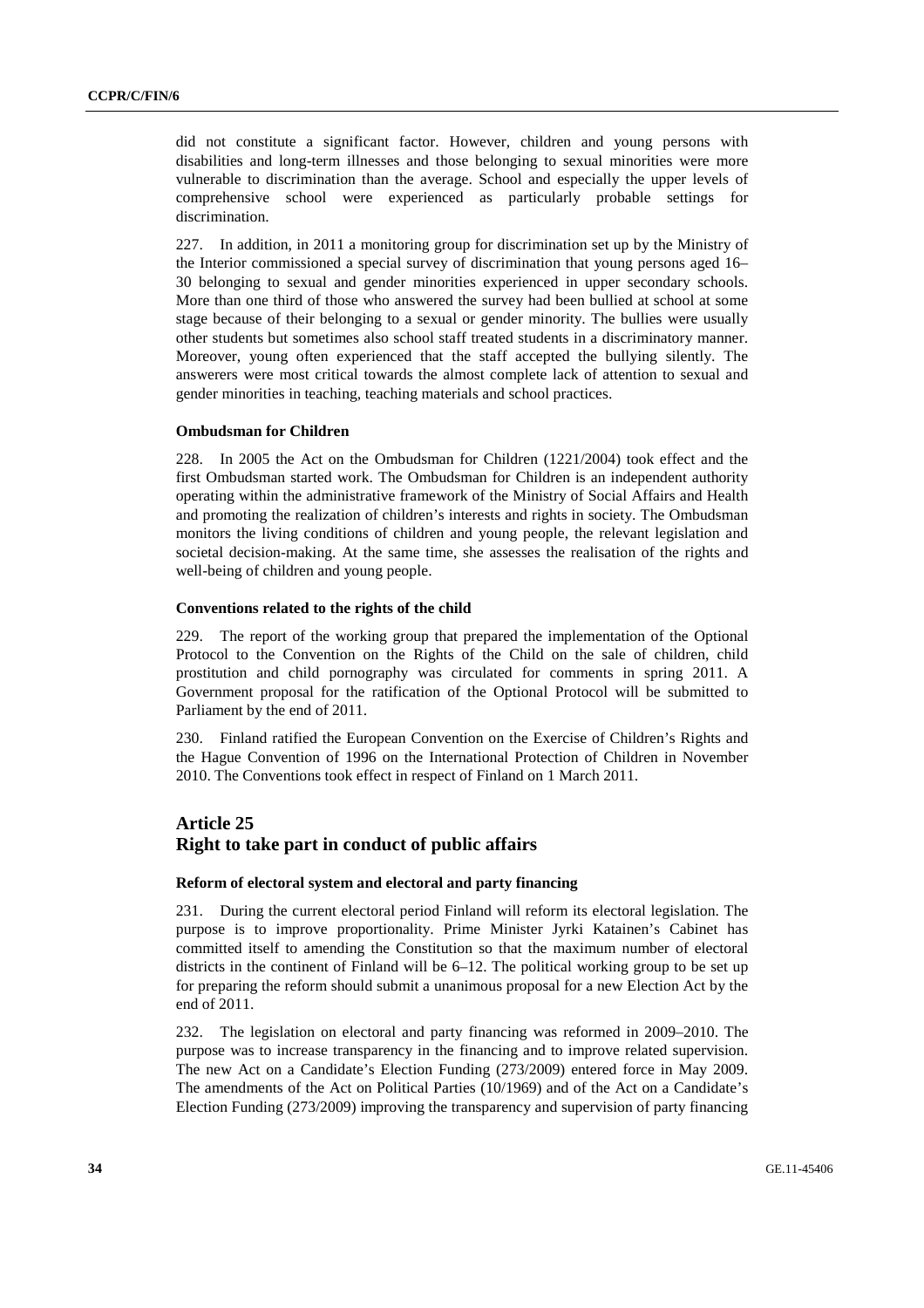did not constitute a significant factor. However, children and young persons with disabilities and long-term illnesses and those belonging to sexual minorities were more vulnerable to discrimination than the average. School and especially the upper levels of comprehensive school were experienced as particularly probable settings for discrimination.

227. In addition, in 2011 a monitoring group for discrimination set up by the Ministry of the Interior commissioned a special survey of discrimination that young persons aged 16– 30 belonging to sexual and gender minorities experienced in upper secondary schools. More than one third of those who answered the survey had been bullied at school at some stage because of their belonging to a sexual or gender minority. The bullies were usually other students but sometimes also school staff treated students in a discriminatory manner. Moreover, young often experienced that the staff accepted the bullying silently. The answerers were most critical towards the almost complete lack of attention to sexual and gender minorities in teaching, teaching materials and school practices.

#### **Ombudsman for Children**

228. In 2005 the Act on the Ombudsman for Children (1221/2004) took effect and the first Ombudsman started work. The Ombudsman for Children is an independent authority operating within the administrative framework of the Ministry of Social Affairs and Health and promoting the realization of children's interests and rights in society. The Ombudsman monitors the living conditions of children and young people, the relevant legislation and societal decision-making. At the same time, she assesses the realisation of the rights and well-being of children and young people.

### **Conventions related to the rights of the child**

229. The report of the working group that prepared the implementation of the Optional Protocol to the Convention on the Rights of the Child on the sale of children, child prostitution and child pornography was circulated for comments in spring 2011. A Government proposal for the ratification of the Optional Protocol will be submitted to Parliament by the end of 2011.

230. Finland ratified the European Convention on the Exercise of Children's Rights and the Hague Convention of 1996 on the International Protection of Children in November 2010. The Conventions took effect in respect of Finland on 1 March 2011.

# **Article 25 Right to take part in conduct of public affairs**

#### **Reform of electoral system and electoral and party financing**

231. During the current electoral period Finland will reform its electoral legislation. The purpose is to improve proportionality. Prime Minister Jyrki Katainen's Cabinet has committed itself to amending the Constitution so that the maximum number of electoral districts in the continent of Finland will be 6–12. The political working group to be set up for preparing the reform should submit a unanimous proposal for a new Election Act by the end of 2011.

232. The legislation on electoral and party financing was reformed in 2009–2010. The purpose was to increase transparency in the financing and to improve related supervision. The new Act on a Candidate's Election Funding (273/2009) entered force in May 2009. The amendments of the Act on Political Parties (10/1969) and of the Act on a Candidate's Election Funding (273/2009) improving the transparency and supervision of party financing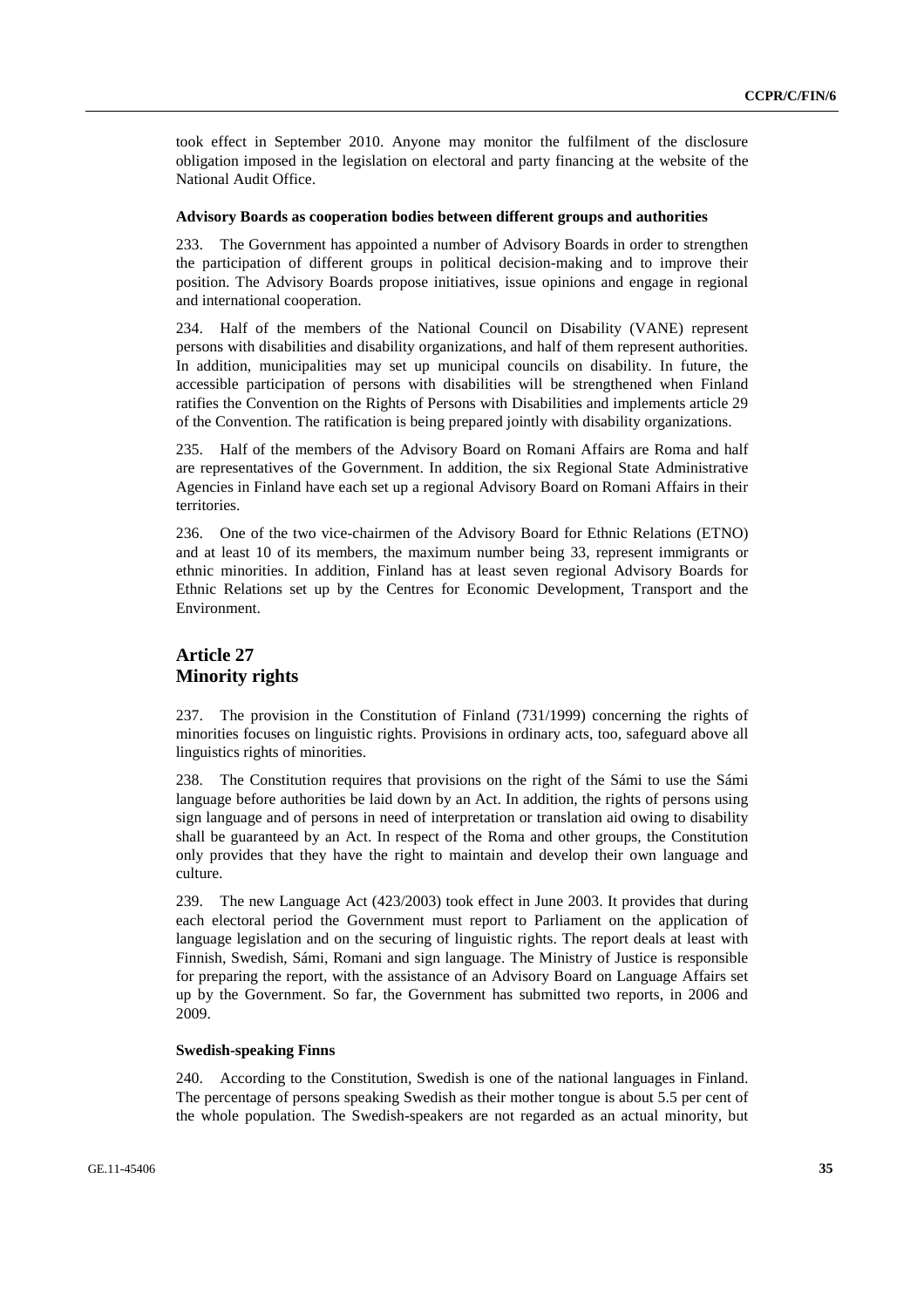took effect in September 2010. Anyone may monitor the fulfilment of the disclosure obligation imposed in the legislation on electoral and party financing at the website of the National Audit Office.

#### **Advisory Boards as cooperation bodies between different groups and authorities**

233. The Government has appointed a number of Advisory Boards in order to strengthen the participation of different groups in political decision-making and to improve their position. The Advisory Boards propose initiatives, issue opinions and engage in regional and international cooperation.

234. Half of the members of the National Council on Disability (VANE) represent persons with disabilities and disability organizations, and half of them represent authorities. In addition, municipalities may set up municipal councils on disability. In future, the accessible participation of persons with disabilities will be strengthened when Finland ratifies the Convention on the Rights of Persons with Disabilities and implements article 29 of the Convention. The ratification is being prepared jointly with disability organizations.

235. Half of the members of the Advisory Board on Romani Affairs are Roma and half are representatives of the Government. In addition, the six Regional State Administrative Agencies in Finland have each set up a regional Advisory Board on Romani Affairs in their territories.

236. One of the two vice-chairmen of the Advisory Board for Ethnic Relations (ETNO) and at least 10 of its members, the maximum number being 33, represent immigrants or ethnic minorities. In addition, Finland has at least seven regional Advisory Boards for Ethnic Relations set up by the Centres for Economic Development, Transport and the Environment.

# **Article 27 Minority rights**

237. The provision in the Constitution of Finland (731/1999) concerning the rights of minorities focuses on linguistic rights. Provisions in ordinary acts, too, safeguard above all linguistics rights of minorities.

238. The Constitution requires that provisions on the right of the Sámi to use the Sámi language before authorities be laid down by an Act. In addition, the rights of persons using sign language and of persons in need of interpretation or translation aid owing to disability shall be guaranteed by an Act. In respect of the Roma and other groups, the Constitution only provides that they have the right to maintain and develop their own language and culture.

239. The new Language Act (423/2003) took effect in June 2003. It provides that during each electoral period the Government must report to Parliament on the application of language legislation and on the securing of linguistic rights. The report deals at least with Finnish, Swedish, Sámi, Romani and sign language. The Ministry of Justice is responsible for preparing the report, with the assistance of an Advisory Board on Language Affairs set up by the Government. So far, the Government has submitted two reports, in 2006 and 2009.

#### **Swedish-speaking Finns**

240. According to the Constitution, Swedish is one of the national languages in Finland. The percentage of persons speaking Swedish as their mother tongue is about 5.5 per cent of the whole population. The Swedish-speakers are not regarded as an actual minority, but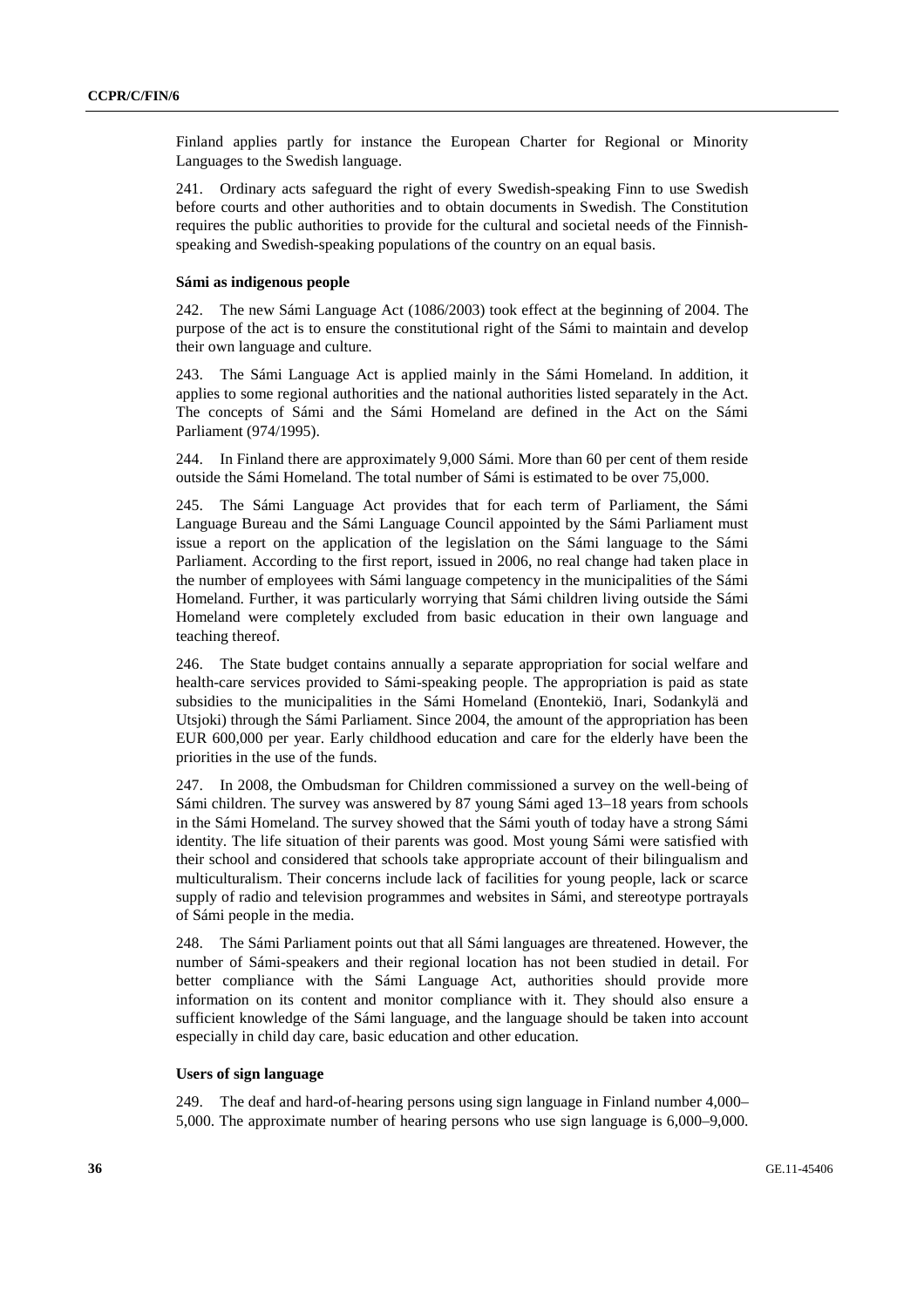Finland applies partly for instance the European Charter for Regional or Minority Languages to the Swedish language.

241. Ordinary acts safeguard the right of every Swedish-speaking Finn to use Swedish before courts and other authorities and to obtain documents in Swedish. The Constitution requires the public authorities to provide for the cultural and societal needs of the Finnishspeaking and Swedish-speaking populations of the country on an equal basis.

#### **Sámi as indigenous people**

242. The new Sámi Language Act (1086/2003) took effect at the beginning of 2004. The purpose of the act is to ensure the constitutional right of the Sámi to maintain and develop their own language and culture.

243. The Sámi Language Act is applied mainly in the Sámi Homeland. In addition, it applies to some regional authorities and the national authorities listed separately in the Act. The concepts of Sámi and the Sámi Homeland are defined in the Act on the Sámi Parliament (974/1995).

244. In Finland there are approximately 9,000 Sámi. More than 60 per cent of them reside outside the Sámi Homeland. The total number of Sámi is estimated to be over 75,000.

245. The Sámi Language Act provides that for each term of Parliament, the Sámi Language Bureau and the Sámi Language Council appointed by the Sámi Parliament must issue a report on the application of the legislation on the Sámi language to the Sámi Parliament. According to the first report, issued in 2006, no real change had taken place in the number of employees with Sámi language competency in the municipalities of the Sámi Homeland. Further, it was particularly worrying that Sámi children living outside the Sámi Homeland were completely excluded from basic education in their own language and teaching thereof.

246. The State budget contains annually a separate appropriation for social welfare and health-care services provided to Sámi-speaking people. The appropriation is paid as state subsidies to the municipalities in the Sámi Homeland (Enontekiö, Inari, Sodankylä and Utsjoki) through the Sámi Parliament. Since 2004, the amount of the appropriation has been EUR 600,000 per year. Early childhood education and care for the elderly have been the priorities in the use of the funds.

247. In 2008, the Ombudsman for Children commissioned a survey on the well-being of Sámi children. The survey was answered by 87 young Sámi aged 13–18 years from schools in the Sámi Homeland. The survey showed that the Sámi youth of today have a strong Sámi identity. The life situation of their parents was good. Most young Sámi were satisfied with their school and considered that schools take appropriate account of their bilingualism and multiculturalism. Their concerns include lack of facilities for young people, lack or scarce supply of radio and television programmes and websites in Sámi, and stereotype portrayals of Sámi people in the media.

248. The Sámi Parliament points out that all Sámi languages are threatened. However, the number of Sámi-speakers and their regional location has not been studied in detail. For better compliance with the Sámi Language Act, authorities should provide more information on its content and monitor compliance with it. They should also ensure a sufficient knowledge of the Sámi language, and the language should be taken into account especially in child day care, basic education and other education.

#### **Users of sign language**

249. The deaf and hard-of-hearing persons using sign language in Finland number 4,000– 5,000. The approximate number of hearing persons who use sign language is 6,000–9,000.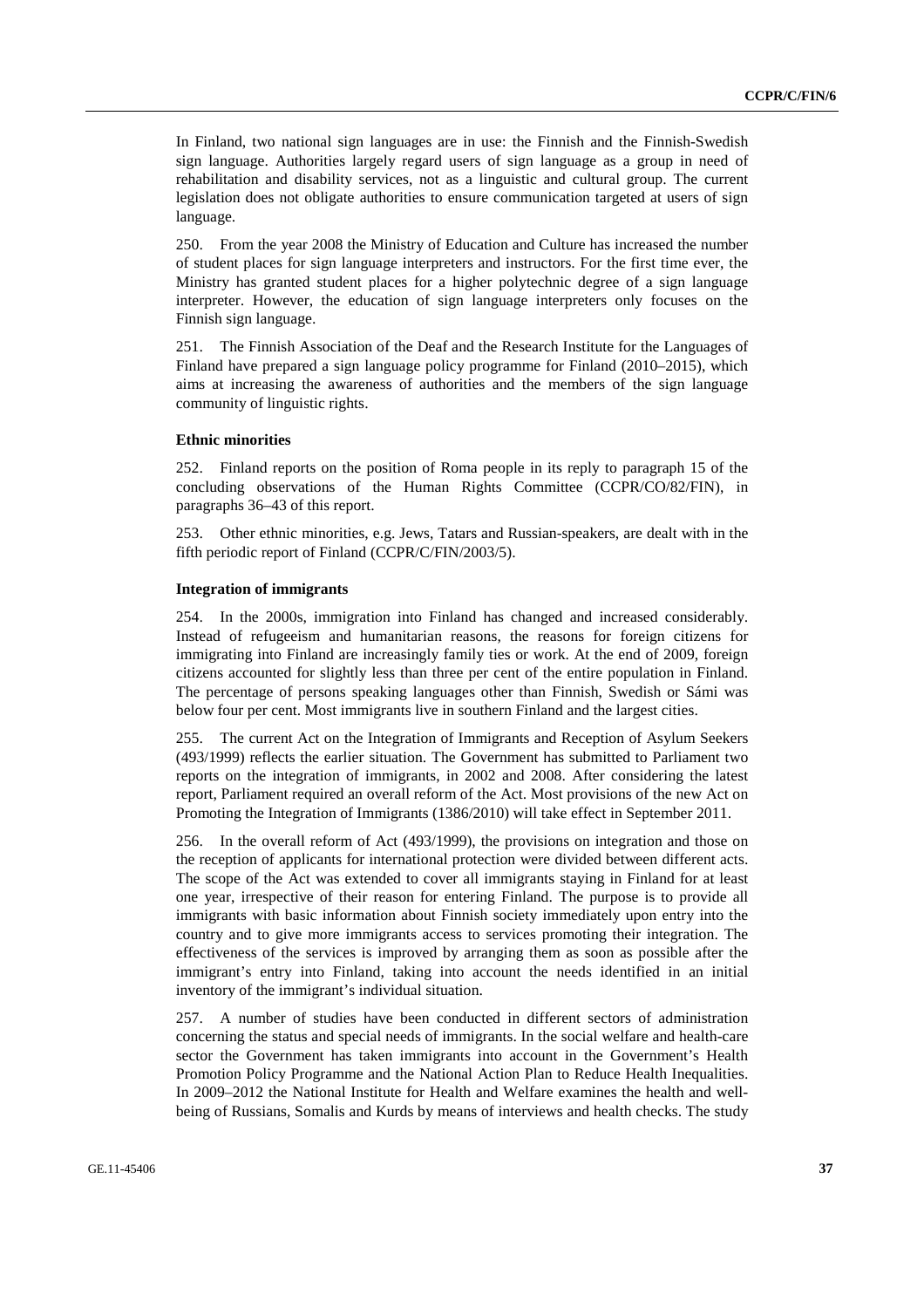In Finland, two national sign languages are in use: the Finnish and the Finnish-Swedish sign language. Authorities largely regard users of sign language as a group in need of rehabilitation and disability services, not as a linguistic and cultural group. The current legislation does not obligate authorities to ensure communication targeted at users of sign language.

250. From the year 2008 the Ministry of Education and Culture has increased the number of student places for sign language interpreters and instructors. For the first time ever, the Ministry has granted student places for a higher polytechnic degree of a sign language interpreter. However, the education of sign language interpreters only focuses on the Finnish sign language.

251. The Finnish Association of the Deaf and the Research Institute for the Languages of Finland have prepared a sign language policy programme for Finland (2010–2015), which aims at increasing the awareness of authorities and the members of the sign language community of linguistic rights.

#### **Ethnic minorities**

252. Finland reports on the position of Roma people in its reply to paragraph 15 of the concluding observations of the Human Rights Committee (CCPR/CO/82/FIN), in paragraphs 36–43 of this report.

253. Other ethnic minorities, e.g. Jews, Tatars and Russian-speakers, are dealt with in the fifth periodic report of Finland (CCPR/C/FIN/2003/5).

#### **Integration of immigrants**

254. In the 2000s, immigration into Finland has changed and increased considerably. Instead of refugeeism and humanitarian reasons, the reasons for foreign citizens for immigrating into Finland are increasingly family ties or work. At the end of 2009, foreign citizens accounted for slightly less than three per cent of the entire population in Finland. The percentage of persons speaking languages other than Finnish, Swedish or Sámi was below four per cent. Most immigrants live in southern Finland and the largest cities.

255. The current Act on the Integration of Immigrants and Reception of Asylum Seekers (493/1999) reflects the earlier situation. The Government has submitted to Parliament two reports on the integration of immigrants, in 2002 and 2008. After considering the latest report, Parliament required an overall reform of the Act. Most provisions of the new Act on Promoting the Integration of Immigrants (1386/2010) will take effect in September 2011.

256. In the overall reform of Act (493/1999), the provisions on integration and those on the reception of applicants for international protection were divided between different acts. The scope of the Act was extended to cover all immigrants staying in Finland for at least one year, irrespective of their reason for entering Finland. The purpose is to provide all immigrants with basic information about Finnish society immediately upon entry into the country and to give more immigrants access to services promoting their integration. The effectiveness of the services is improved by arranging them as soon as possible after the immigrant's entry into Finland, taking into account the needs identified in an initial inventory of the immigrant's individual situation.

257. A number of studies have been conducted in different sectors of administration concerning the status and special needs of immigrants. In the social welfare and health-care sector the Government has taken immigrants into account in the Government's Health Promotion Policy Programme and the National Action Plan to Reduce Health Inequalities. In 2009–2012 the National Institute for Health and Welfare examines the health and wellbeing of Russians, Somalis and Kurds by means of interviews and health checks. The study